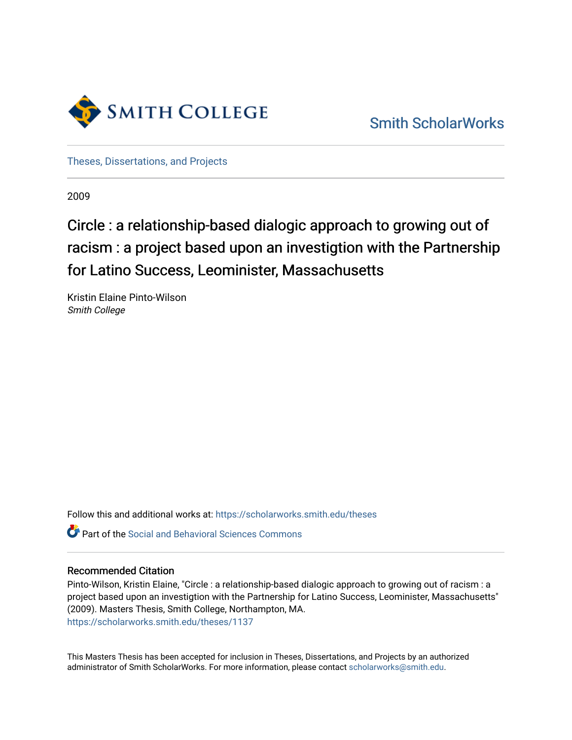

[Smith ScholarWorks](https://scholarworks.smith.edu/) 

[Theses, Dissertations, and Projects](https://scholarworks.smith.edu/theses) 

2009

# Circle : a relationship-based dialogic approach to growing out of racism : a project based upon an investigtion with the Partnership for Latino Success, Leominister, Massachusetts

Kristin Elaine Pinto-Wilson Smith College

Follow this and additional works at: [https://scholarworks.smith.edu/theses](https://scholarworks.smith.edu/theses?utm_source=scholarworks.smith.edu%2Ftheses%2F1137&utm_medium=PDF&utm_campaign=PDFCoverPages) 

Part of the [Social and Behavioral Sciences Commons](http://network.bepress.com/hgg/discipline/316?utm_source=scholarworks.smith.edu%2Ftheses%2F1137&utm_medium=PDF&utm_campaign=PDFCoverPages) 

## Recommended Citation

Pinto-Wilson, Kristin Elaine, "Circle : a relationship-based dialogic approach to growing out of racism : a project based upon an investigtion with the Partnership for Latino Success, Leominister, Massachusetts" (2009). Masters Thesis, Smith College, Northampton, MA. [https://scholarworks.smith.edu/theses/1137](https://scholarworks.smith.edu/theses/1137?utm_source=scholarworks.smith.edu%2Ftheses%2F1137&utm_medium=PDF&utm_campaign=PDFCoverPages)

This Masters Thesis has been accepted for inclusion in Theses, Dissertations, and Projects by an authorized administrator of Smith ScholarWorks. For more information, please contact [scholarworks@smith.edu](mailto:scholarworks@smith.edu).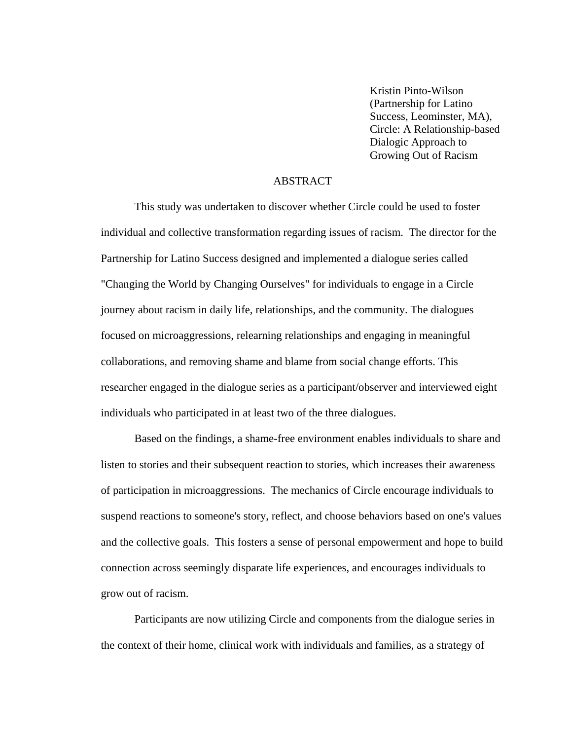Kristin Pinto-Wilson (Partnership for Latino Success, Leominster, MA), Circle: A Relationship-based Dialogic Approach to Growing Out of Racism

# ABSTRACT

This study was undertaken to discover whether Circle could be used to foster individual and collective transformation regarding issues of racism. The director for the Partnership for Latino Success designed and implemented a dialogue series called "Changing the World by Changing Ourselves" for individuals to engage in a Circle journey about racism in daily life, relationships, and the community. The dialogues focused on microaggressions, relearning relationships and engaging in meaningful collaborations, and removing shame and blame from social change efforts. This researcher engaged in the dialogue series as a participant/observer and interviewed eight individuals who participated in at least two of the three dialogues.

Based on the findings, a shame-free environment enables individuals to share and listen to stories and their subsequent reaction to stories, which increases their awareness of participation in microaggressions. The mechanics of Circle encourage individuals to suspend reactions to someone's story, reflect, and choose behaviors based on one's values and the collective goals. This fosters a sense of personal empowerment and hope to build connection across seemingly disparate life experiences, and encourages individuals to grow out of racism.

Participants are now utilizing Circle and components from the dialogue series in the context of their home, clinical work with individuals and families, as a strategy of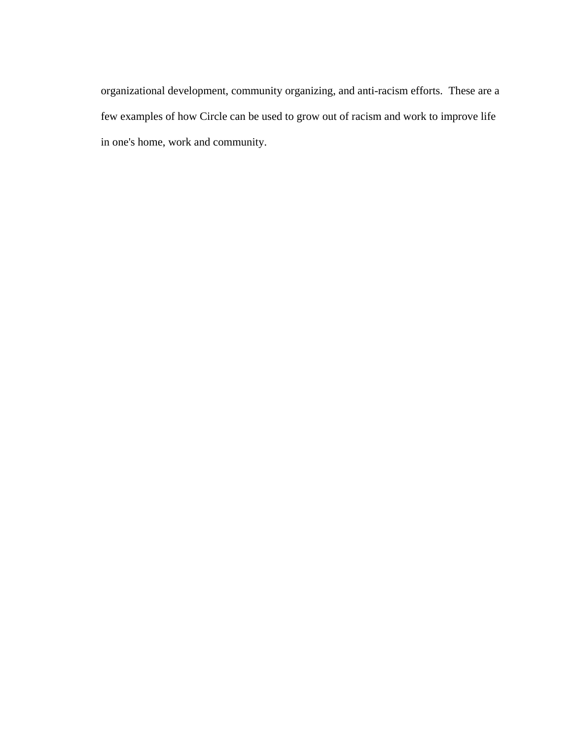organizational development, community organizing, and anti-racism efforts. These are a few examples of how Circle can be used to grow out of racism and work to improve life in one's home, work and community.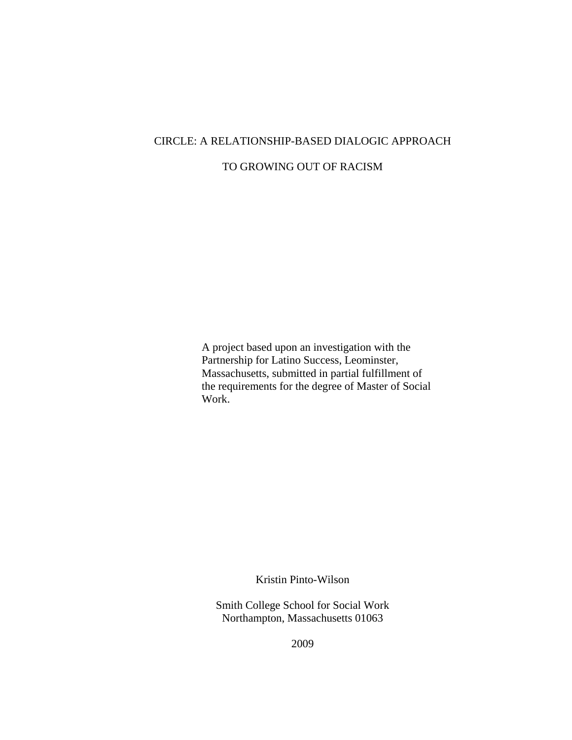# CIRCLE: A RELATIONSHIP-BASED DIALOGIC APPROACH

# TO GROWING OUT OF RACISM

A project based upon an investigation with the Partnership for Latino Success, Leominster, Massachusetts, submitted in partial fulfillment of the requirements for the degree of Master of Social Work.

Kristin Pinto-Wilson

Smith College School for Social Work Northampton, Massachusetts 01063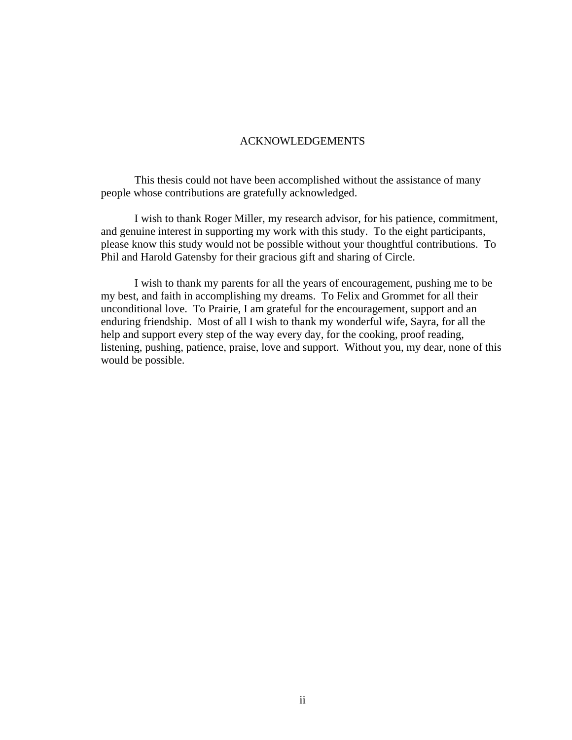#### ACKNOWLEDGEMENTS

This thesis could not have been accomplished without the assistance of many people whose contributions are gratefully acknowledged.

I wish to thank Roger Miller, my research advisor, for his patience, commitment, and genuine interest in supporting my work with this study. To the eight participants, please know this study would not be possible without your thoughtful contributions. To Phil and Harold Gatensby for their gracious gift and sharing of Circle.

I wish to thank my parents for all the years of encouragement, pushing me to be my best, and faith in accomplishing my dreams. To Felix and Grommet for all their unconditional love. To Prairie, I am grateful for the encouragement, support and an enduring friendship. Most of all I wish to thank my wonderful wife, Sayra, for all the help and support every step of the way every day, for the cooking, proof reading, listening, pushing, patience, praise, love and support. Without you, my dear, none of this would be possible.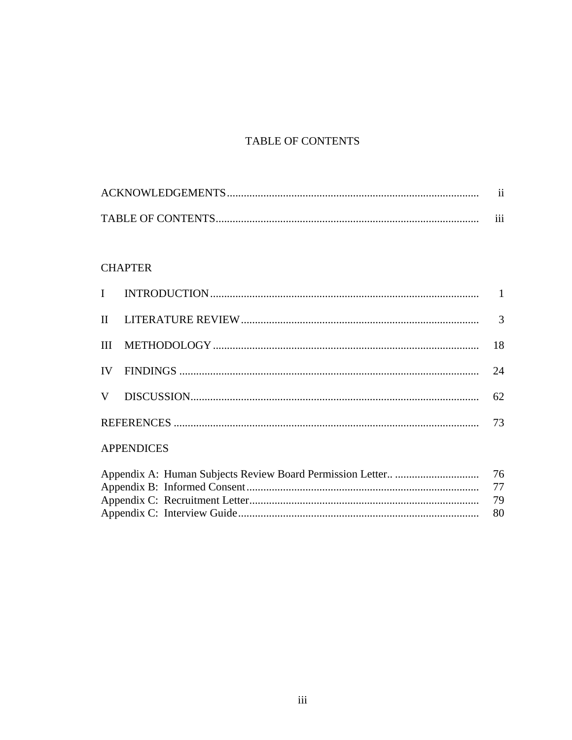# TABLE OF CONTENTS

|                          | . .      |
|--------------------------|----------|
| <b>TABLE OF CONTENTS</b> | $\cdots$ |
|                          | 111      |

# **CHAPTER**

|  | 24 |
|--|----|
|  | 62 |
|  |    |
|  |    |

# **APPENDICES**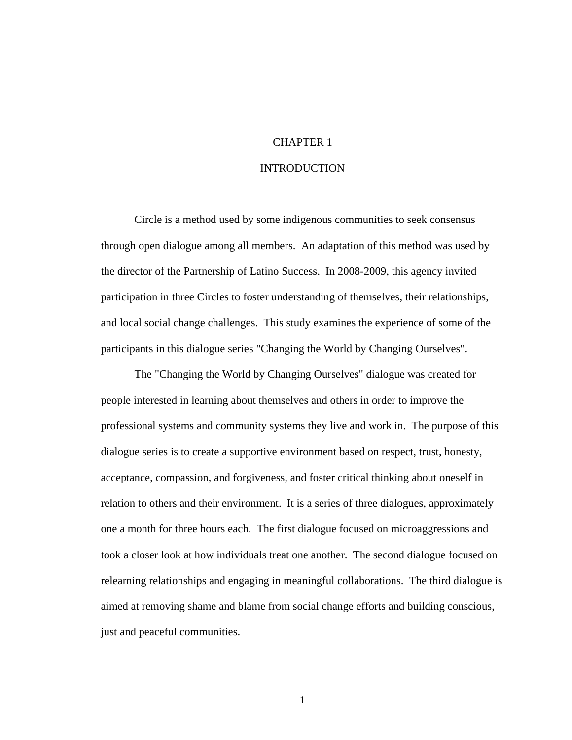## CHAPTER 1

#### INTRODUCTION

Circle is a method used by some indigenous communities to seek consensus through open dialogue among all members. An adaptation of this method was used by the director of the Partnership of Latino Success. In 2008-2009, this agency invited participation in three Circles to foster understanding of themselves, their relationships, and local social change challenges. This study examines the experience of some of the participants in this dialogue series "Changing the World by Changing Ourselves".

The "Changing the World by Changing Ourselves" dialogue was created for people interested in learning about themselves and others in order to improve the professional systems and community systems they live and work in. The purpose of this dialogue series is to create a supportive environment based on respect, trust, honesty, acceptance, compassion, and forgiveness, and foster critical thinking about oneself in relation to others and their environment. It is a series of three dialogues, approximately one a month for three hours each. The first dialogue focused on microaggressions and took a closer look at how individuals treat one another. The second dialogue focused on relearning relationships and engaging in meaningful collaborations. The third dialogue is aimed at removing shame and blame from social change efforts and building conscious, just and peaceful communities.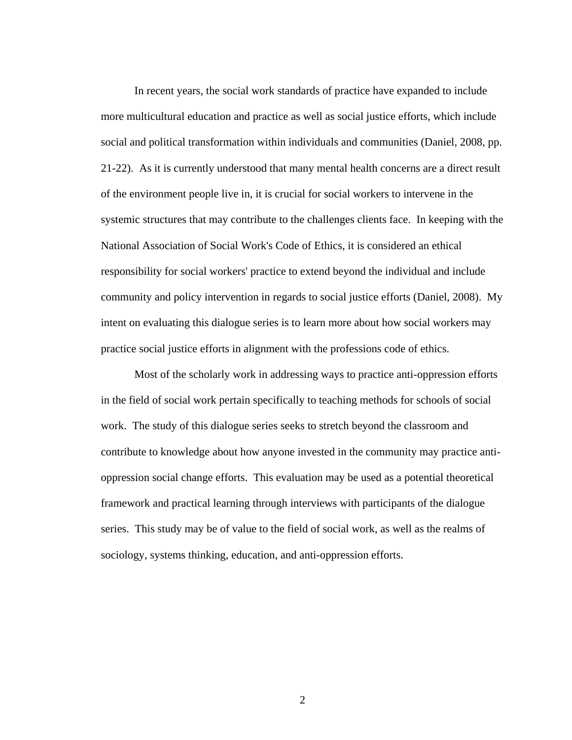In recent years, the social work standards of practice have expanded to include more multicultural education and practice as well as social justice efforts, which include social and political transformation within individuals and communities (Daniel, 2008, pp. 21-22). As it is currently understood that many mental health concerns are a direct result of the environment people live in, it is crucial for social workers to intervene in the systemic structures that may contribute to the challenges clients face. In keeping with the National Association of Social Work's Code of Ethics, it is considered an ethical responsibility for social workers' practice to extend beyond the individual and include community and policy intervention in regards to social justice efforts (Daniel, 2008). My intent on evaluating this dialogue series is to learn more about how social workers may practice social justice efforts in alignment with the professions code of ethics.

Most of the scholarly work in addressing ways to practice anti-oppression efforts in the field of social work pertain specifically to teaching methods for schools of social work. The study of this dialogue series seeks to stretch beyond the classroom and contribute to knowledge about how anyone invested in the community may practice antioppression social change efforts. This evaluation may be used as a potential theoretical framework and practical learning through interviews with participants of the dialogue series. This study may be of value to the field of social work, as well as the realms of sociology, systems thinking, education, and anti-oppression efforts.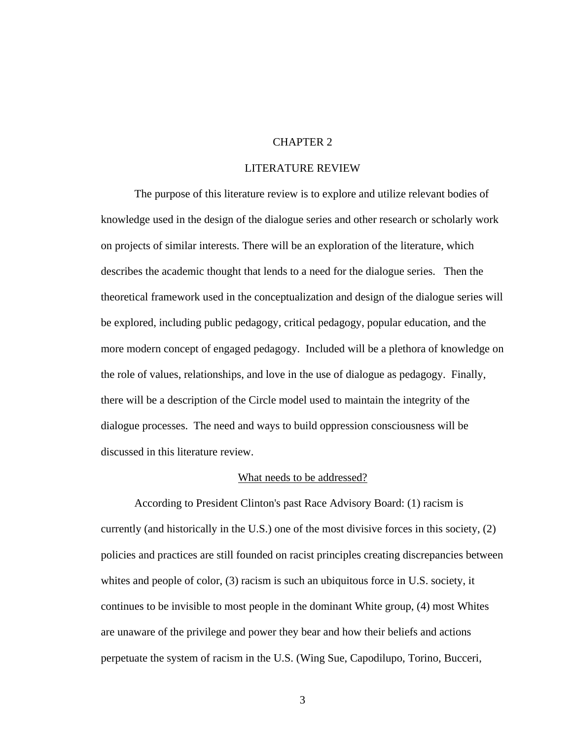## CHAPTER 2

#### LITERATURE REVIEW

The purpose of this literature review is to explore and utilize relevant bodies of knowledge used in the design of the dialogue series and other research or scholarly work on projects of similar interests. There will be an exploration of the literature, which describes the academic thought that lends to a need for the dialogue series. Then the theoretical framework used in the conceptualization and design of the dialogue series will be explored, including public pedagogy, critical pedagogy, popular education, and the more modern concept of engaged pedagogy. Included will be a plethora of knowledge on the role of values, relationships, and love in the use of dialogue as pedagogy. Finally, there will be a description of the Circle model used to maintain the integrity of the dialogue processes. The need and ways to build oppression consciousness will be discussed in this literature review.

# What needs to be addressed?

According to President Clinton's past Race Advisory Board: (1) racism is currently (and historically in the U.S.) one of the most divisive forces in this society, (2) policies and practices are still founded on racist principles creating discrepancies between whites and people of color, (3) racism is such an ubiquitous force in U.S. society, it continues to be invisible to most people in the dominant White group, (4) most Whites are unaware of the privilege and power they bear and how their beliefs and actions perpetuate the system of racism in the U.S. (Wing Sue, Capodilupo, Torino, Bucceri,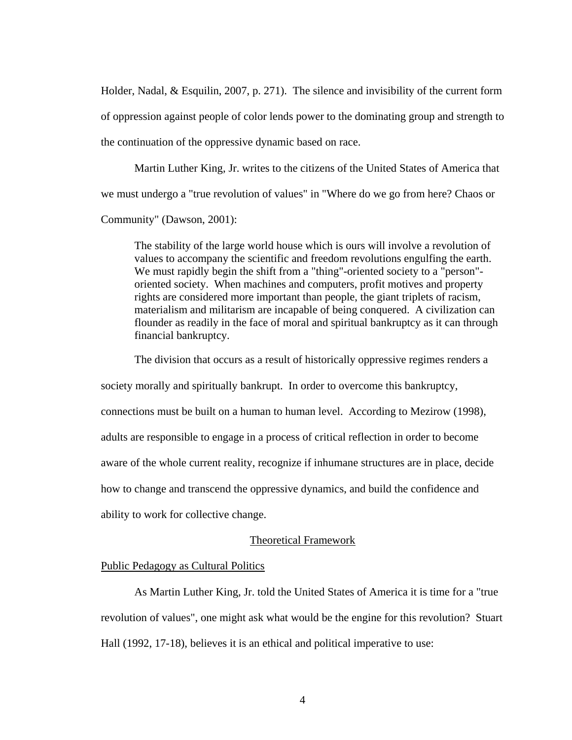Holder, Nadal, & Esquilin, 2007, p. 271). The silence and invisibility of the current form of oppression against people of color lends power to the dominating group and strength to the continuation of the oppressive dynamic based on race.

Martin Luther King, Jr. writes to the citizens of the United States of America that we must undergo a "true revolution of values" in "Where do we go from here? Chaos or Community" (Dawson, 2001):

The stability of the large world house which is ours will involve a revolution of values to accompany the scientific and freedom revolutions engulfing the earth. We must rapidly begin the shift from a "thing"-oriented society to a "person" oriented society. When machines and computers, profit motives and property rights are considered more important than people, the giant triplets of racism, materialism and militarism are incapable of being conquered. A civilization can flounder as readily in the face of moral and spiritual bankruptcy as it can through financial bankruptcy.

The division that occurs as a result of historically oppressive regimes renders a

society morally and spiritually bankrupt. In order to overcome this bankruptcy,

connections must be built on a human to human level. According to Mezirow (1998),

adults are responsible to engage in a process of critical reflection in order to become

aware of the whole current reality, recognize if inhumane structures are in place, decide

how to change and transcend the oppressive dynamics, and build the confidence and

ability to work for collective change.

#### Theoretical Framework

#### Public Pedagogy as Cultural Politics

As Martin Luther King, Jr. told the United States of America it is time for a "true revolution of values", one might ask what would be the engine for this revolution? Stuart Hall (1992, 17-18), believes it is an ethical and political imperative to use: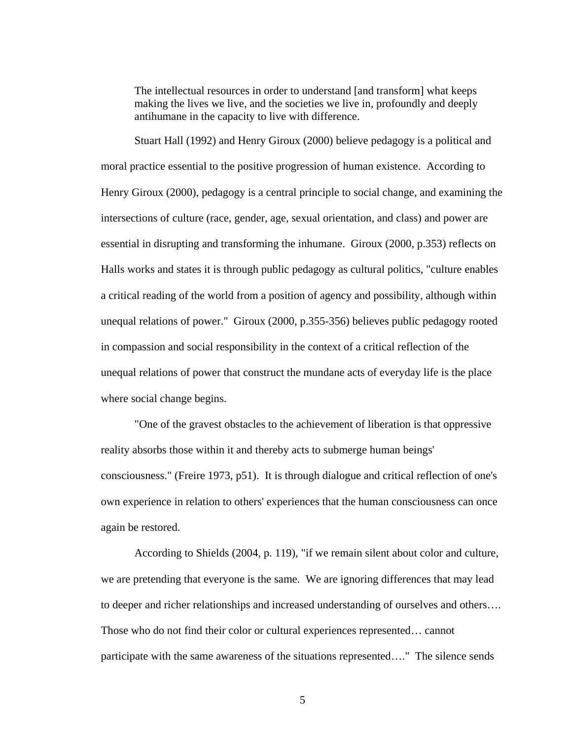The intellectual resources in order to understand [and transform] what keeps making the lives we live, and the societies we live in, profoundly and deeply antihumane in the capacity to live with difference.

Stuart Hall (1992) and Henry Giroux (2000) believe pedagogy is a political and moral practice essential to the positive progression of human existence. According to Henry Giroux (2000), pedagogy is a central principle to social change, and examining the intersections of culture (race, gender, age, sexual orientation, and class) and power are essential in disrupting and transforming the inhumane. Giroux (2000, p.353) reflects on Halls works and states it is through public pedagogy as cultural politics, "culture enables a critical reading of the world from a position of agency and possibility, although within unequal relations of power." Giroux (2000, p.355-356) believes public pedagogy rooted in compassion and social responsibility in the context of a critical reflection of the unequal relations of power that construct the mundane acts of everyday life is the place where social change begins.

"One of the gravest obstacles to the achievement of liberation is that oppressive reality absorbs those within it and thereby acts to submerge human beings' consciousness." (Freire 1973, p51). It is through dialogue and critical reflection of one's own experience in relation to others' experiences that the human consciousness can once again be restored.

According to Shields (2004, p. 119), "if we remain silent about color and culture, we are pretending that everyone is the same. We are ignoring differences that may lead to deeper and richer relationships and increased understanding of ourselves and others…. Those who do not find their color or cultural experiences represented… cannot participate with the same awareness of the situations represented…." The silence sends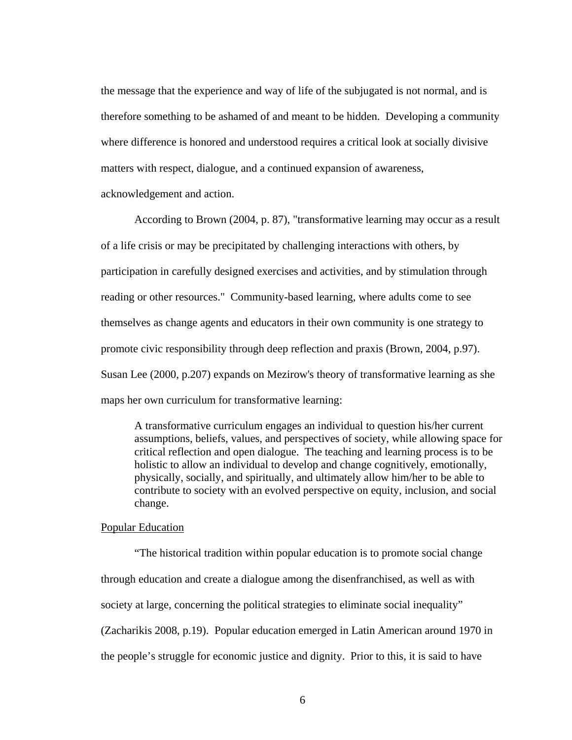the message that the experience and way of life of the subjugated is not normal, and is therefore something to be ashamed of and meant to be hidden. Developing a community where difference is honored and understood requires a critical look at socially divisive matters with respect, dialogue, and a continued expansion of awareness, acknowledgement and action.

According to Brown (2004, p. 87), "transformative learning may occur as a result of a life crisis or may be precipitated by challenging interactions with others, by participation in carefully designed exercises and activities, and by stimulation through reading or other resources." Community-based learning, where adults come to see themselves as change agents and educators in their own community is one strategy to promote civic responsibility through deep reflection and praxis (Brown, 2004, p.97). Susan Lee (2000, p.207) expands on Mezirow's theory of transformative learning as she maps her own curriculum for transformative learning:

A transformative curriculum engages an individual to question his/her current assumptions, beliefs, values, and perspectives of society, while allowing space for critical reflection and open dialogue. The teaching and learning process is to be holistic to allow an individual to develop and change cognitively, emotionally, physically, socially, and spiritually, and ultimately allow him/her to be able to contribute to society with an evolved perspective on equity, inclusion, and social change.

#### Popular Education

"The historical tradition within popular education is to promote social change through education and create a dialogue among the disenfranchised, as well as with society at large, concerning the political strategies to eliminate social inequality" (Zacharikis 2008, p.19). Popular education emerged in Latin American around 1970 in the people's struggle for economic justice and dignity. Prior to this, it is said to have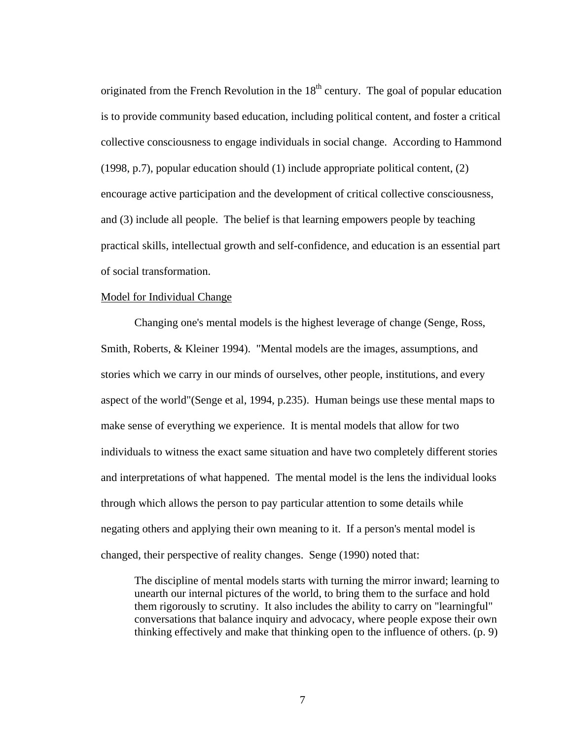originated from the French Revolution in the  $18<sup>th</sup>$  century. The goal of popular education is to provide community based education, including political content, and foster a critical collective consciousness to engage individuals in social change. According to Hammond (1998, p.7), popular education should (1) include appropriate political content, (2) encourage active participation and the development of critical collective consciousness, and (3) include all people. The belief is that learning empowers people by teaching practical skills, intellectual growth and self-confidence, and education is an essential part of social transformation.

#### Model for Individual Change

Changing one's mental models is the highest leverage of change (Senge, Ross, Smith, Roberts, & Kleiner 1994). "Mental models are the images, assumptions, and stories which we carry in our minds of ourselves, other people, institutions, and every aspect of the world"(Senge et al, 1994, p.235). Human beings use these mental maps to make sense of everything we experience. It is mental models that allow for two individuals to witness the exact same situation and have two completely different stories and interpretations of what happened. The mental model is the lens the individual looks through which allows the person to pay particular attention to some details while negating others and applying their own meaning to it. If a person's mental model is changed, their perspective of reality changes. Senge (1990) noted that:

The discipline of mental models starts with turning the mirror inward; learning to unearth our internal pictures of the world, to bring them to the surface and hold them rigorously to scrutiny. It also includes the ability to carry on "learningful" conversations that balance inquiry and advocacy, where people expose their own thinking effectively and make that thinking open to the influence of others. (p. 9)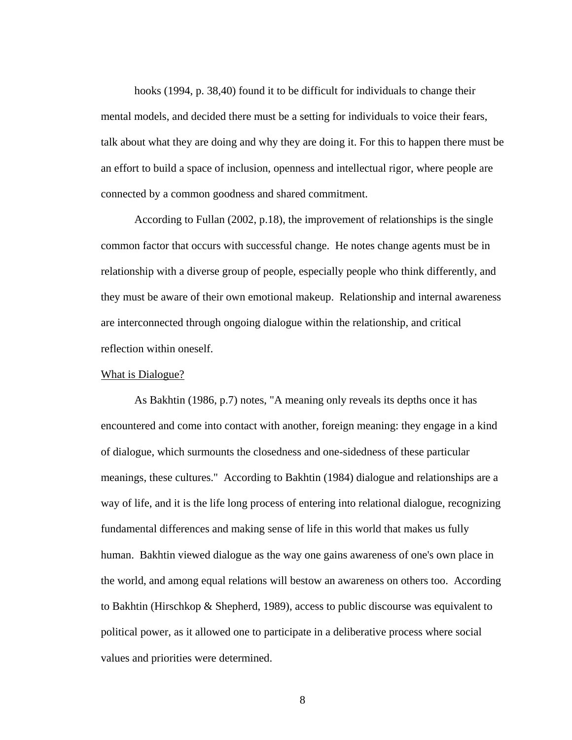hooks (1994, p. 38,40) found it to be difficult for individuals to change their mental models, and decided there must be a setting for individuals to voice their fears, talk about what they are doing and why they are doing it. For this to happen there must be an effort to build a space of inclusion, openness and intellectual rigor, where people are connected by a common goodness and shared commitment.

According to Fullan (2002, p.18), the improvement of relationships is the single common factor that occurs with successful change. He notes change agents must be in relationship with a diverse group of people, especially people who think differently, and they must be aware of their own emotional makeup. Relationship and internal awareness are interconnected through ongoing dialogue within the relationship, and critical reflection within oneself.

#### What is Dialogue?

As Bakhtin (1986, p.7) notes, "A meaning only reveals its depths once it has encountered and come into contact with another, foreign meaning: they engage in a kind of dialogue, which surmounts the closedness and one-sidedness of these particular meanings, these cultures." According to Bakhtin (1984) dialogue and relationships are a way of life, and it is the life long process of entering into relational dialogue, recognizing fundamental differences and making sense of life in this world that makes us fully human. Bakhtin viewed dialogue as the way one gains awareness of one's own place in the world, and among equal relations will bestow an awareness on others too. According to Bakhtin (Hirschkop & Shepherd, 1989), access to public discourse was equivalent to political power, as it allowed one to participate in a deliberative process where social values and priorities were determined.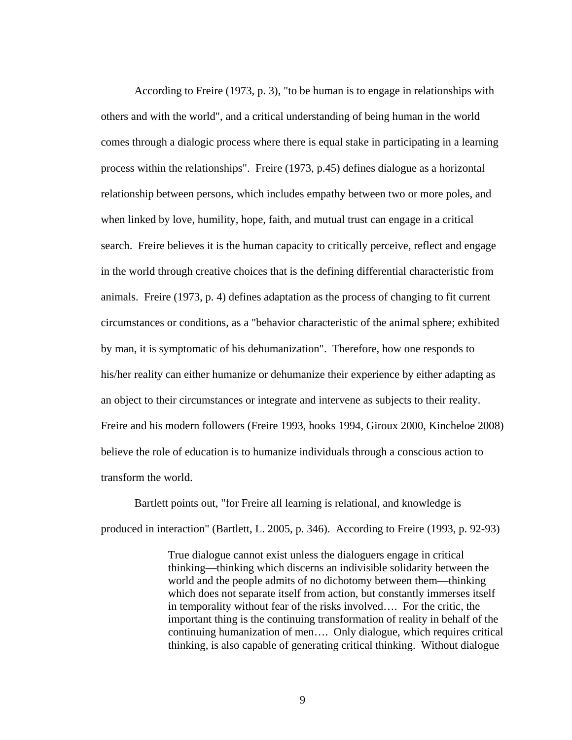According to Freire (1973, p. 3), "to be human is to engage in relationships with others and with the world", and a critical understanding of being human in the world comes through a dialogic process where there is equal stake in participating in a learning process within the relationships". Freire (1973, p.45) defines dialogue as a horizontal relationship between persons, which includes empathy between two or more poles, and when linked by love, humility, hope, faith, and mutual trust can engage in a critical search. Freire believes it is the human capacity to critically perceive, reflect and engage in the world through creative choices that is the defining differential characteristic from animals. Freire (1973, p. 4) defines adaptation as the process of changing to fit current circumstances or conditions, as a "behavior characteristic of the animal sphere; exhibited by man, it is symptomatic of his dehumanization". Therefore, how one responds to his/her reality can either humanize or dehumanize their experience by either adapting as an object to their circumstances or integrate and intervene as subjects to their reality. Freire and his modern followers (Freire 1993, hooks 1994, Giroux 2000, Kincheloe 2008) believe the role of education is to humanize individuals through a conscious action to transform the world.

Bartlett points out, "for Freire all learning is relational, and knowledge is produced in interaction" (Bartlett, L. 2005, p. 346). According to Freire (1993, p. 92-93)

> True dialogue cannot exist unless the dialoguers engage in critical thinking—thinking which discerns an indivisible solidarity between the world and the people admits of no dichotomy between them—thinking which does not separate itself from action, but constantly immerses itself in temporality without fear of the risks involved…. For the critic, the important thing is the continuing transformation of reality in behalf of the continuing humanization of men…. Only dialogue, which requires critical thinking, is also capable of generating critical thinking. Without dialogue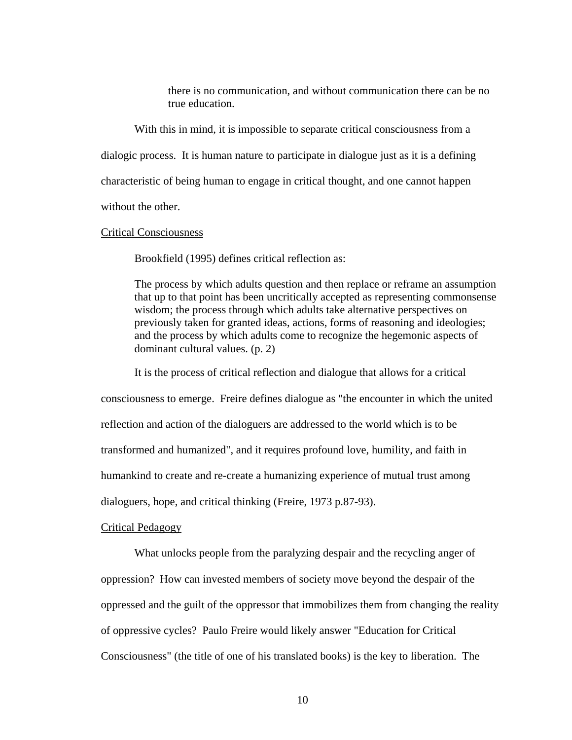there is no communication, and without communication there can be no true education.

With this in mind, it is impossible to separate critical consciousness from a dialogic process. It is human nature to participate in dialogue just as it is a defining characteristic of being human to engage in critical thought, and one cannot happen without the other.

#### Critical Consciousness

Brookfield (1995) defines critical reflection as:

The process by which adults question and then replace or reframe an assumption that up to that point has been uncritically accepted as representing commonsense wisdom; the process through which adults take alternative perspectives on previously taken for granted ideas, actions, forms of reasoning and ideologies; and the process by which adults come to recognize the hegemonic aspects of dominant cultural values. (p. 2)

It is the process of critical reflection and dialogue that allows for a critical

consciousness to emerge. Freire defines dialogue as "the encounter in which the united reflection and action of the dialoguers are addressed to the world which is to be transformed and humanized", and it requires profound love, humility, and faith in humankind to create and re-create a humanizing experience of mutual trust among dialoguers, hope, and critical thinking (Freire, 1973 p.87-93).

#### Critical Pedagogy

What unlocks people from the paralyzing despair and the recycling anger of oppression? How can invested members of society move beyond the despair of the oppressed and the guilt of the oppressor that immobilizes them from changing the reality of oppressive cycles? Paulo Freire would likely answer "Education for Critical Consciousness" (the title of one of his translated books) is the key to liberation. The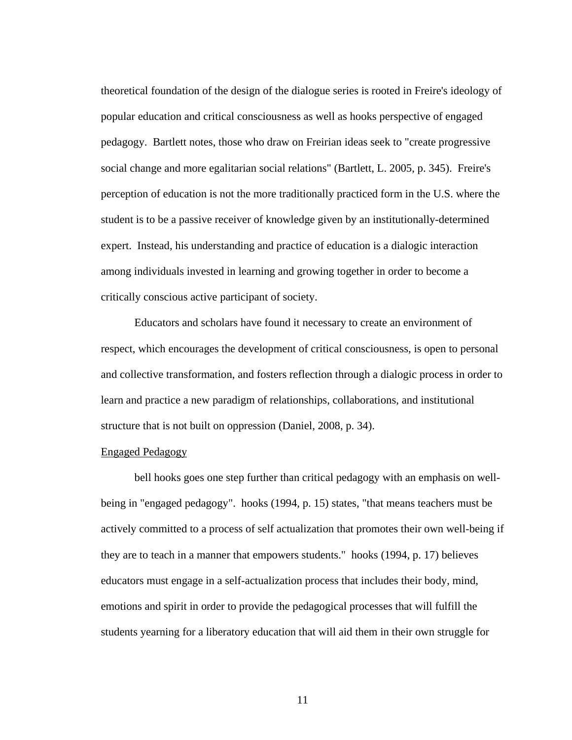theoretical foundation of the design of the dialogue series is rooted in Freire's ideology of popular education and critical consciousness as well as hooks perspective of engaged pedagogy. Bartlett notes, those who draw on Freirian ideas seek to "create progressive social change and more egalitarian social relations" (Bartlett, L. 2005, p. 345). Freire's perception of education is not the more traditionally practiced form in the U.S. where the student is to be a passive receiver of knowledge given by an institutionally-determined expert. Instead, his understanding and practice of education is a dialogic interaction among individuals invested in learning and growing together in order to become a critically conscious active participant of society.

Educators and scholars have found it necessary to create an environment of respect, which encourages the development of critical consciousness, is open to personal and collective transformation, and fosters reflection through a dialogic process in order to learn and practice a new paradigm of relationships, collaborations, and institutional structure that is not built on oppression (Daniel, 2008, p. 34).

### Engaged Pedagogy

bell hooks goes one step further than critical pedagogy with an emphasis on wellbeing in "engaged pedagogy". hooks (1994, p. 15) states, "that means teachers must be actively committed to a process of self actualization that promotes their own well-being if they are to teach in a manner that empowers students." hooks (1994, p. 17) believes educators must engage in a self-actualization process that includes their body, mind, emotions and spirit in order to provide the pedagogical processes that will fulfill the students yearning for a liberatory education that will aid them in their own struggle for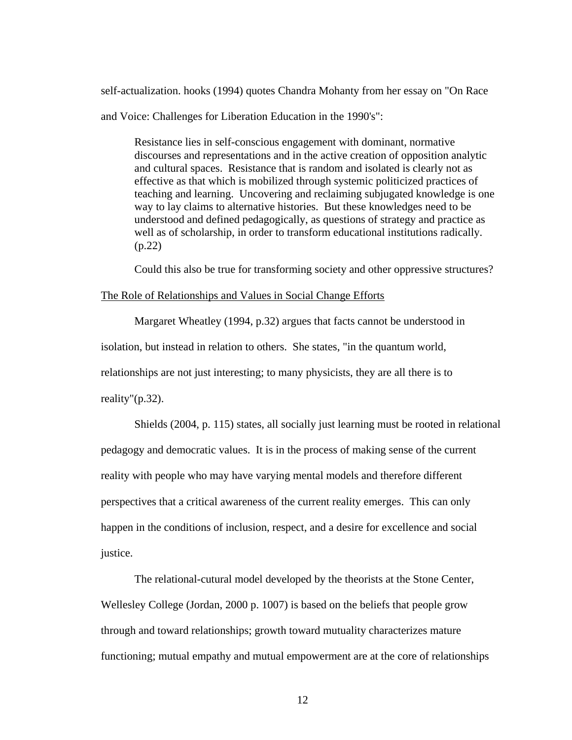self-actualization. hooks (1994) quotes Chandra Mohanty from her essay on "On Race and Voice: Challenges for Liberation Education in the 1990's":

Resistance lies in self-conscious engagement with dominant, normative discourses and representations and in the active creation of opposition analytic and cultural spaces. Resistance that is random and isolated is clearly not as effective as that which is mobilized through systemic politicized practices of teaching and learning. Uncovering and reclaiming subjugated knowledge is one way to lay claims to alternative histories. But these knowledges need to be understood and defined pedagogically, as questions of strategy and practice as well as of scholarship, in order to transform educational institutions radically. (p.22)

Could this also be true for transforming society and other oppressive structures?

#### The Role of Relationships and Values in Social Change Efforts

Margaret Wheatley (1994, p.32) argues that facts cannot be understood in isolation, but instead in relation to others. She states, "in the quantum world, relationships are not just interesting; to many physicists, they are all there is to reality"(p.32).

Shields (2004, p. 115) states, all socially just learning must be rooted in relational pedagogy and democratic values. It is in the process of making sense of the current reality with people who may have varying mental models and therefore different perspectives that a critical awareness of the current reality emerges. This can only happen in the conditions of inclusion, respect, and a desire for excellence and social justice.

The relational-cutural model developed by the theorists at the Stone Center, Wellesley College (Jordan, 2000 p. 1007) is based on the beliefs that people grow through and toward relationships; growth toward mutuality characterizes mature functioning; mutual empathy and mutual empowerment are at the core of relationships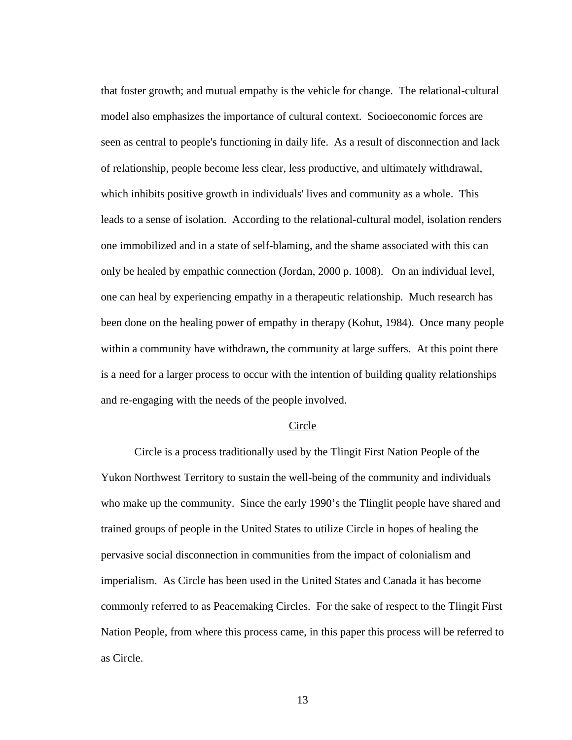that foster growth; and mutual empathy is the vehicle for change. The relational-cultural model also emphasizes the importance of cultural context. Socioeconomic forces are seen as central to people's functioning in daily life. As a result of disconnection and lack of relationship, people become less clear, less productive, and ultimately withdrawal, which inhibits positive growth in individuals' lives and community as a whole. This leads to a sense of isolation. According to the relational-cultural model, isolation renders one immobilized and in a state of self-blaming, and the shame associated with this can only be healed by empathic connection (Jordan, 2000 p. 1008). On an individual level, one can heal by experiencing empathy in a therapeutic relationship. Much research has been done on the healing power of empathy in therapy (Kohut, 1984). Once many people within a community have withdrawn, the community at large suffers. At this point there is a need for a larger process to occur with the intention of building quality relationships and re-engaging with the needs of the people involved.

#### Circle

Circle is a process traditionally used by the Tlingit First Nation People of the Yukon Northwest Territory to sustain the well-being of the community and individuals who make up the community. Since the early 1990's the Tlinglit people have shared and trained groups of people in the United States to utilize Circle in hopes of healing the pervasive social disconnection in communities from the impact of colonialism and imperialism. As Circle has been used in the United States and Canada it has become commonly referred to as Peacemaking Circles. For the sake of respect to the Tlingit First Nation People, from where this process came, in this paper this process will be referred to as Circle.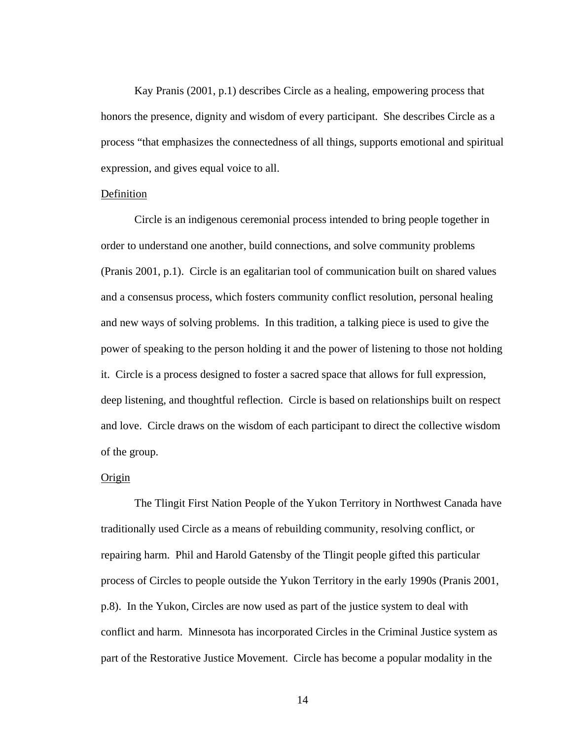Kay Pranis (2001, p.1) describes Circle as a healing, empowering process that honors the presence, dignity and wisdom of every participant. She describes Circle as a process "that emphasizes the connectedness of all things, supports emotional and spiritual expression, and gives equal voice to all.

#### **Definition**

Circle is an indigenous ceremonial process intended to bring people together in order to understand one another, build connections, and solve community problems (Pranis 2001, p.1). Circle is an egalitarian tool of communication built on shared values and a consensus process, which fosters community conflict resolution, personal healing and new ways of solving problems. In this tradition, a talking piece is used to give the power of speaking to the person holding it and the power of listening to those not holding it. Circle is a process designed to foster a sacred space that allows for full expression, deep listening, and thoughtful reflection. Circle is based on relationships built on respect and love. Circle draws on the wisdom of each participant to direct the collective wisdom of the group.

# **Origin**

The Tlingit First Nation People of the Yukon Territory in Northwest Canada have traditionally used Circle as a means of rebuilding community, resolving conflict, or repairing harm. Phil and Harold Gatensby of the Tlingit people gifted this particular process of Circles to people outside the Yukon Territory in the early 1990s (Pranis 2001, p.8). In the Yukon, Circles are now used as part of the justice system to deal with conflict and harm. Minnesota has incorporated Circles in the Criminal Justice system as part of the Restorative Justice Movement. Circle has become a popular modality in the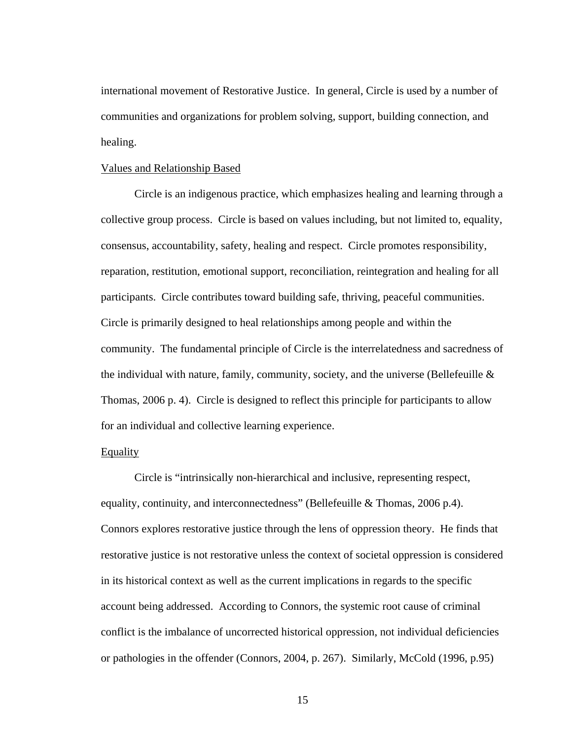international movement of Restorative Justice. In general, Circle is used by a number of communities and organizations for problem solving, support, building connection, and healing.

#### Values and Relationship Based

Circle is an indigenous practice, which emphasizes healing and learning through a collective group process. Circle is based on values including, but not limited to, equality, consensus, accountability, safety, healing and respect. Circle promotes responsibility, reparation, restitution, emotional support, reconciliation, reintegration and healing for all participants. Circle contributes toward building safe, thriving, peaceful communities. Circle is primarily designed to heal relationships among people and within the community. The fundamental principle of Circle is the interrelatedness and sacredness of the individual with nature, family, community, society, and the universe (Bellefeuille  $\&$ Thomas, 2006 p. 4). Circle is designed to reflect this principle for participants to allow for an individual and collective learning experience.

# **Equality**

Circle is "intrinsically non-hierarchical and inclusive, representing respect, equality, continuity, and interconnectedness" (Bellefeuille & Thomas, 2006 p.4). Connors explores restorative justice through the lens of oppression theory. He finds that restorative justice is not restorative unless the context of societal oppression is considered in its historical context as well as the current implications in regards to the specific account being addressed. According to Connors, the systemic root cause of criminal conflict is the imbalance of uncorrected historical oppression, not individual deficiencies or pathologies in the offender (Connors, 2004, p. 267). Similarly, McCold (1996, p.95)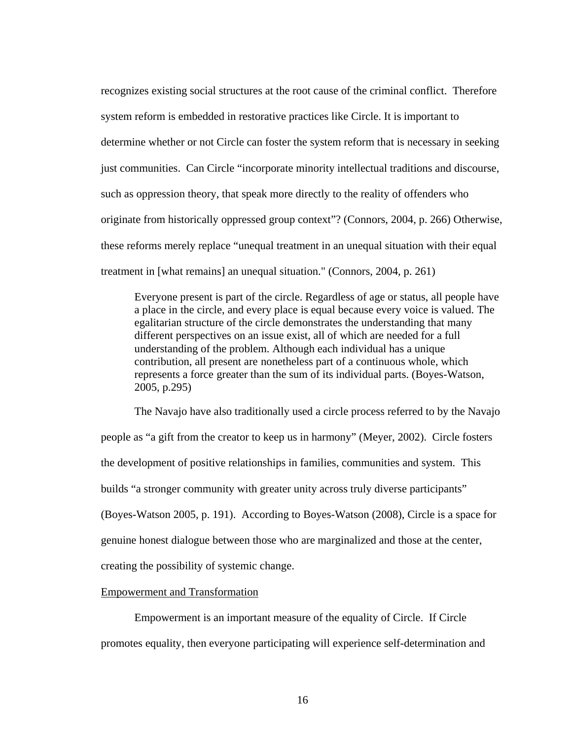recognizes existing social structures at the root cause of the criminal conflict. Therefore system reform is embedded in restorative practices like Circle. It is important to determine whether or not Circle can foster the system reform that is necessary in seeking just communities. Can Circle "incorporate minority intellectual traditions and discourse, such as oppression theory, that speak more directly to the reality of offenders who originate from historically oppressed group context"? (Connors, 2004, p. 266) Otherwise, these reforms merely replace "unequal treatment in an unequal situation with their equal treatment in [what remains] an unequal situation." (Connors, 2004, p. 261)

Everyone present is part of the circle. Regardless of age or status, all people have a place in the circle, and every place is equal because every voice is valued. The egalitarian structure of the circle demonstrates the understanding that many different perspectives on an issue exist, all of which are needed for a full understanding of the problem. Although each individual has a unique contribution, all present are nonetheless part of a continuous whole, which represents a force greater than the sum of its individual parts. (Boyes-Watson, 2005, p.295)

The Navajo have also traditionally used a circle process referred to by the Navajo people as "a gift from the creator to keep us in harmony" (Meyer, 2002). Circle fosters the development of positive relationships in families, communities and system. This builds "a stronger community with greater unity across truly diverse participants" (Boyes-Watson 2005, p. 191). According to Boyes-Watson (2008), Circle is a space for genuine honest dialogue between those who are marginalized and those at the center, creating the possibility of systemic change.

#### Empowerment and Transformation

Empowerment is an important measure of the equality of Circle. If Circle promotes equality, then everyone participating will experience self-determination and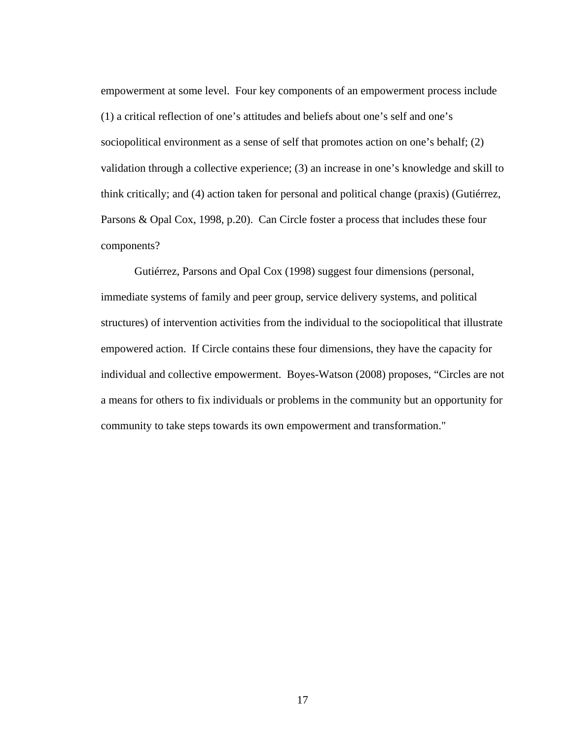empowerment at some level. Four key components of an empowerment process include (1) a critical reflection of one's attitudes and beliefs about one's self and one's sociopolitical environment as a sense of self that promotes action on one's behalf; (2) validation through a collective experience; (3) an increase in one's knowledge and skill to think critically; and (4) action taken for personal and political change (praxis) (Gutiérrez, Parsons & Opal Cox, 1998, p.20). Can Circle foster a process that includes these four components?

Gutiérrez, Parsons and Opal Cox (1998) suggest four dimensions (personal, immediate systems of family and peer group, service delivery systems, and political structures) of intervention activities from the individual to the sociopolitical that illustrate empowered action. If Circle contains these four dimensions, they have the capacity for individual and collective empowerment. Boyes-Watson (2008) proposes, "Circles are not a means for others to fix individuals or problems in the community but an opportunity for community to take steps towards its own empowerment and transformation."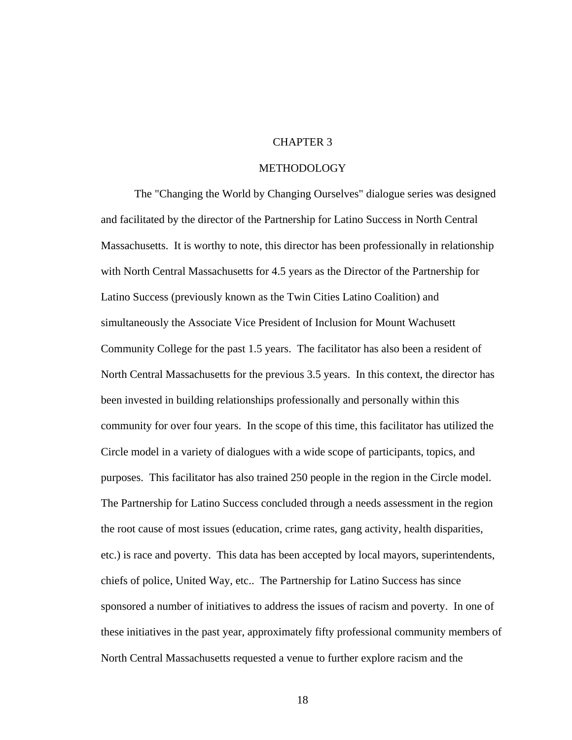## CHAPTER 3

#### METHODOLOGY

The "Changing the World by Changing Ourselves" dialogue series was designed and facilitated by the director of the Partnership for Latino Success in North Central Massachusetts. It is worthy to note, this director has been professionally in relationship with North Central Massachusetts for 4.5 years as the Director of the Partnership for Latino Success (previously known as the Twin Cities Latino Coalition) and simultaneously the Associate Vice President of Inclusion for Mount Wachusett Community College for the past 1.5 years. The facilitator has also been a resident of North Central Massachusetts for the previous 3.5 years. In this context, the director has been invested in building relationships professionally and personally within this community for over four years. In the scope of this time, this facilitator has utilized the Circle model in a variety of dialogues with a wide scope of participants, topics, and purposes. This facilitator has also trained 250 people in the region in the Circle model. The Partnership for Latino Success concluded through a needs assessment in the region the root cause of most issues (education, crime rates, gang activity, health disparities, etc.) is race and poverty. This data has been accepted by local mayors, superintendents, chiefs of police, United Way, etc.. The Partnership for Latino Success has since sponsored a number of initiatives to address the issues of racism and poverty. In one of these initiatives in the past year, approximately fifty professional community members of North Central Massachusetts requested a venue to further explore racism and the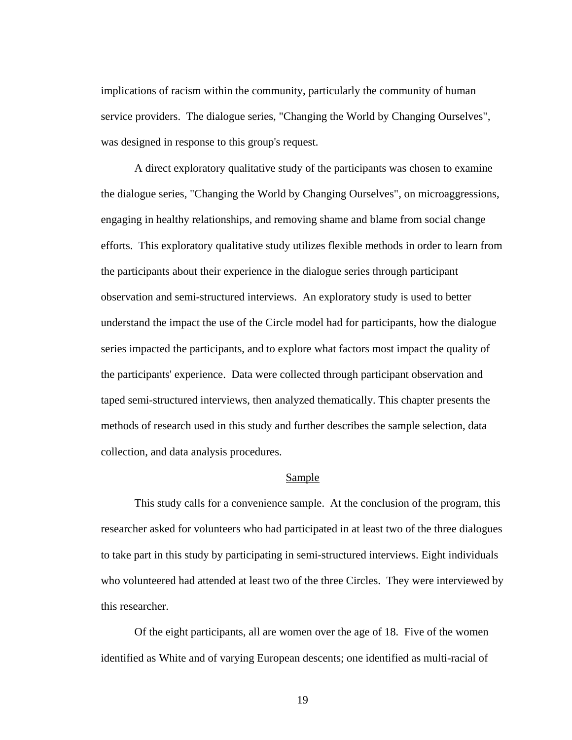implications of racism within the community, particularly the community of human service providers. The dialogue series, "Changing the World by Changing Ourselves"*,* was designed in response to this group's request.

A direct exploratory qualitative study of the participants was chosen to examine the dialogue series, "Changing the World by Changing Ourselves"*,* on microaggressions, engaging in healthy relationships, and removing shame and blame from social change efforts. This exploratory qualitative study utilizes flexible methods in order to learn from the participants about their experience in the dialogue series through participant observation and semi-structured interviews. An exploratory study is used to better understand the impact the use of the Circle model had for participants, how the dialogue series impacted the participants, and to explore what factors most impact the quality of the participants' experience. Data were collected through participant observation and taped semi-structured interviews, then analyzed thematically. This chapter presents the methods of research used in this study and further describes the sample selection, data collection, and data analysis procedures.

#### Sample

This study calls for a convenience sample. At the conclusion of the program, this researcher asked for volunteers who had participated in at least two of the three dialogues to take part in this study by participating in semi-structured interviews. Eight individuals who volunteered had attended at least two of the three Circles. They were interviewed by this researcher.

Of the eight participants, all are women over the age of 18. Five of the women identified as White and of varying European descents; one identified as multi-racial of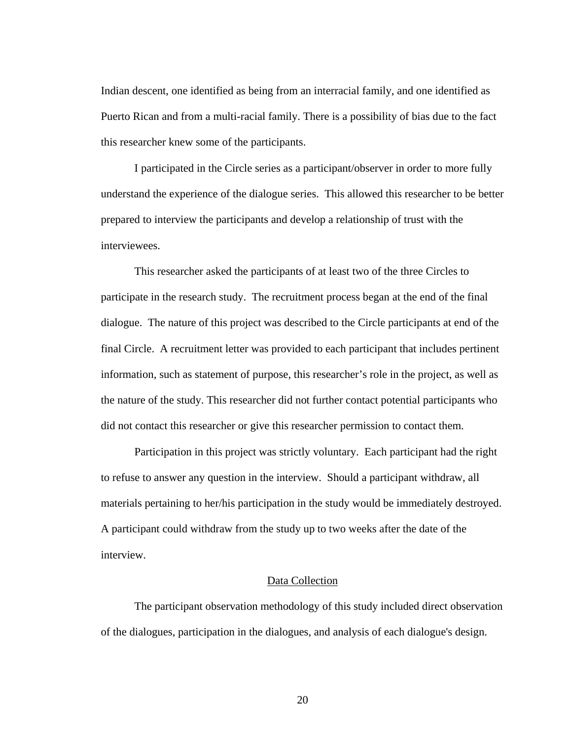Indian descent, one identified as being from an interracial family, and one identified as Puerto Rican and from a multi-racial family. There is a possibility of bias due to the fact this researcher knew some of the participants.

I participated in the Circle series as a participant/observer in order to more fully understand the experience of the dialogue series. This allowed this researcher to be better prepared to interview the participants and develop a relationship of trust with the interviewees.

This researcher asked the participants of at least two of the three Circles to participate in the research study. The recruitment process began at the end of the final dialogue. The nature of this project was described to the Circle participants at end of the final Circle. A recruitment letter was provided to each participant that includes pertinent information, such as statement of purpose, this researcher's role in the project, as well as the nature of the study. This researcher did not further contact potential participants who did not contact this researcher or give this researcher permission to contact them.

Participation in this project was strictly voluntary. Each participant had the right to refuse to answer any question in the interview. Should a participant withdraw, all materials pertaining to her/his participation in the study would be immediately destroyed. A participant could withdraw from the study up to two weeks after the date of the interview.

## Data Collection

The participant observation methodology of this study included direct observation of the dialogues, participation in the dialogues, and analysis of each dialogue's design.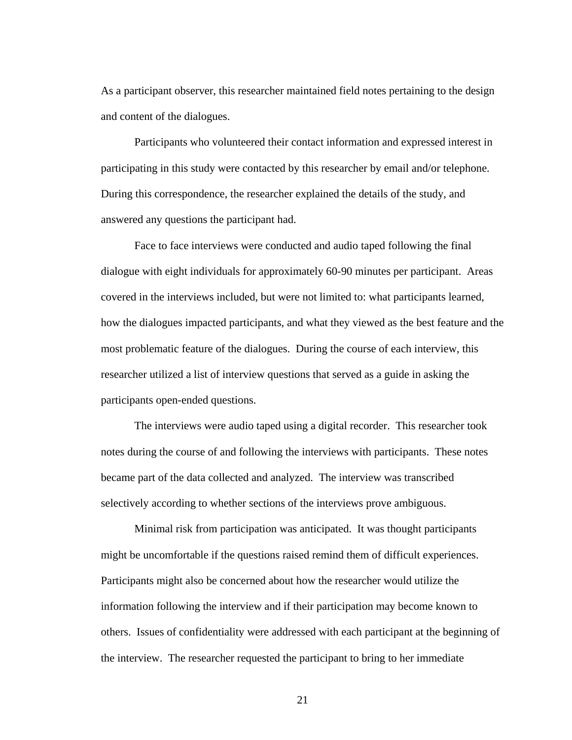As a participant observer, this researcher maintained field notes pertaining to the design and content of the dialogues.

Participants who volunteered their contact information and expressed interest in participating in this study were contacted by this researcher by email and/or telephone. During this correspondence, the researcher explained the details of the study, and answered any questions the participant had.

Face to face interviews were conducted and audio taped following the final dialogue with eight individuals for approximately 60-90 minutes per participant. Areas covered in the interviews included, but were not limited to: what participants learned, how the dialogues impacted participants, and what they viewed as the best feature and the most problematic feature of the dialogues. During the course of each interview, this researcher utilized a list of interview questions that served as a guide in asking the participants open-ended questions.

The interviews were audio taped using a digital recorder. This researcher took notes during the course of and following the interviews with participants. These notes became part of the data collected and analyzed. The interview was transcribed selectively according to whether sections of the interviews prove ambiguous.

Minimal risk from participation was anticipated. It was thought participants might be uncomfortable if the questions raised remind them of difficult experiences. Participants might also be concerned about how the researcher would utilize the information following the interview and if their participation may become known to others. Issues of confidentiality were addressed with each participant at the beginning of the interview. The researcher requested the participant to bring to her immediate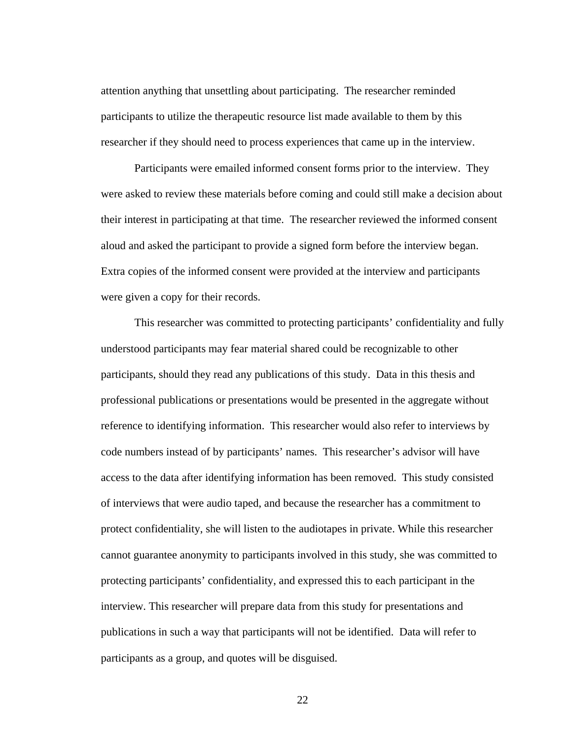attention anything that unsettling about participating. The researcher reminded participants to utilize the therapeutic resource list made available to them by this researcher if they should need to process experiences that came up in the interview.

Participants were emailed informed consent forms prior to the interview. They were asked to review these materials before coming and could still make a decision about their interest in participating at that time. The researcher reviewed the informed consent aloud and asked the participant to provide a signed form before the interview began. Extra copies of the informed consent were provided at the interview and participants were given a copy for their records.

This researcher was committed to protecting participants' confidentiality and fully understood participants may fear material shared could be recognizable to other participants, should they read any publications of this study. Data in this thesis and professional publications or presentations would be presented in the aggregate without reference to identifying information. This researcher would also refer to interviews by code numbers instead of by participants' names. This researcher's advisor will have access to the data after identifying information has been removed. This study consisted of interviews that were audio taped, and because the researcher has a commitment to protect confidentiality, she will listen to the audiotapes in private. While this researcher cannot guarantee anonymity to participants involved in this study, she was committed to protecting participants' confidentiality, and expressed this to each participant in the interview. This researcher will prepare data from this study for presentations and publications in such a way that participants will not be identified. Data will refer to participants as a group, and quotes will be disguised.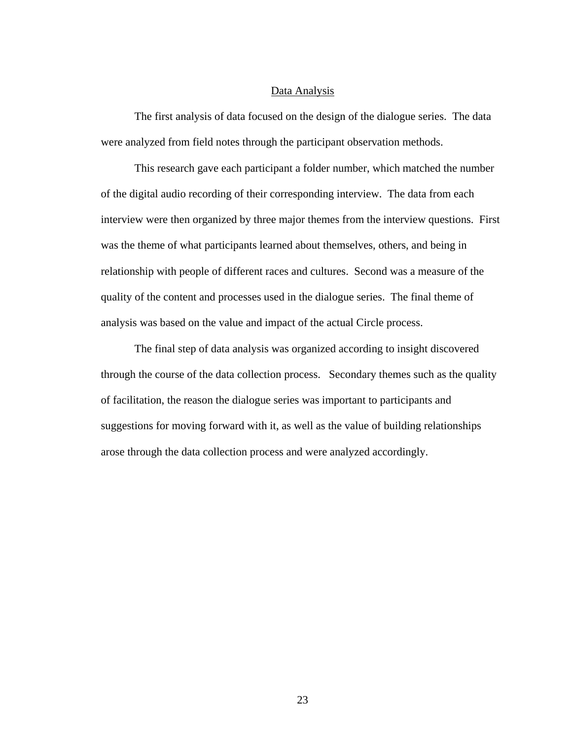#### Data Analysis

The first analysis of data focused on the design of the dialogue series. The data were analyzed from field notes through the participant observation methods.

This research gave each participant a folder number, which matched the number of the digital audio recording of their corresponding interview. The data from each interview were then organized by three major themes from the interview questions. First was the theme of what participants learned about themselves, others, and being in relationship with people of different races and cultures. Second was a measure of the quality of the content and processes used in the dialogue series. The final theme of analysis was based on the value and impact of the actual Circle process.

The final step of data analysis was organized according to insight discovered through the course of the data collection process. Secondary themes such as the quality of facilitation, the reason the dialogue series was important to participants and suggestions for moving forward with it, as well as the value of building relationships arose through the data collection process and were analyzed accordingly.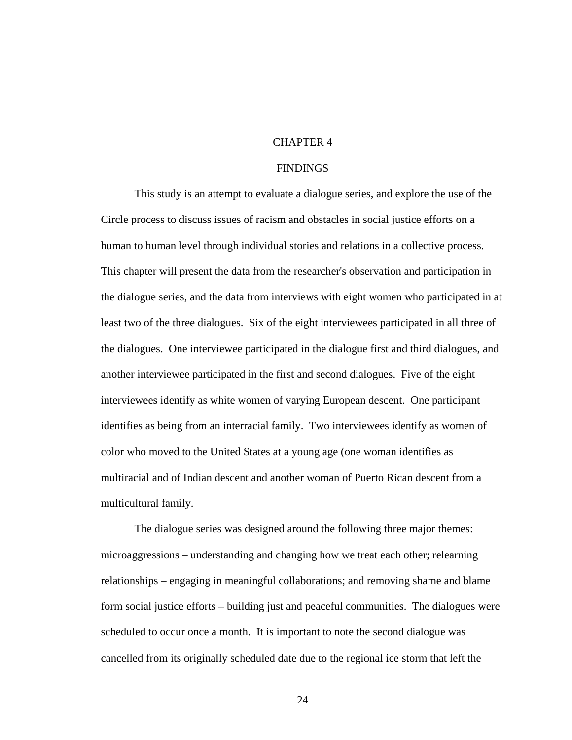#### CHAPTER 4

#### **FINDINGS**

This study is an attempt to evaluate a dialogue series, and explore the use of the Circle process to discuss issues of racism and obstacles in social justice efforts on a human to human level through individual stories and relations in a collective process. This chapter will present the data from the researcher's observation and participation in the dialogue series, and the data from interviews with eight women who participated in at least two of the three dialogues. Six of the eight interviewees participated in all three of the dialogues. One interviewee participated in the dialogue first and third dialogues, and another interviewee participated in the first and second dialogues. Five of the eight interviewees identify as white women of varying European descent. One participant identifies as being from an interracial family. Two interviewees identify as women of color who moved to the United States at a young age (one woman identifies as multiracial and of Indian descent and another woman of Puerto Rican descent from a multicultural family.

The dialogue series was designed around the following three major themes: microaggressions – understanding and changing how we treat each other; relearning relationships – engaging in meaningful collaborations; and removing shame and blame form social justice efforts – building just and peaceful communities. The dialogues were scheduled to occur once a month. It is important to note the second dialogue was cancelled from its originally scheduled date due to the regional ice storm that left the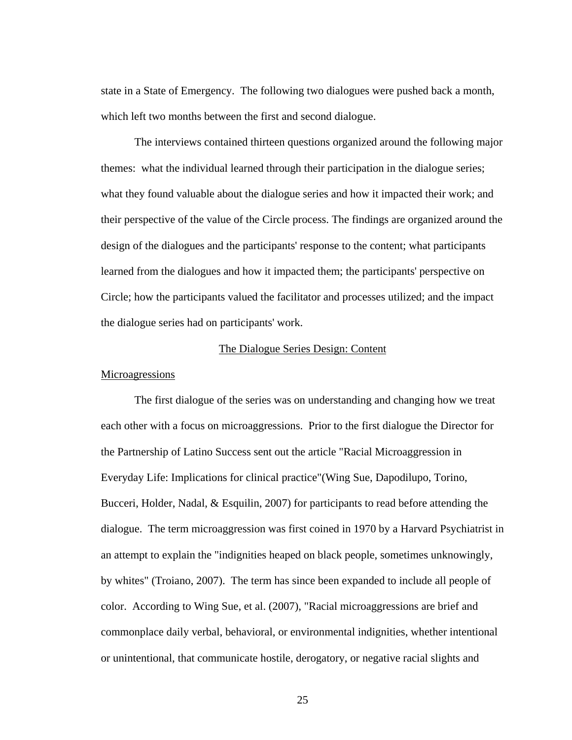state in a State of Emergency. The following two dialogues were pushed back a month, which left two months between the first and second dialogue.

The interviews contained thirteen questions organized around the following major themes: what the individual learned through their participation in the dialogue series; what they found valuable about the dialogue series and how it impacted their work; and their perspective of the value of the Circle process. The findings are organized around the design of the dialogues and the participants' response to the content; what participants learned from the dialogues and how it impacted them; the participants' perspective on Circle; how the participants valued the facilitator and processes utilized; and the impact the dialogue series had on participants' work.

## The Dialogue Series Design: Content

#### **Microagressions**

The first dialogue of the series was on understanding and changing how we treat each other with a focus on microaggressions. Prior to the first dialogue the Director for the Partnership of Latino Success sent out the article "Racial Microaggression in Everyday Life: Implications for clinical practice"(Wing Sue, Dapodilupo, Torino, Bucceri, Holder, Nadal, & Esquilin, 2007) for participants to read before attending the dialogue. The term microaggression was first coined in 1970 by a Harvard Psychiatrist in an attempt to explain the "indignities heaped on black people, sometimes unknowingly, by whites" (Troiano, 2007). The term has since been expanded to include all people of color. According to Wing Sue, et al. (2007), "Racial microaggressions are brief and commonplace daily verbal, behavioral, or environmental indignities, whether intentional or unintentional, that communicate hostile, derogatory, or negative racial slights and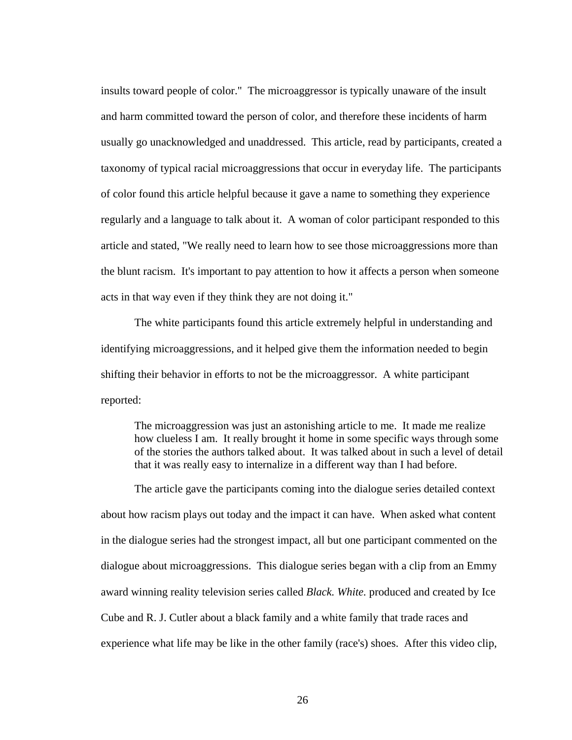insults toward people of color." The microaggressor is typically unaware of the insult and harm committed toward the person of color, and therefore these incidents of harm usually go unacknowledged and unaddressed. This article, read by participants, created a taxonomy of typical racial microaggressions that occur in everyday life. The participants of color found this article helpful because it gave a name to something they experience regularly and a language to talk about it. A woman of color participant responded to this article and stated, "We really need to learn how to see those microaggressions more than the blunt racism. It's important to pay attention to how it affects a person when someone acts in that way even if they think they are not doing it."

The white participants found this article extremely helpful in understanding and identifying microaggressions, and it helped give them the information needed to begin shifting their behavior in efforts to not be the microaggressor. A white participant reported:

The microaggression was just an astonishing article to me. It made me realize how clueless I am. It really brought it home in some specific ways through some of the stories the authors talked about. It was talked about in such a level of detail that it was really easy to internalize in a different way than I had before.

The article gave the participants coming into the dialogue series detailed context about how racism plays out today and the impact it can have. When asked what content in the dialogue series had the strongest impact, all but one participant commented on the dialogue about microaggressions. This dialogue series began with a clip from an Emmy award winning reality television series called *Black. White.* produced and created by Ice Cube and R. J. Cutler about a black family and a white family that trade races and experience what life may be like in the other family (race's) shoes. After this video clip,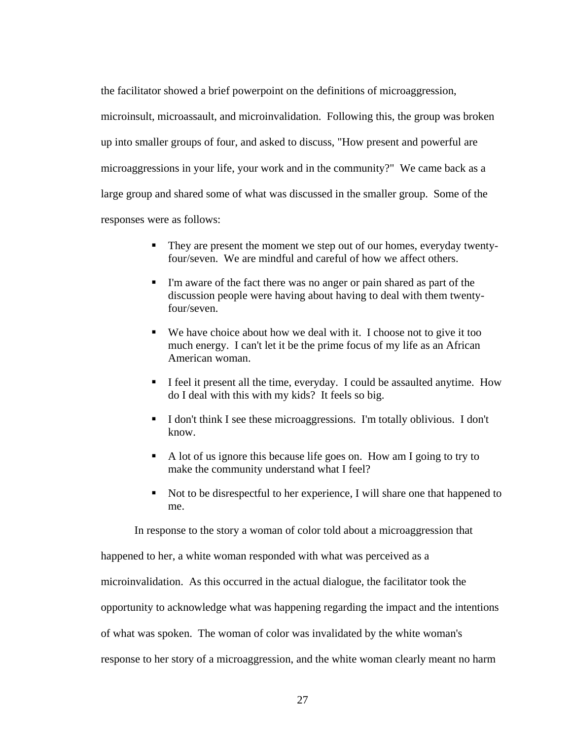the facilitator showed a brief powerpoint on the definitions of microaggression, microinsult, microassault, and microinvalidation. Following this, the group was broken up into smaller groups of four, and asked to discuss, "How present and powerful are microaggressions in your life, your work and in the community?" We came back as a large group and shared some of what was discussed in the smaller group. Some of the responses were as follows:

- They are present the moment we step out of our homes, everyday twentyfour/seven. We are mindful and careful of how we affect others.
- I'm aware of the fact there was no anger or pain shared as part of the discussion people were having about having to deal with them twentyfour/seven.
- We have choice about how we deal with it. I choose not to give it too much energy. I can't let it be the prime focus of my life as an African American woman.
- I feel it present all the time, everyday. I could be assaulted anytime. How do I deal with this with my kids? It feels so big.
- I don't think I see these microaggressions. I'm totally oblivious. I don't know.
- A lot of us ignore this because life goes on. How am I going to try to make the community understand what I feel?
- Not to be disrespectful to her experience, I will share one that happened to me.

In response to the story a woman of color told about a microaggression that

happened to her, a white woman responded with what was perceived as a

microinvalidation. As this occurred in the actual dialogue, the facilitator took the

opportunity to acknowledge what was happening regarding the impact and the intentions

of what was spoken. The woman of color was invalidated by the white woman's

response to her story of a microaggression, and the white woman clearly meant no harm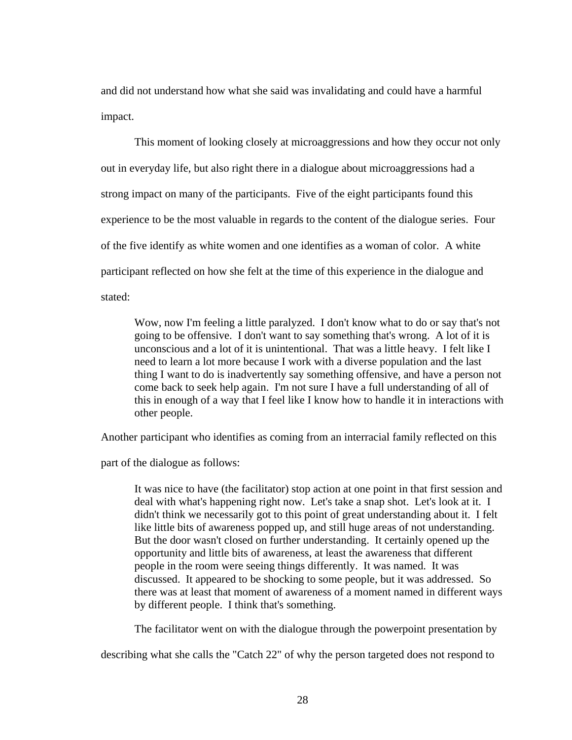and did not understand how what she said was invalidating and could have a harmful impact.

This moment of looking closely at microaggressions and how they occur not only out in everyday life, but also right there in a dialogue about microaggressions had a strong impact on many of the participants. Five of the eight participants found this experience to be the most valuable in regards to the content of the dialogue series. Four of the five identify as white women and one identifies as a woman of color. A white participant reflected on how she felt at the time of this experience in the dialogue and stated:

Wow, now I'm feeling a little paralyzed. I don't know what to do or say that's not going to be offensive. I don't want to say something that's wrong. A lot of it is unconscious and a lot of it is unintentional. That was a little heavy. I felt like I need to learn a lot more because I work with a diverse population and the last thing I want to do is inadvertently say something offensive, and have a person not come back to seek help again. I'm not sure I have a full understanding of all of this in enough of a way that I feel like I know how to handle it in interactions with other people.

Another participant who identifies as coming from an interracial family reflected on this

part of the dialogue as follows:

It was nice to have (the facilitator) stop action at one point in that first session and deal with what's happening right now. Let's take a snap shot. Let's look at it. I didn't think we necessarily got to this point of great understanding about it. I felt like little bits of awareness popped up, and still huge areas of not understanding. But the door wasn't closed on further understanding. It certainly opened up the opportunity and little bits of awareness, at least the awareness that different people in the room were seeing things differently. It was named. It was discussed. It appeared to be shocking to some people, but it was addressed. So there was at least that moment of awareness of a moment named in different ways by different people. I think that's something.

The facilitator went on with the dialogue through the powerpoint presentation by

describing what she calls the "Catch 22" of why the person targeted does not respond to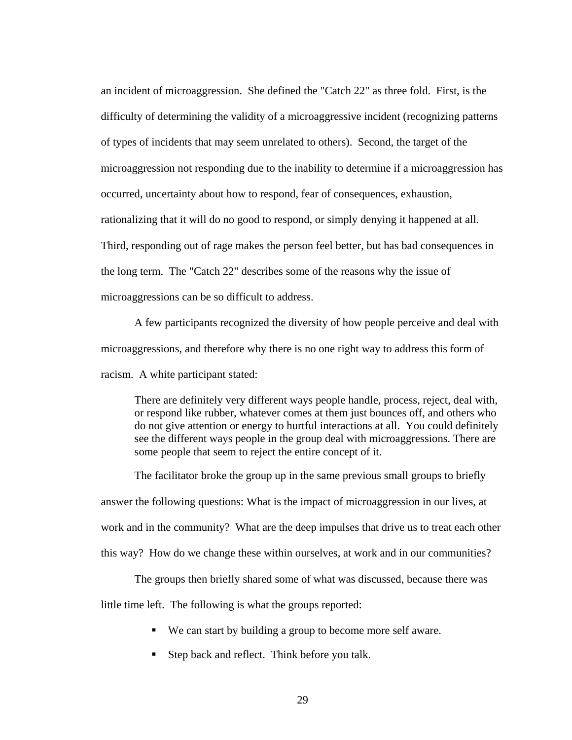an incident of microaggression. She defined the "Catch 22" as three fold. First, is the difficulty of determining the validity of a microaggressive incident (recognizing patterns of types of incidents that may seem unrelated to others). Second, the target of the microaggression not responding due to the inability to determine if a microaggression has occurred, uncertainty about how to respond, fear of consequences, exhaustion, rationalizing that it will do no good to respond, or simply denying it happened at all. Third, responding out of rage makes the person feel better, but has bad consequences in the long term. The "Catch 22" describes some of the reasons why the issue of microaggressions can be so difficult to address.

A few participants recognized the diversity of how people perceive and deal with microaggressions, and therefore why there is no one right way to address this form of racism. A white participant stated:

There are definitely very different ways people handle, process, reject, deal with, or respond like rubber, whatever comes at them just bounces off, and others who do not give attention or energy to hurtful interactions at all. You could definitely see the different ways people in the group deal with microaggressions. There are some people that seem to reject the entire concept of it.

The facilitator broke the group up in the same previous small groups to briefly answer the following questions: What is the impact of microaggression in our lives, at work and in the community? What are the deep impulses that drive us to treat each other this way? How do we change these within ourselves, at work and in our communities?

The groups then briefly shared some of what was discussed, because there was

little time left. The following is what the groups reported:

- We can start by building a group to become more self aware.
- Step back and reflect. Think before you talk.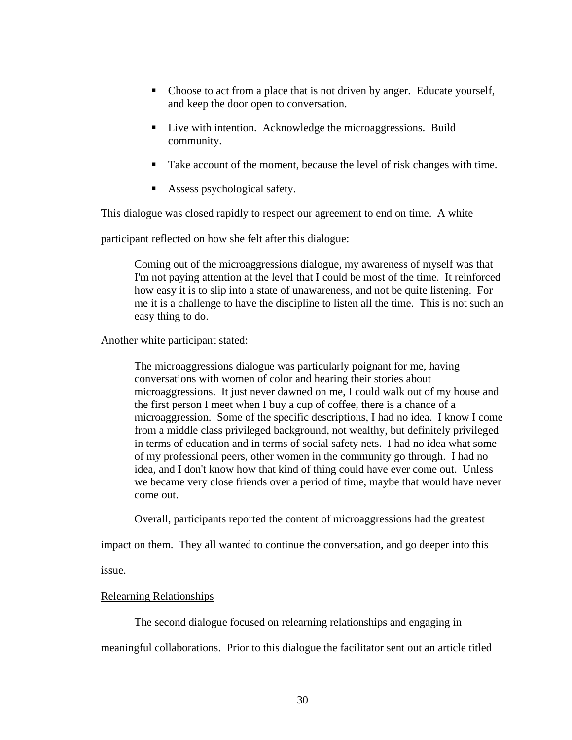- Choose to act from a place that is not driven by anger. Educate yourself, and keep the door open to conversation.
- Live with intention. Acknowledge the microaggressions. Build community.
- Take account of the moment, because the level of risk changes with time.
- **Assess psychological safety.**

This dialogue was closed rapidly to respect our agreement to end on time. A white

participant reflected on how she felt after this dialogue:

Coming out of the microaggressions dialogue, my awareness of myself was that I'm not paying attention at the level that I could be most of the time. It reinforced how easy it is to slip into a state of unawareness, and not be quite listening. For me it is a challenge to have the discipline to listen all the time. This is not such an easy thing to do.

Another white participant stated:

The microaggressions dialogue was particularly poignant for me, having conversations with women of color and hearing their stories about microaggressions. It just never dawned on me, I could walk out of my house and the first person I meet when I buy a cup of coffee, there is a chance of a microaggression. Some of the specific descriptions, I had no idea. I know I come from a middle class privileged background, not wealthy, but definitely privileged in terms of education and in terms of social safety nets. I had no idea what some of my professional peers, other women in the community go through. I had no idea, and I don't know how that kind of thing could have ever come out. Unless we became very close friends over a period of time, maybe that would have never come out.

Overall, participants reported the content of microaggressions had the greatest

impact on them. They all wanted to continue the conversation, and go deeper into this

issue.

## Relearning Relationships

The second dialogue focused on relearning relationships and engaging in

meaningful collaborations. Prior to this dialogue the facilitator sent out an article titled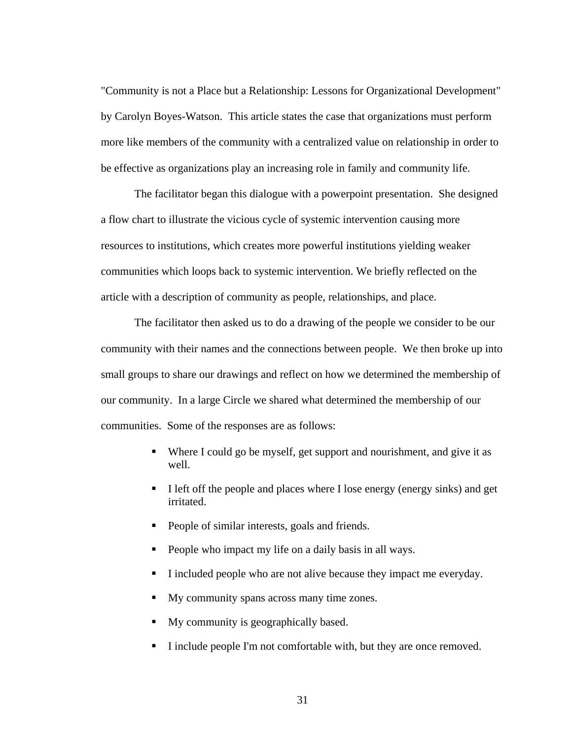"Community is not a Place but a Relationship: Lessons for Organizational Development" by Carolyn Boyes-Watson. This article states the case that organizations must perform more like members of the community with a centralized value on relationship in order to be effective as organizations play an increasing role in family and community life.

The facilitator began this dialogue with a powerpoint presentation. She designed a flow chart to illustrate the vicious cycle of systemic intervention causing more resources to institutions, which creates more powerful institutions yielding weaker communities which loops back to systemic intervention. We briefly reflected on the article with a description of community as people, relationships, and place.

The facilitator then asked us to do a drawing of the people we consider to be our community with their names and the connections between people. We then broke up into small groups to share our drawings and reflect on how we determined the membership of our community. In a large Circle we shared what determined the membership of our communities. Some of the responses are as follows:

- Where I could go be myself, get support and nourishment, and give it as well.
- I left off the people and places where I lose energy (energy sinks) and get irritated.
- People of similar interests, goals and friends.
- People who impact my life on a daily basis in all ways.
- I included people who are not alive because they impact me everyday.
- My community spans across many time zones.
- My community is geographically based.
- I include people I'm not comfortable with, but they are once removed.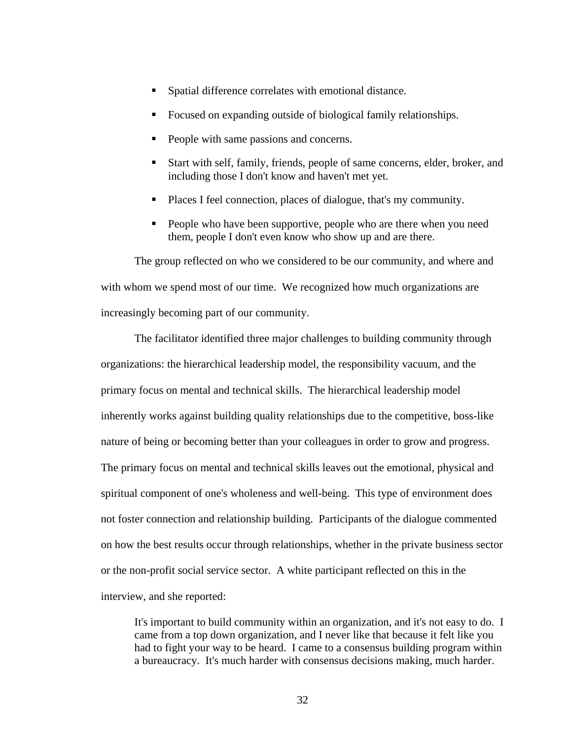- **Spatial difference correlates with emotional distance.**
- Focused on expanding outside of biological family relationships.
- People with same passions and concerns.
- Start with self, family, friends, people of same concerns, elder, broker, and including those I don't know and haven't met yet.
- Places I feel connection, places of dialogue, that's my community.
- People who have been supportive, people who are there when you need them, people I don't even know who show up and are there.

The group reflected on who we considered to be our community, and where and with whom we spend most of our time. We recognized how much organizations are increasingly becoming part of our community.

The facilitator identified three major challenges to building community through organizations: the hierarchical leadership model, the responsibility vacuum, and the primary focus on mental and technical skills. The hierarchical leadership model inherently works against building quality relationships due to the competitive, boss-like nature of being or becoming better than your colleagues in order to grow and progress. The primary focus on mental and technical skills leaves out the emotional, physical and spiritual component of one's wholeness and well-being. This type of environment does not foster connection and relationship building. Participants of the dialogue commented on how the best results occur through relationships, whether in the private business sector or the non-profit social service sector. A white participant reflected on this in the interview, and she reported:

It's important to build community within an organization, and it's not easy to do. I came from a top down organization, and I never like that because it felt like you had to fight your way to be heard. I came to a consensus building program within a bureaucracy. It's much harder with consensus decisions making, much harder.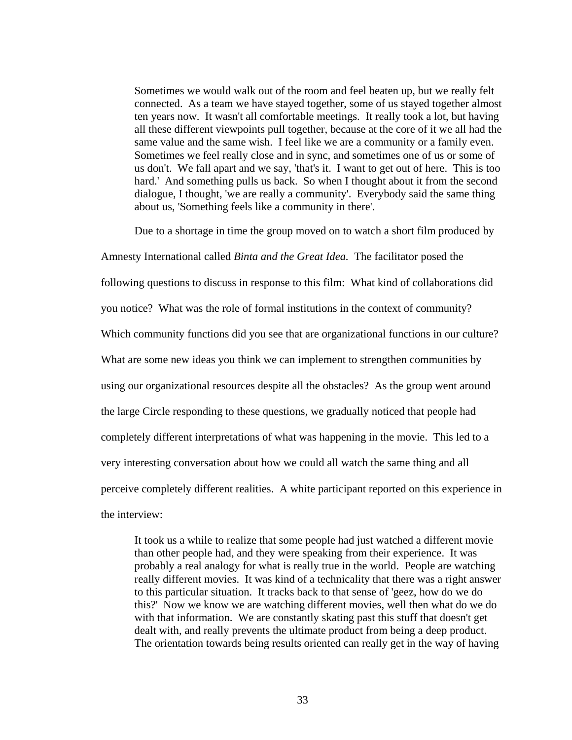Sometimes we would walk out of the room and feel beaten up, but we really felt connected. As a team we have stayed together, some of us stayed together almost ten years now. It wasn't all comfortable meetings. It really took a lot, but having all these different viewpoints pull together, because at the core of it we all had the same value and the same wish. I feel like we are a community or a family even. Sometimes we feel really close and in sync, and sometimes one of us or some of us don't. We fall apart and we say, 'that's it. I want to get out of here. This is too hard.' And something pulls us back. So when I thought about it from the second dialogue, I thought, 'we are really a community'. Everybody said the same thing about us, 'Something feels like a community in there'.

Due to a shortage in time the group moved on to watch a short film produced by Amnesty International called *Binta and the Great Idea.* The facilitator posed the following questions to discuss in response to this film: What kind of collaborations did you notice? What was the role of formal institutions in the context of community? Which community functions did you see that are organizational functions in our culture? What are some new ideas you think we can implement to strengthen communities by using our organizational resources despite all the obstacles? As the group went around the large Circle responding to these questions, we gradually noticed that people had completely different interpretations of what was happening in the movie. This led to a very interesting conversation about how we could all watch the same thing and all perceive completely different realities. A white participant reported on this experience in the interview:

It took us a while to realize that some people had just watched a different movie than other people had, and they were speaking from their experience. It was probably a real analogy for what is really true in the world. People are watching really different movies. It was kind of a technicality that there was a right answer to this particular situation. It tracks back to that sense of 'geez, how do we do this?' Now we know we are watching different movies, well then what do we do with that information. We are constantly skating past this stuff that doesn't get dealt with, and really prevents the ultimate product from being a deep product. The orientation towards being results oriented can really get in the way of having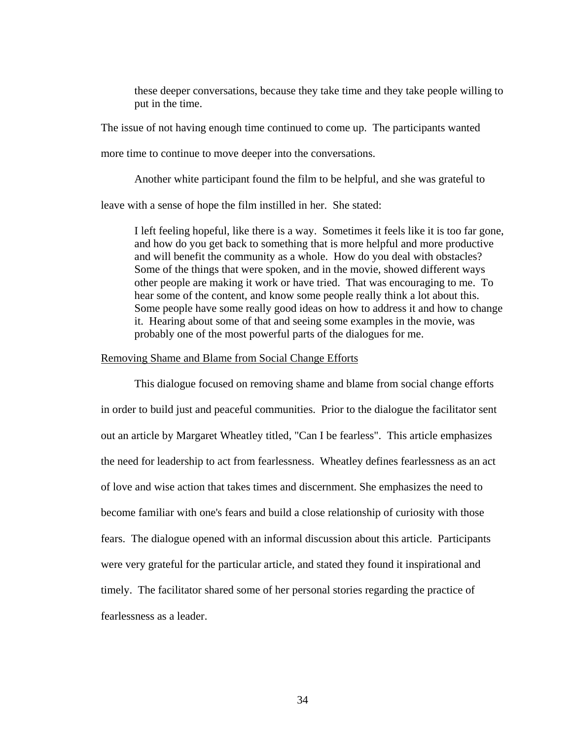these deeper conversations, because they take time and they take people willing to put in the time.

The issue of not having enough time continued to come up. The participants wanted

more time to continue to move deeper into the conversations.

Another white participant found the film to be helpful, and she was grateful to

leave with a sense of hope the film instilled in her. She stated:

I left feeling hopeful, like there is a way. Sometimes it feels like it is too far gone, and how do you get back to something that is more helpful and more productive and will benefit the community as a whole. How do you deal with obstacles? Some of the things that were spoken, and in the movie, showed different ways other people are making it work or have tried. That was encouraging to me. To hear some of the content, and know some people really think a lot about this. Some people have some really good ideas on how to address it and how to change it. Hearing about some of that and seeing some examples in the movie, was probably one of the most powerful parts of the dialogues for me.

#### Removing Shame and Blame from Social Change Efforts

This dialogue focused on removing shame and blame from social change efforts in order to build just and peaceful communities. Prior to the dialogue the facilitator sent out an article by Margaret Wheatley titled, "Can I be fearless". This article emphasizes the need for leadership to act from fearlessness. Wheatley defines fearlessness as an act of love and wise action that takes times and discernment. She emphasizes the need to become familiar with one's fears and build a close relationship of curiosity with those fears. The dialogue opened with an informal discussion about this article. Participants were very grateful for the particular article, and stated they found it inspirational and timely. The facilitator shared some of her personal stories regarding the practice of fearlessness as a leader.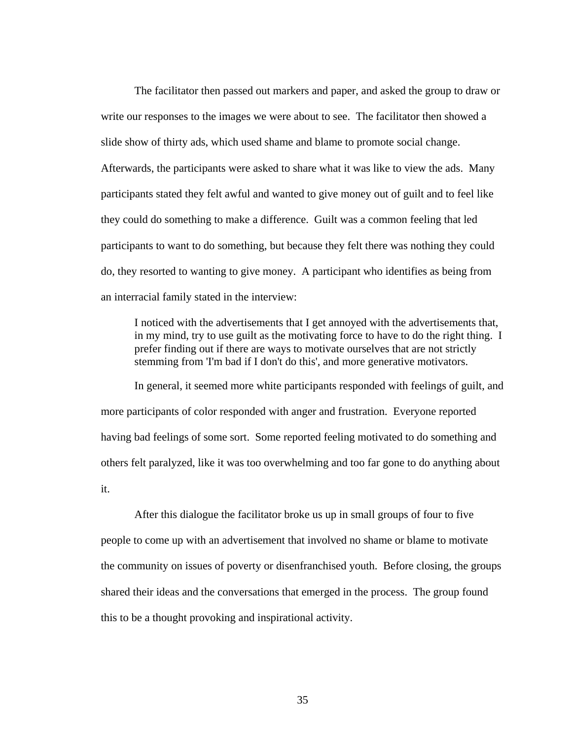The facilitator then passed out markers and paper, and asked the group to draw or write our responses to the images we were about to see. The facilitator then showed a slide show of thirty ads, which used shame and blame to promote social change. Afterwards, the participants were asked to share what it was like to view the ads. Many participants stated they felt awful and wanted to give money out of guilt and to feel like they could do something to make a difference. Guilt was a common feeling that led participants to want to do something, but because they felt there was nothing they could do, they resorted to wanting to give money. A participant who identifies as being from an interracial family stated in the interview:

I noticed with the advertisements that I get annoyed with the advertisements that, in my mind, try to use guilt as the motivating force to have to do the right thing. I prefer finding out if there are ways to motivate ourselves that are not strictly stemming from 'I'm bad if I don't do this', and more generative motivators.

In general, it seemed more white participants responded with feelings of guilt, and more participants of color responded with anger and frustration. Everyone reported having bad feelings of some sort. Some reported feeling motivated to do something and others felt paralyzed, like it was too overwhelming and too far gone to do anything about it.

After this dialogue the facilitator broke us up in small groups of four to five people to come up with an advertisement that involved no shame or blame to motivate the community on issues of poverty or disenfranchised youth. Before closing, the groups shared their ideas and the conversations that emerged in the process. The group found this to be a thought provoking and inspirational activity.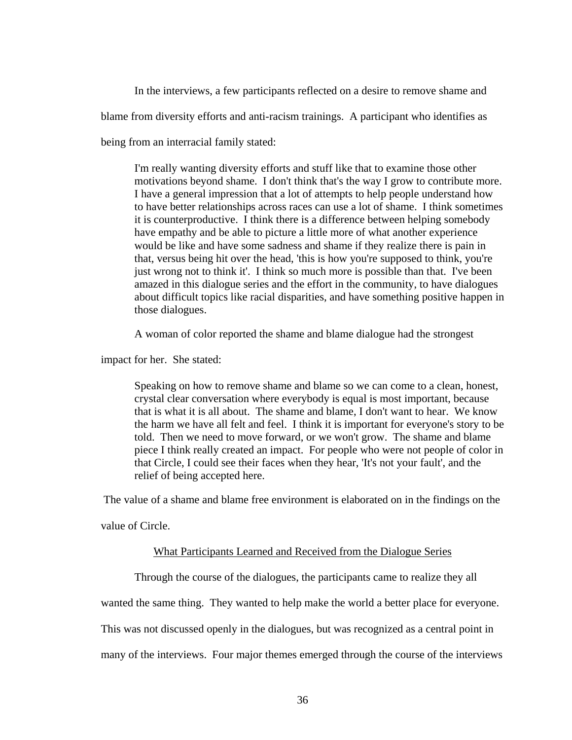In the interviews, a few participants reflected on a desire to remove shame and blame from diversity efforts and anti-racism trainings. A participant who identifies as being from an interracial family stated:

I'm really wanting diversity efforts and stuff like that to examine those other motivations beyond shame. I don't think that's the way I grow to contribute more. I have a general impression that a lot of attempts to help people understand how to have better relationships across races can use a lot of shame. I think sometimes it is counterproductive. I think there is a difference between helping somebody have empathy and be able to picture a little more of what another experience would be like and have some sadness and shame if they realize there is pain in that, versus being hit over the head, 'this is how you're supposed to think, you're just wrong not to think it'. I think so much more is possible than that. I've been amazed in this dialogue series and the effort in the community, to have dialogues about difficult topics like racial disparities, and have something positive happen in those dialogues.

A woman of color reported the shame and blame dialogue had the strongest

impact for her. She stated:

Speaking on how to remove shame and blame so we can come to a clean, honest, crystal clear conversation where everybody is equal is most important, because that is what it is all about. The shame and blame, I don't want to hear. We know the harm we have all felt and feel. I think it is important for everyone's story to be told. Then we need to move forward, or we won't grow. The shame and blame piece I think really created an impact. For people who were not people of color in that Circle, I could see their faces when they hear, 'It's not your fault', and the relief of being accepted here.

The value of a shame and blame free environment is elaborated on in the findings on the

value of Circle.

# What Participants Learned and Received from the Dialogue Series

Through the course of the dialogues, the participants came to realize they all

wanted the same thing. They wanted to help make the world a better place for everyone.

This was not discussed openly in the dialogues, but was recognized as a central point in

many of the interviews. Four major themes emerged through the course of the interviews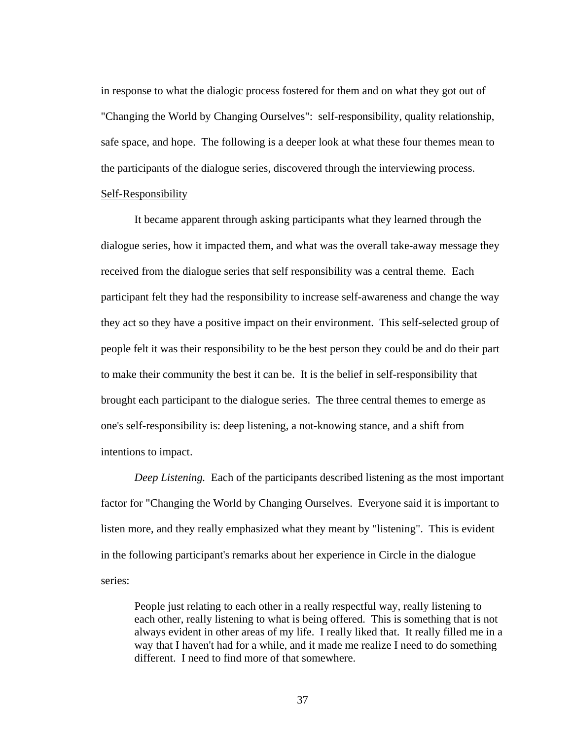in response to what the dialogic process fostered for them and on what they got out of "Changing the World by Changing Ourselves": self-responsibility, quality relationship, safe space, and hope. The following is a deeper look at what these four themes mean to the participants of the dialogue series, discovered through the interviewing process. Self-Responsibility

It became apparent through asking participants what they learned through the dialogue series, how it impacted them, and what was the overall take-away message they received from the dialogue series that self responsibility was a central theme. Each participant felt they had the responsibility to increase self-awareness and change the way they act so they have a positive impact on their environment. This self-selected group of people felt it was their responsibility to be the best person they could be and do their part to make their community the best it can be. It is the belief in self-responsibility that brought each participant to the dialogue series. The three central themes to emerge as one's self-responsibility is: deep listening, a not-knowing stance, and a shift from intentions to impact.

*Deep Listening.* Each of the participants described listening as the most important factor for "Changing the World by Changing Ourselves. Everyone said it is important to listen more, and they really emphasized what they meant by "listening". This is evident in the following participant's remarks about her experience in Circle in the dialogue series:

People just relating to each other in a really respectful way, really listening to each other, really listening to what is being offered. This is something that is not always evident in other areas of my life. I really liked that. It really filled me in a way that I haven't had for a while, and it made me realize I need to do something different. I need to find more of that somewhere.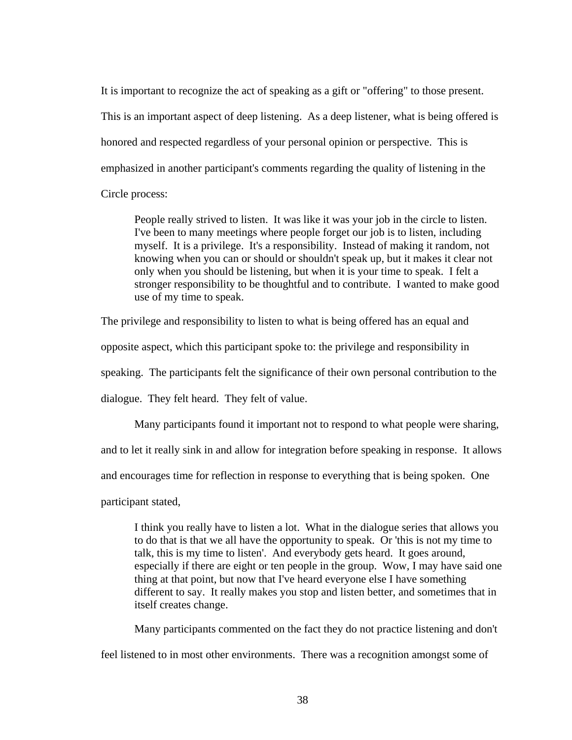It is important to recognize the act of speaking as a gift or "offering" to those present. This is an important aspect of deep listening. As a deep listener, what is being offered is honored and respected regardless of your personal opinion or perspective. This is emphasized in another participant's comments regarding the quality of listening in the Circle process:

People really strived to listen. It was like it was your job in the circle to listen. I've been to many meetings where people forget our job is to listen, including myself. It is a privilege. It's a responsibility. Instead of making it random, not knowing when you can or should or shouldn't speak up, but it makes it clear not only when you should be listening, but when it is your time to speak. I felt a stronger responsibility to be thoughtful and to contribute. I wanted to make good use of my time to speak.

The privilege and responsibility to listen to what is being offered has an equal and

opposite aspect, which this participant spoke to: the privilege and responsibility in

speaking. The participants felt the significance of their own personal contribution to the

dialogue. They felt heard. They felt of value.

Many participants found it important not to respond to what people were sharing,

and to let it really sink in and allow for integration before speaking in response. It allows

and encourages time for reflection in response to everything that is being spoken. One

participant stated,

I think you really have to listen a lot. What in the dialogue series that allows you to do that is that we all have the opportunity to speak. Or 'this is not my time to talk, this is my time to listen'. And everybody gets heard. It goes around, especially if there are eight or ten people in the group. Wow, I may have said one thing at that point, but now that I've heard everyone else I have something different to say. It really makes you stop and listen better, and sometimes that in itself creates change.

Many participants commented on the fact they do not practice listening and don't feel listened to in most other environments. There was a recognition amongst some of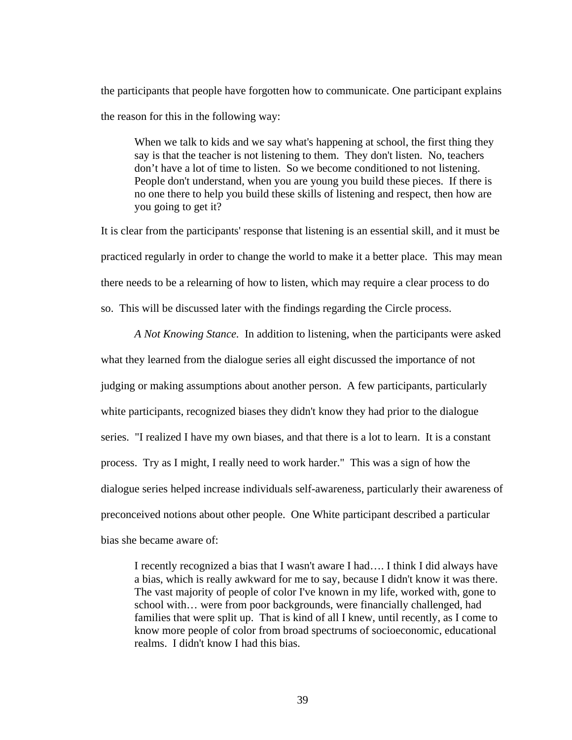the participants that people have forgotten how to communicate. One participant explains the reason for this in the following way:

When we talk to kids and we say what's happening at school, the first thing they say is that the teacher is not listening to them. They don't listen. No, teachers don't have a lot of time to listen. So we become conditioned to not listening. People don't understand, when you are young you build these pieces. If there is no one there to help you build these skills of listening and respect, then how are you going to get it?

It is clear from the participants' response that listening is an essential skill, and it must be practiced regularly in order to change the world to make it a better place. This may mean there needs to be a relearning of how to listen, which may require a clear process to do so. This will be discussed later with the findings regarding the Circle process.

*A Not Knowing Stance.* In addition to listening, when the participants were asked what they learned from the dialogue series all eight discussed the importance of not judging or making assumptions about another person. A few participants, particularly white participants, recognized biases they didn't know they had prior to the dialogue series. "I realized I have my own biases, and that there is a lot to learn. It is a constant process. Try as I might, I really need to work harder." This was a sign of how the dialogue series helped increase individuals self-awareness, particularly their awareness of preconceived notions about other people. One White participant described a particular bias she became aware of:

I recently recognized a bias that I wasn't aware I had…. I think I did always have a bias, which is really awkward for me to say, because I didn't know it was there. The vast majority of people of color I've known in my life, worked with, gone to school with… were from poor backgrounds, were financially challenged, had families that were split up. That is kind of all I knew, until recently, as I come to know more people of color from broad spectrums of socioeconomic, educational realms. I didn't know I had this bias.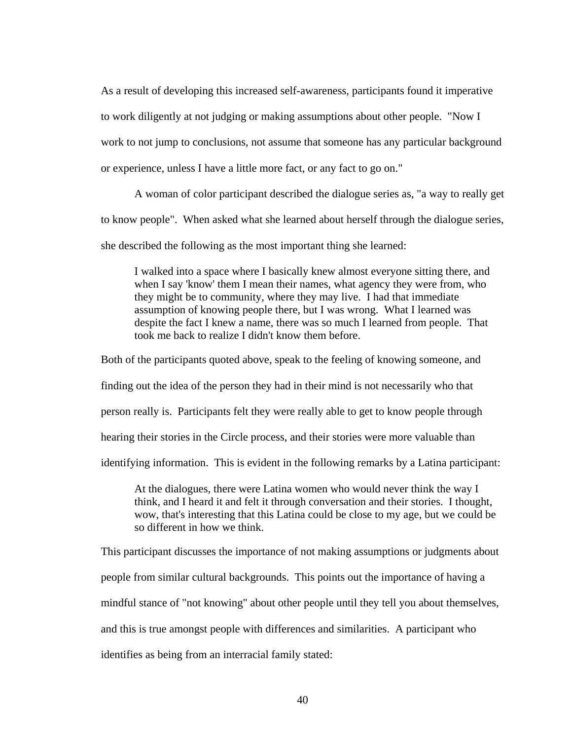As a result of developing this increased self-awareness, participants found it imperative to work diligently at not judging or making assumptions about other people. "Now I work to not jump to conclusions, not assume that someone has any particular background or experience, unless I have a little more fact, or any fact to go on."

A woman of color participant described the dialogue series as, "a way to really get to know people". When asked what she learned about herself through the dialogue series, she described the following as the most important thing she learned:

I walked into a space where I basically knew almost everyone sitting there, and when I say 'know' them I mean their names, what agency they were from, who they might be to community, where they may live. I had that immediate assumption of knowing people there, but I was wrong. What I learned was despite the fact I knew a name, there was so much I learned from people. That took me back to realize I didn't know them before.

Both of the participants quoted above, speak to the feeling of knowing someone, and finding out the idea of the person they had in their mind is not necessarily who that person really is. Participants felt they were really able to get to know people through hearing their stories in the Circle process, and their stories were more valuable than identifying information. This is evident in the following remarks by a Latina participant:

At the dialogues, there were Latina women who would never think the way I think, and I heard it and felt it through conversation and their stories. I thought, wow, that's interesting that this Latina could be close to my age, but we could be so different in how we think.

This participant discusses the importance of not making assumptions or judgments about people from similar cultural backgrounds. This points out the importance of having a mindful stance of "not knowing" about other people until they tell you about themselves, and this is true amongst people with differences and similarities. A participant who identifies as being from an interracial family stated: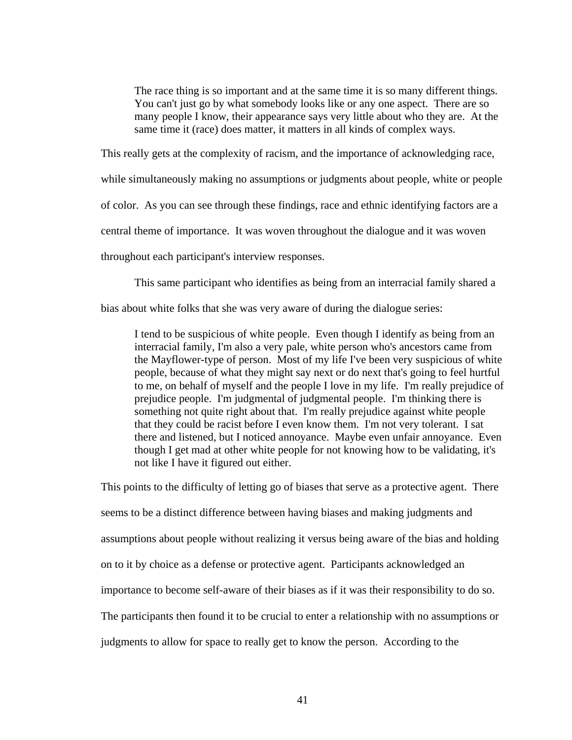The race thing is so important and at the same time it is so many different things. You can't just go by what somebody looks like or any one aspect. There are so many people I know, their appearance says very little about who they are. At the same time it (race) does matter, it matters in all kinds of complex ways.

This really gets at the complexity of racism, and the importance of acknowledging race,

while simultaneously making no assumptions or judgments about people, white or people

of color. As you can see through these findings, race and ethnic identifying factors are a

central theme of importance. It was woven throughout the dialogue and it was woven

throughout each participant's interview responses.

This same participant who identifies as being from an interracial family shared a

bias about white folks that she was very aware of during the dialogue series:

I tend to be suspicious of white people. Even though I identify as being from an interracial family, I'm also a very pale, white person who's ancestors came from the Mayflower-type of person. Most of my life I've been very suspicious of white people, because of what they might say next or do next that's going to feel hurtful to me, on behalf of myself and the people I love in my life. I'm really prejudice of prejudice people. I'm judgmental of judgmental people. I'm thinking there is something not quite right about that. I'm really prejudice against white people that they could be racist before I even know them. I'm not very tolerant. I sat there and listened, but I noticed annoyance. Maybe even unfair annoyance. Even though I get mad at other white people for not knowing how to be validating, it's not like I have it figured out either.

This points to the difficulty of letting go of biases that serve as a protective agent. There seems to be a distinct difference between having biases and making judgments and assumptions about people without realizing it versus being aware of the bias and holding on to it by choice as a defense or protective agent. Participants acknowledged an importance to become self-aware of their biases as if it was their responsibility to do so. The participants then found it to be crucial to enter a relationship with no assumptions or judgments to allow for space to really get to know the person. According to the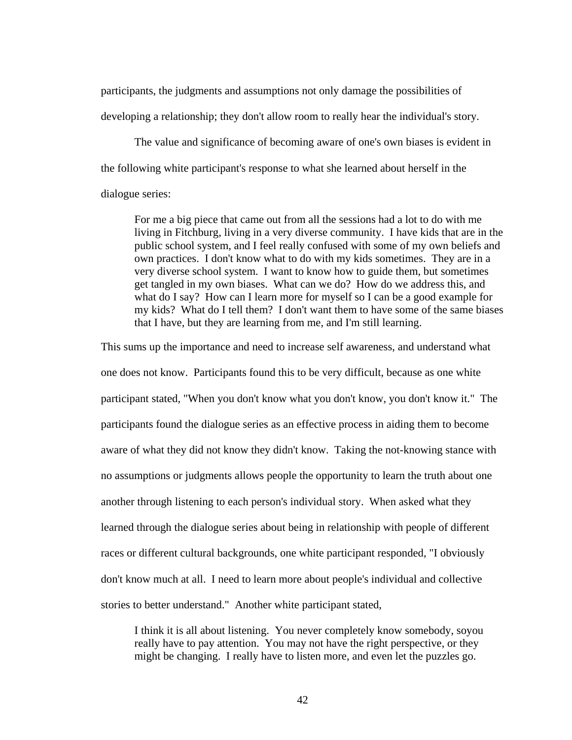participants, the judgments and assumptions not only damage the possibilities of developing a relationship; they don't allow room to really hear the individual's story.

The value and significance of becoming aware of one's own biases is evident in the following white participant's response to what she learned about herself in the dialogue series:

For me a big piece that came out from all the sessions had a lot to do with me living in Fitchburg, living in a very diverse community. I have kids that are in the public school system, and I feel really confused with some of my own beliefs and own practices. I don't know what to do with my kids sometimes. They are in a very diverse school system. I want to know how to guide them, but sometimes get tangled in my own biases. What can we do? How do we address this, and what do I say? How can I learn more for myself so I can be a good example for my kids? What do I tell them? I don't want them to have some of the same biases that I have, but they are learning from me, and I'm still learning.

This sums up the importance and need to increase self awareness, and understand what one does not know. Participants found this to be very difficult, because as one white participant stated, "When you don't know what you don't know, you don't know it." The participants found the dialogue series as an effective process in aiding them to become aware of what they did not know they didn't know. Taking the not-knowing stance with no assumptions or judgments allows people the opportunity to learn the truth about one another through listening to each person's individual story. When asked what they learned through the dialogue series about being in relationship with people of different races or different cultural backgrounds, one white participant responded, "I obviously don't know much at all. I need to learn more about people's individual and collective stories to better understand." Another white participant stated,

I think it is all about listening. You never completely know somebody, soyou really have to pay attention. You may not have the right perspective, or they might be changing. I really have to listen more, and even let the puzzles go.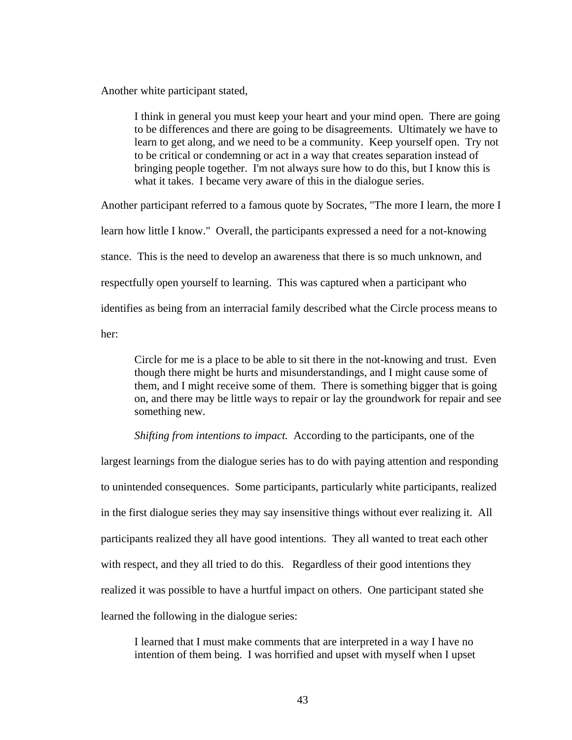Another white participant stated,

I think in general you must keep your heart and your mind open. There are going to be differences and there are going to be disagreements. Ultimately we have to learn to get along, and we need to be a community. Keep yourself open. Try not to be critical or condemning or act in a way that creates separation instead of bringing people together. I'm not always sure how to do this, but I know this is what it takes. I became very aware of this in the dialogue series.

Another participant referred to a famous quote by Socrates, "The more I learn, the more I learn how little I know." Overall, the participants expressed a need for a not-knowing stance. This is the need to develop an awareness that there is so much unknown, and respectfully open yourself to learning. This was captured when a participant who identifies as being from an interracial family described what the Circle process means to

her:

Circle for me is a place to be able to sit there in the not-knowing and trust. Even though there might be hurts and misunderstandings, and I might cause some of them, and I might receive some of them. There is something bigger that is going on, and there may be little ways to repair or lay the groundwork for repair and see something new.

*Shifting from intentions to impact.* According to the participants, one of the

largest learnings from the dialogue series has to do with paying attention and responding to unintended consequences. Some participants, particularly white participants, realized in the first dialogue series they may say insensitive things without ever realizing it. All participants realized they all have good intentions. They all wanted to treat each other with respect, and they all tried to do this. Regardless of their good intentions they realized it was possible to have a hurtful impact on others. One participant stated she learned the following in the dialogue series:

I learned that I must make comments that are interpreted in a way I have no intention of them being. I was horrified and upset with myself when I upset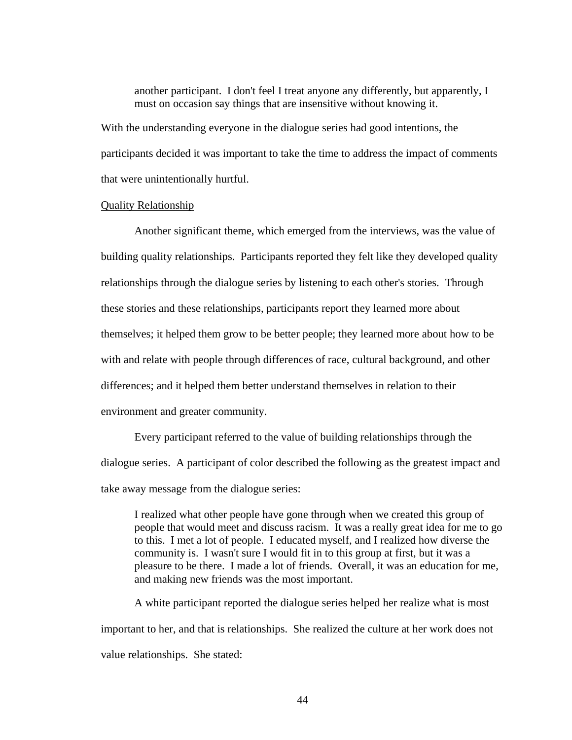another participant. I don't feel I treat anyone any differently, but apparently, I must on occasion say things that are insensitive without knowing it.

With the understanding everyone in the dialogue series had good intentions, the participants decided it was important to take the time to address the impact of comments that were unintentionally hurtful.

### Quality Relationship

Another significant theme, which emerged from the interviews, was the value of building quality relationships. Participants reported they felt like they developed quality relationships through the dialogue series by listening to each other's stories. Through these stories and these relationships, participants report they learned more about themselves; it helped them grow to be better people; they learned more about how to be with and relate with people through differences of race, cultural background, and other differences; and it helped them better understand themselves in relation to their environment and greater community.

Every participant referred to the value of building relationships through the dialogue series. A participant of color described the following as the greatest impact and take away message from the dialogue series:

I realized what other people have gone through when we created this group of people that would meet and discuss racism. It was a really great idea for me to go to this. I met a lot of people. I educated myself, and I realized how diverse the community is. I wasn't sure I would fit in to this group at first, but it was a pleasure to be there. I made a lot of friends. Overall, it was an education for me, and making new friends was the most important.

A white participant reported the dialogue series helped her realize what is most important to her, and that is relationships. She realized the culture at her work does not value relationships. She stated: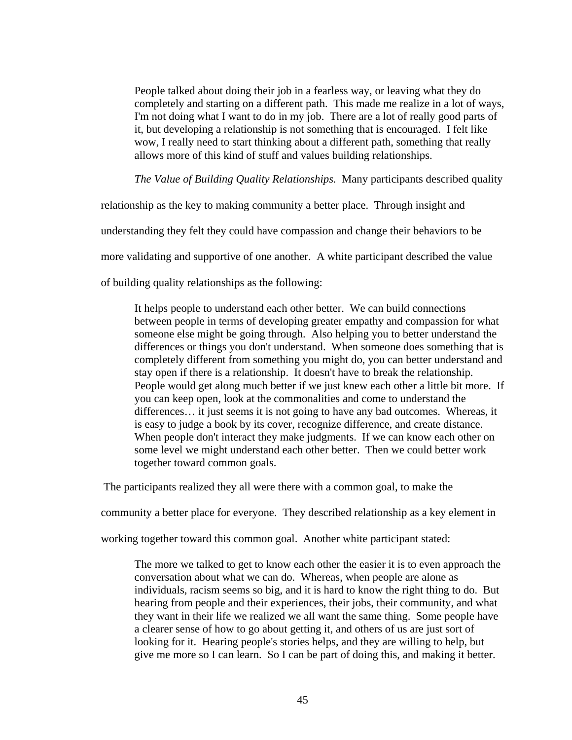People talked about doing their job in a fearless way, or leaving what they do completely and starting on a different path. This made me realize in a lot of ways, I'm not doing what I want to do in my job. There are a lot of really good parts of it, but developing a relationship is not something that is encouraged. I felt like wow, I really need to start thinking about a different path, something that really allows more of this kind of stuff and values building relationships.

*The Value of Building Quality Relationships.* Many participants described quality

relationship as the key to making community a better place. Through insight and understanding they felt they could have compassion and change their behaviors to be more validating and supportive of one another. A white participant described the value

of building quality relationships as the following:

It helps people to understand each other better. We can build connections between people in terms of developing greater empathy and compassion for what someone else might be going through. Also helping you to better understand the differences or things you don't understand. When someone does something that is completely different from something you might do, you can better understand and stay open if there is a relationship. It doesn't have to break the relationship. People would get along much better if we just knew each other a little bit more. If you can keep open, look at the commonalities and come to understand the differences… it just seems it is not going to have any bad outcomes. Whereas, it is easy to judge a book by its cover, recognize difference, and create distance. When people don't interact they make judgments. If we can know each other on some level we might understand each other better. Then we could better work together toward common goals.

The participants realized they all were there with a common goal, to make the

community a better place for everyone. They described relationship as a key element in

working together toward this common goal. Another white participant stated:

The more we talked to get to know each other the easier it is to even approach the conversation about what we can do. Whereas, when people are alone as individuals, racism seems so big, and it is hard to know the right thing to do. But hearing from people and their experiences, their jobs, their community, and what they want in their life we realized we all want the same thing. Some people have a clearer sense of how to go about getting it, and others of us are just sort of looking for it. Hearing people's stories helps, and they are willing to help, but give me more so I can learn. So I can be part of doing this, and making it better.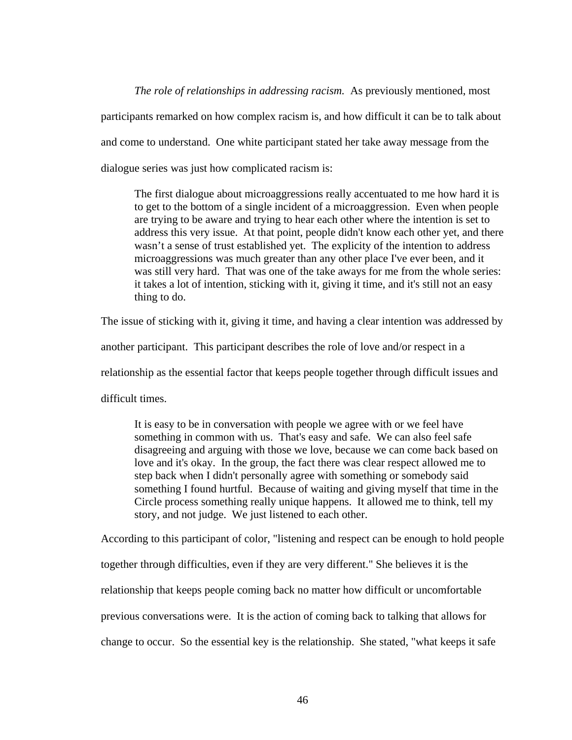*The role of relationships in addressing racism.* As previously mentioned, most participants remarked on how complex racism is, and how difficult it can be to talk about and come to understand. One white participant stated her take away message from the dialogue series was just how complicated racism is:

The first dialogue about microaggressions really accentuated to me how hard it is to get to the bottom of a single incident of a microaggression. Even when people are trying to be aware and trying to hear each other where the intention is set to address this very issue. At that point, people didn't know each other yet, and there wasn't a sense of trust established yet. The explicity of the intention to address microaggressions was much greater than any other place I've ever been, and it was still very hard. That was one of the take aways for me from the whole series: it takes a lot of intention, sticking with it, giving it time, and it's still not an easy thing to do.

The issue of sticking with it, giving it time, and having a clear intention was addressed by

another participant. This participant describes the role of love and/or respect in a

relationship as the essential factor that keeps people together through difficult issues and

difficult times.

It is easy to be in conversation with people we agree with or we feel have something in common with us. That's easy and safe. We can also feel safe disagreeing and arguing with those we love, because we can come back based on love and it's okay. In the group, the fact there was clear respect allowed me to step back when I didn't personally agree with something or somebody said something I found hurtful. Because of waiting and giving myself that time in the Circle process something really unique happens. It allowed me to think, tell my story, and not judge. We just listened to each other.

According to this participant of color, "listening and respect can be enough to hold people together through difficulties, even if they are very different." She believes it is the relationship that keeps people coming back no matter how difficult or uncomfortable previous conversations were. It is the action of coming back to talking that allows for change to occur. So the essential key is the relationship. She stated, "what keeps it safe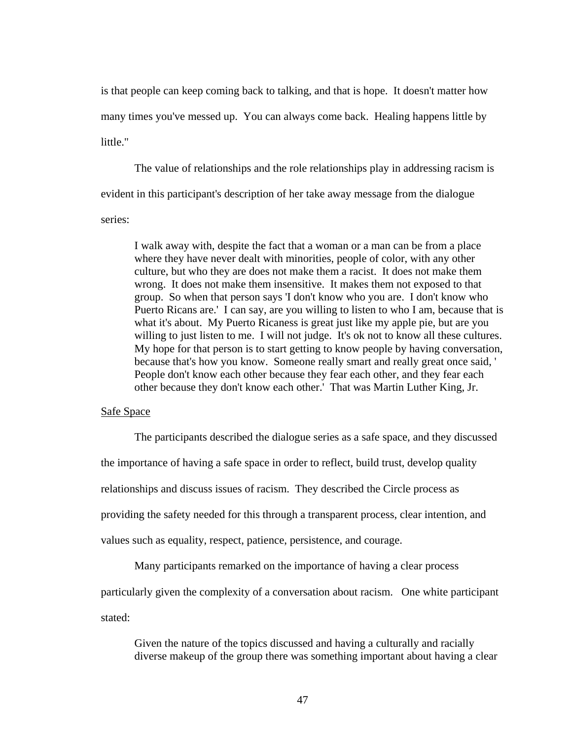is that people can keep coming back to talking, and that is hope. It doesn't matter how many times you've messed up. You can always come back. Healing happens little by little."

The value of relationships and the role relationships play in addressing racism is evident in this participant's description of her take away message from the dialogue series:

I walk away with, despite the fact that a woman or a man can be from a place where they have never dealt with minorities, people of color, with any other culture, but who they are does not make them a racist. It does not make them wrong. It does not make them insensitive. It makes them not exposed to that group. So when that person says 'I don't know who you are. I don't know who Puerto Ricans are.' I can say, are you willing to listen to who I am, because that is what it's about. My Puerto Ricaness is great just like my apple pie, but are you willing to just listen to me. I will not judge. It's ok not to know all these cultures. My hope for that person is to start getting to know people by having conversation, because that's how you know. Someone really smart and really great once said, ' People don't know each other because they fear each other, and they fear each other because they don't know each other.' That was Martin Luther King, Jr.

# Safe Space

The participants described the dialogue series as a safe space, and they discussed the importance of having a safe space in order to reflect, build trust, develop quality relationships and discuss issues of racism. They described the Circle process as providing the safety needed for this through a transparent process, clear intention, and values such as equality, respect, patience, persistence, and courage.

Many participants remarked on the importance of having a clear process particularly given the complexity of a conversation about racism. One white participant stated:

Given the nature of the topics discussed and having a culturally and racially diverse makeup of the group there was something important about having a clear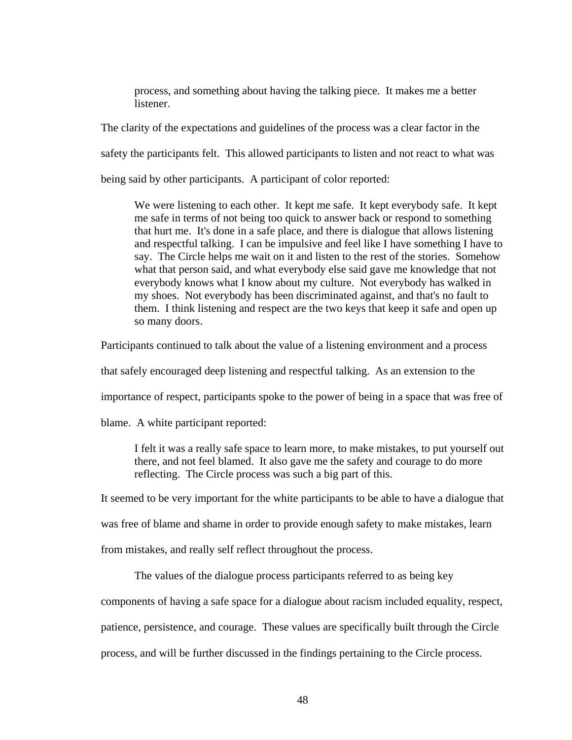process, and something about having the talking piece. It makes me a better listener.

The clarity of the expectations and guidelines of the process was a clear factor in the

safety the participants felt. This allowed participants to listen and not react to what was

being said by other participants. A participant of color reported:

We were listening to each other. It kept me safe. It kept everybody safe. It kept me safe in terms of not being too quick to answer back or respond to something that hurt me. It's done in a safe place, and there is dialogue that allows listening and respectful talking. I can be impulsive and feel like I have something I have to say. The Circle helps me wait on it and listen to the rest of the stories. Somehow what that person said, and what everybody else said gave me knowledge that not everybody knows what I know about my culture. Not everybody has walked in my shoes. Not everybody has been discriminated against, and that's no fault to them. I think listening and respect are the two keys that keep it safe and open up so many doors.

Participants continued to talk about the value of a listening environment and a process

that safely encouraged deep listening and respectful talking. As an extension to the

importance of respect, participants spoke to the power of being in a space that was free of

blame. A white participant reported:

I felt it was a really safe space to learn more, to make mistakes, to put yourself out there, and not feel blamed. It also gave me the safety and courage to do more reflecting. The Circle process was such a big part of this.

It seemed to be very important for the white participants to be able to have a dialogue that

was free of blame and shame in order to provide enough safety to make mistakes, learn

from mistakes, and really self reflect throughout the process.

The values of the dialogue process participants referred to as being key

components of having a safe space for a dialogue about racism included equality, respect,

patience, persistence, and courage. These values are specifically built through the Circle

process, and will be further discussed in the findings pertaining to the Circle process.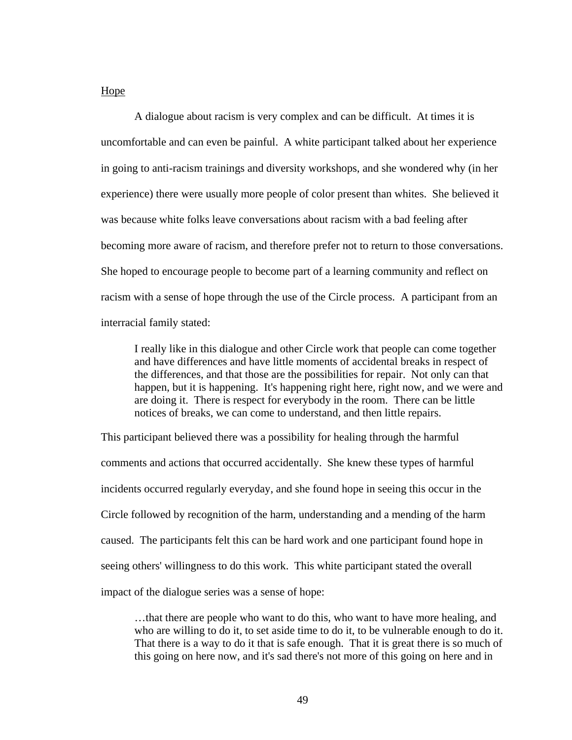## Hope

A dialogue about racism is very complex and can be difficult. At times it is uncomfortable and can even be painful. A white participant talked about her experience in going to anti-racism trainings and diversity workshops, and she wondered why (in her experience) there were usually more people of color present than whites. She believed it was because white folks leave conversations about racism with a bad feeling after becoming more aware of racism, and therefore prefer not to return to those conversations. She hoped to encourage people to become part of a learning community and reflect on racism with a sense of hope through the use of the Circle process. A participant from an interracial family stated:

I really like in this dialogue and other Circle work that people can come together and have differences and have little moments of accidental breaks in respect of the differences, and that those are the possibilities for repair. Not only can that happen, but it is happening. It's happening right here, right now, and we were and are doing it. There is respect for everybody in the room. There can be little notices of breaks, we can come to understand, and then little repairs.

This participant believed there was a possibility for healing through the harmful comments and actions that occurred accidentally. She knew these types of harmful incidents occurred regularly everyday, and she found hope in seeing this occur in the Circle followed by recognition of the harm, understanding and a mending of the harm caused. The participants felt this can be hard work and one participant found hope in seeing others' willingness to do this work. This white participant stated the overall impact of the dialogue series was a sense of hope:

…that there are people who want to do this, who want to have more healing, and who are willing to do it, to set aside time to do it, to be vulnerable enough to do it. That there is a way to do it that is safe enough. That it is great there is so much of this going on here now, and it's sad there's not more of this going on here and in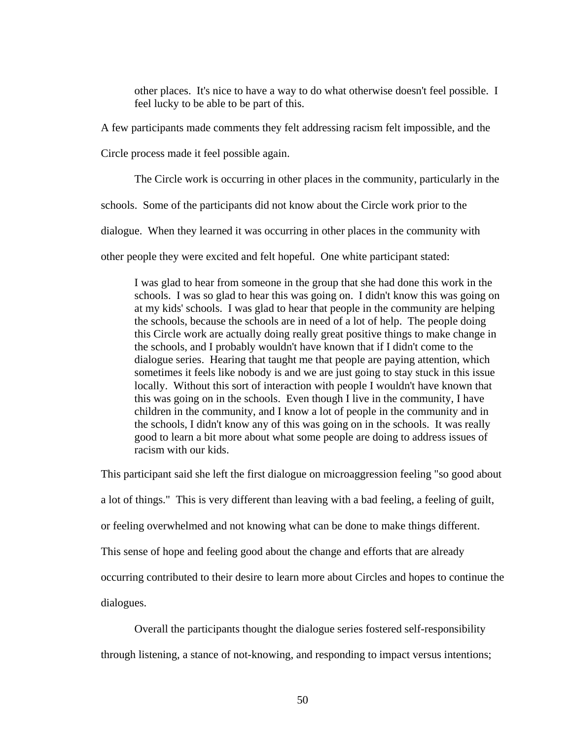other places. It's nice to have a way to do what otherwise doesn't feel possible. I feel lucky to be able to be part of this.

A few participants made comments they felt addressing racism felt impossible, and the

Circle process made it feel possible again.

The Circle work is occurring in other places in the community, particularly in the

schools. Some of the participants did not know about the Circle work prior to the

dialogue. When they learned it was occurring in other places in the community with

other people they were excited and felt hopeful. One white participant stated:

I was glad to hear from someone in the group that she had done this work in the schools. I was so glad to hear this was going on. I didn't know this was going on at my kids' schools. I was glad to hear that people in the community are helping the schools, because the schools are in need of a lot of help. The people doing this Circle work are actually doing really great positive things to make change in the schools, and I probably wouldn't have known that if I didn't come to the dialogue series. Hearing that taught me that people are paying attention, which sometimes it feels like nobody is and we are just going to stay stuck in this issue locally. Without this sort of interaction with people I wouldn't have known that this was going on in the schools. Even though I live in the community, I have children in the community, and I know a lot of people in the community and in the schools, I didn't know any of this was going on in the schools. It was really good to learn a bit more about what some people are doing to address issues of racism with our kids.

This participant said she left the first dialogue on microaggression feeling "so good about

a lot of things." This is very different than leaving with a bad feeling, a feeling of guilt,

or feeling overwhelmed and not knowing what can be done to make things different.

This sense of hope and feeling good about the change and efforts that are already

occurring contributed to their desire to learn more about Circles and hopes to continue the

dialogues.

Overall the participants thought the dialogue series fostered self-responsibility

through listening, a stance of not-knowing, and responding to impact versus intentions;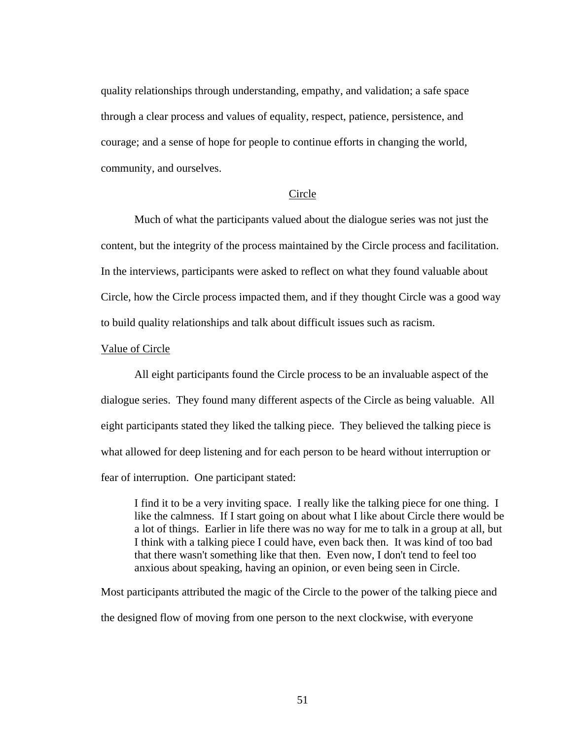quality relationships through understanding, empathy, and validation; a safe space through a clear process and values of equality, respect, patience, persistence, and courage; and a sense of hope for people to continue efforts in changing the world, community, and ourselves.

#### Circle

Much of what the participants valued about the dialogue series was not just the content, but the integrity of the process maintained by the Circle process and facilitation. In the interviews, participants were asked to reflect on what they found valuable about Circle, how the Circle process impacted them, and if they thought Circle was a good way to build quality relationships and talk about difficult issues such as racism.

## Value of Circle

All eight participants found the Circle process to be an invaluable aspect of the dialogue series. They found many different aspects of the Circle as being valuable. All eight participants stated they liked the talking piece. They believed the talking piece is what allowed for deep listening and for each person to be heard without interruption or fear of interruption. One participant stated:

I find it to be a very inviting space. I really like the talking piece for one thing. I like the calmness. If I start going on about what I like about Circle there would be a lot of things. Earlier in life there was no way for me to talk in a group at all, but I think with a talking piece I could have, even back then. It was kind of too bad that there wasn't something like that then. Even now, I don't tend to feel too anxious about speaking, having an opinion, or even being seen in Circle.

Most participants attributed the magic of the Circle to the power of the talking piece and the designed flow of moving from one person to the next clockwise, with everyone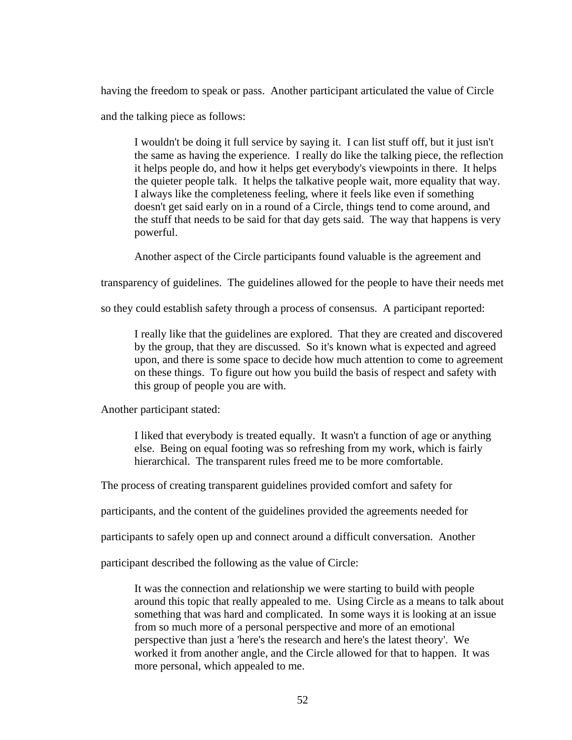having the freedom to speak or pass. Another participant articulated the value of Circle

and the talking piece as follows:

I wouldn't be doing it full service by saying it. I can list stuff off, but it just isn't the same as having the experience. I really do like the talking piece, the reflection it helps people do, and how it helps get everybody's viewpoints in there. It helps the quieter people talk. It helps the talkative people wait, more equality that way. I always like the completeness feeling, where it feels like even if something doesn't get said early on in a round of a Circle, things tend to come around, and the stuff that needs to be said for that day gets said. The way that happens is very powerful.

Another aspect of the Circle participants found valuable is the agreement and

transparency of guidelines. The guidelines allowed for the people to have their needs met

so they could establish safety through a process of consensus. A participant reported:

I really like that the guidelines are explored. That they are created and discovered by the group, that they are discussed. So it's known what is expected and agreed upon, and there is some space to decide how much attention to come to agreement on these things. To figure out how you build the basis of respect and safety with this group of people you are with.

Another participant stated:

I liked that everybody is treated equally. It wasn't a function of age or anything else. Being on equal footing was so refreshing from my work, which is fairly hierarchical. The transparent rules freed me to be more comfortable.

The process of creating transparent guidelines provided comfort and safety for

participants, and the content of the guidelines provided the agreements needed for

participants to safely open up and connect around a difficult conversation. Another

participant described the following as the value of Circle:

It was the connection and relationship we were starting to build with people around this topic that really appealed to me. Using Circle as a means to talk about something that was hard and complicated. In some ways it is looking at an issue from so much more of a personal perspective and more of an emotional perspective than just a 'here's the research and here's the latest theory'. We worked it from another angle, and the Circle allowed for that to happen. It was more personal, which appealed to me.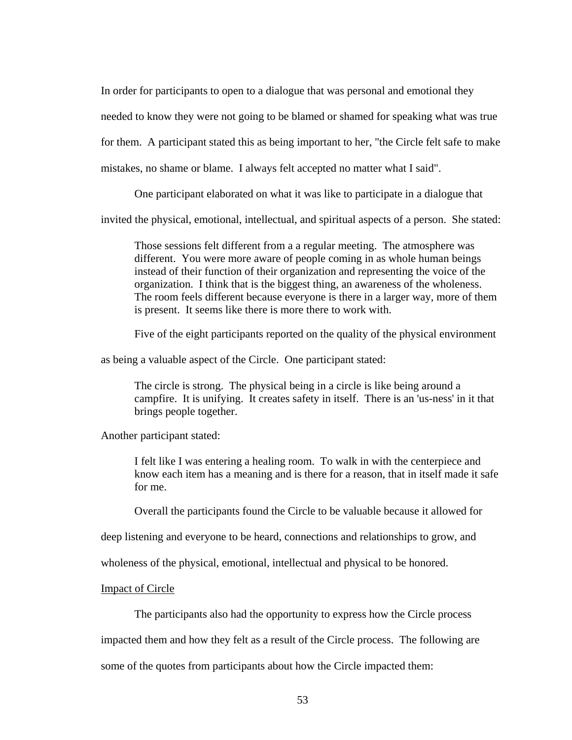In order for participants to open to a dialogue that was personal and emotional they needed to know they were not going to be blamed or shamed for speaking what was true for them. A participant stated this as being important to her, "the Circle felt safe to make mistakes, no shame or blame. I always felt accepted no matter what I said".

One participant elaborated on what it was like to participate in a dialogue that

invited the physical, emotional, intellectual, and spiritual aspects of a person. She stated:

Those sessions felt different from a a regular meeting. The atmosphere was different. You were more aware of people coming in as whole human beings instead of their function of their organization and representing the voice of the organization. I think that is the biggest thing, an awareness of the wholeness. The room feels different because everyone is there in a larger way, more of them is present. It seems like there is more there to work with.

Five of the eight participants reported on the quality of the physical environment

as being a valuable aspect of the Circle. One participant stated:

The circle is strong. The physical being in a circle is like being around a campfire. It is unifying. It creates safety in itself. There is an 'us-ness' in it that brings people together.

Another participant stated:

I felt like I was entering a healing room. To walk in with the centerpiece and know each item has a meaning and is there for a reason, that in itself made it safe for me.

Overall the participants found the Circle to be valuable because it allowed for

deep listening and everyone to be heard, connections and relationships to grow, and

wholeness of the physical, emotional, intellectual and physical to be honored.

# Impact of Circle

The participants also had the opportunity to express how the Circle process

impacted them and how they felt as a result of the Circle process. The following are

some of the quotes from participants about how the Circle impacted them: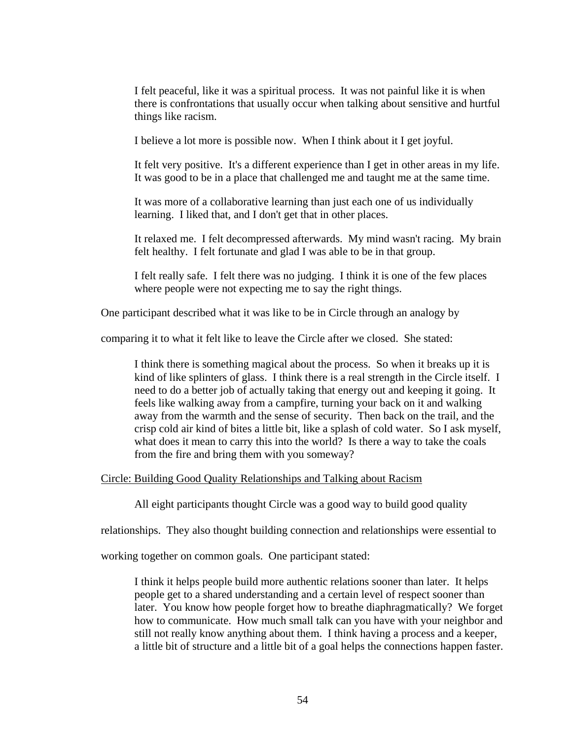I felt peaceful, like it was a spiritual process. It was not painful like it is when there is confrontations that usually occur when talking about sensitive and hurtful things like racism.

I believe a lot more is possible now. When I think about it I get joyful.

It felt very positive. It's a different experience than I get in other areas in my life. It was good to be in a place that challenged me and taught me at the same time.

It was more of a collaborative learning than just each one of us individually learning. I liked that, and I don't get that in other places.

It relaxed me. I felt decompressed afterwards. My mind wasn't racing. My brain felt healthy. I felt fortunate and glad I was able to be in that group.

I felt really safe. I felt there was no judging. I think it is one of the few places where people were not expecting me to say the right things.

One participant described what it was like to be in Circle through an analogy by

comparing it to what it felt like to leave the Circle after we closed. She stated:

I think there is something magical about the process. So when it breaks up it is kind of like splinters of glass. I think there is a real strength in the Circle itself. I need to do a better job of actually taking that energy out and keeping it going. It feels like walking away from a campfire, turning your back on it and walking away from the warmth and the sense of security. Then back on the trail, and the crisp cold air kind of bites a little bit, like a splash of cold water. So I ask myself, what does it mean to carry this into the world? Is there a way to take the coals from the fire and bring them with you someway?

# Circle: Building Good Quality Relationships and Talking about Racism

All eight participants thought Circle was a good way to build good quality

relationships. They also thought building connection and relationships were essential to

working together on common goals. One participant stated:

I think it helps people build more authentic relations sooner than later. It helps people get to a shared understanding and a certain level of respect sooner than later. You know how people forget how to breathe diaphragmatically? We forget how to communicate. How much small talk can you have with your neighbor and still not really know anything about them. I think having a process and a keeper, a little bit of structure and a little bit of a goal helps the connections happen faster.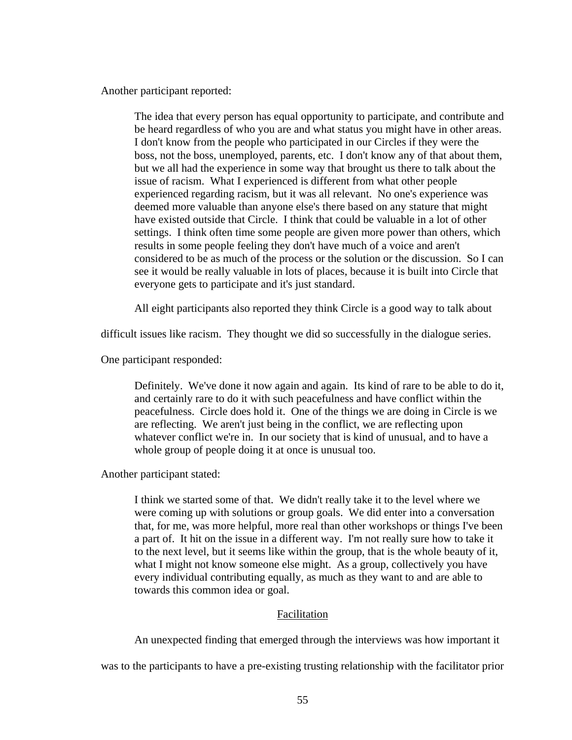Another participant reported:

The idea that every person has equal opportunity to participate, and contribute and be heard regardless of who you are and what status you might have in other areas. I don't know from the people who participated in our Circles if they were the boss, not the boss, unemployed, parents, etc. I don't know any of that about them, but we all had the experience in some way that brought us there to talk about the issue of racism. What I experienced is different from what other people experienced regarding racism, but it was all relevant. No one's experience was deemed more valuable than anyone else's there based on any stature that might have existed outside that Circle. I think that could be valuable in a lot of other settings. I think often time some people are given more power than others, which results in some people feeling they don't have much of a voice and aren't considered to be as much of the process or the solution or the discussion. So I can see it would be really valuable in lots of places, because it is built into Circle that everyone gets to participate and it's just standard.

All eight participants also reported they think Circle is a good way to talk about

difficult issues like racism. They thought we did so successfully in the dialogue series.

One participant responded:

Definitely. We've done it now again and again. Its kind of rare to be able to do it, and certainly rare to do it with such peacefulness and have conflict within the peacefulness. Circle does hold it. One of the things we are doing in Circle is we are reflecting. We aren't just being in the conflict, we are reflecting upon whatever conflict we're in. In our society that is kind of unusual, and to have a whole group of people doing it at once is unusual too.

Another participant stated:

I think we started some of that. We didn't really take it to the level where we were coming up with solutions or group goals. We did enter into a conversation that, for me, was more helpful, more real than other workshops or things I've been a part of. It hit on the issue in a different way. I'm not really sure how to take it to the next level, but it seems like within the group, that is the whole beauty of it, what I might not know someone else might. As a group, collectively you have every individual contributing equally, as much as they want to and are able to towards this common idea or goal.

#### Facilitation

An unexpected finding that emerged through the interviews was how important it

was to the participants to have a pre-existing trusting relationship with the facilitator prior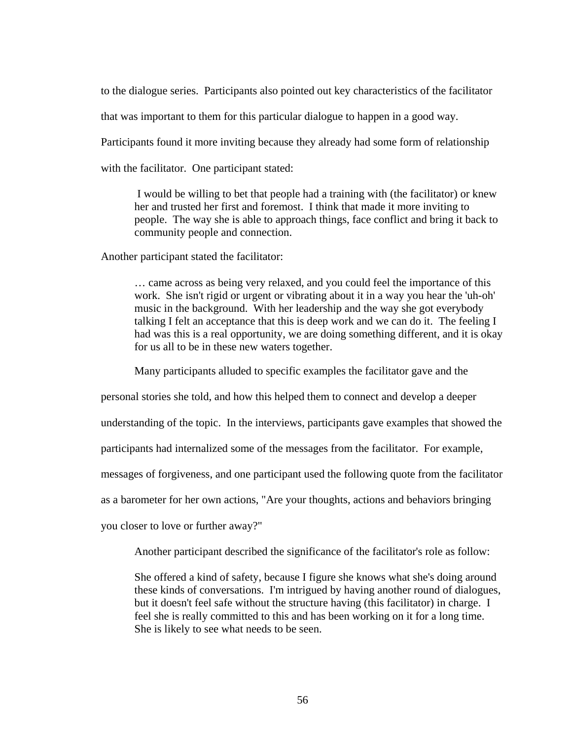to the dialogue series. Participants also pointed out key characteristics of the facilitator

that was important to them for this particular dialogue to happen in a good way.

Participants found it more inviting because they already had some form of relationship

with the facilitator. One participant stated:

I would be willing to bet that people had a training with (the facilitator) or knew her and trusted her first and foremost. I think that made it more inviting to people. The way she is able to approach things, face conflict and bring it back to community people and connection.

Another participant stated the facilitator:

… came across as being very relaxed, and you could feel the importance of this work. She isn't rigid or urgent or vibrating about it in a way you hear the 'uh-oh' music in the background. With her leadership and the way she got everybody talking I felt an acceptance that this is deep work and we can do it. The feeling I had was this is a real opportunity, we are doing something different, and it is okay for us all to be in these new waters together.

Many participants alluded to specific examples the facilitator gave and the

personal stories she told, and how this helped them to connect and develop a deeper

understanding of the topic. In the interviews, participants gave examples that showed the

participants had internalized some of the messages from the facilitator. For example,

messages of forgiveness, and one participant used the following quote from the facilitator

as a barometer for her own actions, "Are your thoughts, actions and behaviors bringing

you closer to love or further away?"

Another participant described the significance of the facilitator's role as follow:

She offered a kind of safety, because I figure she knows what she's doing around these kinds of conversations. I'm intrigued by having another round of dialogues, but it doesn't feel safe without the structure having (this facilitator) in charge. I feel she is really committed to this and has been working on it for a long time. She is likely to see what needs to be seen.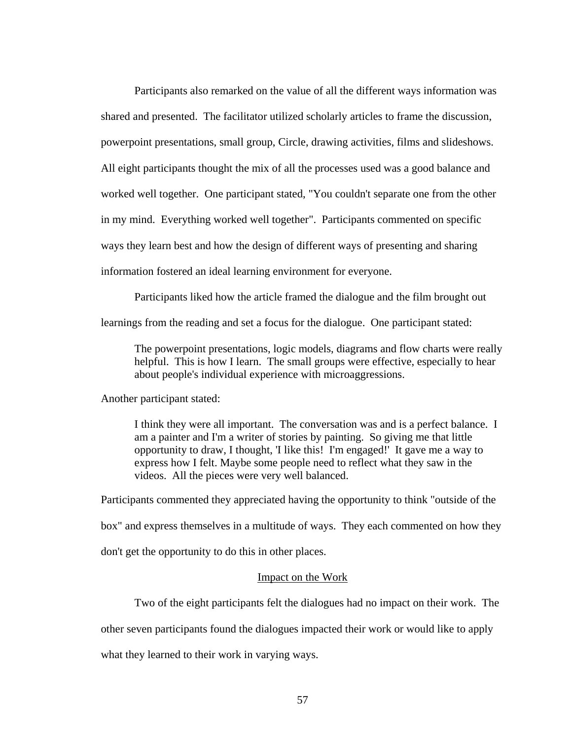Participants also remarked on the value of all the different ways information was shared and presented. The facilitator utilized scholarly articles to frame the discussion, powerpoint presentations, small group, Circle, drawing activities, films and slideshows. All eight participants thought the mix of all the processes used was a good balance and worked well together. One participant stated, "You couldn't separate one from the other in my mind. Everything worked well together". Participants commented on specific ways they learn best and how the design of different ways of presenting and sharing information fostered an ideal learning environment for everyone.

Participants liked how the article framed the dialogue and the film brought out

learnings from the reading and set a focus for the dialogue. One participant stated:

The powerpoint presentations, logic models, diagrams and flow charts were really helpful. This is how I learn. The small groups were effective, especially to hear about people's individual experience with microaggressions.

Another participant stated:

I think they were all important. The conversation was and is a perfect balance. I am a painter and I'm a writer of stories by painting. So giving me that little opportunity to draw, I thought, 'I like this! I'm engaged!' It gave me a way to express how I felt. Maybe some people need to reflect what they saw in the videos. All the pieces were very well balanced.

Participants commented they appreciated having the opportunity to think "outside of the

box" and express themselves in a multitude of ways. They each commented on how they

don't get the opportunity to do this in other places.

#### Impact on the Work

Two of the eight participants felt the dialogues had no impact on their work. The

other seven participants found the dialogues impacted their work or would like to apply

what they learned to their work in varying ways.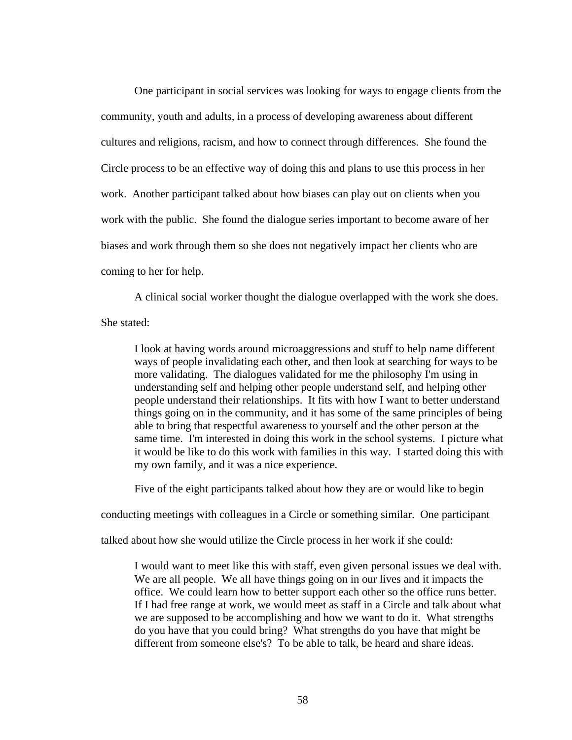One participant in social services was looking for ways to engage clients from the community, youth and adults, in a process of developing awareness about different cultures and religions, racism, and how to connect through differences. She found the Circle process to be an effective way of doing this and plans to use this process in her work. Another participant talked about how biases can play out on clients when you work with the public. She found the dialogue series important to become aware of her biases and work through them so she does not negatively impact her clients who are coming to her for help.

A clinical social worker thought the dialogue overlapped with the work she does.

She stated:

I look at having words around microaggressions and stuff to help name different ways of people invalidating each other, and then look at searching for ways to be more validating. The dialogues validated for me the philosophy I'm using in understanding self and helping other people understand self, and helping other people understand their relationships. It fits with how I want to better understand things going on in the community, and it has some of the same principles of being able to bring that respectful awareness to yourself and the other person at the same time. I'm interested in doing this work in the school systems. I picture what it would be like to do this work with families in this way. I started doing this with my own family, and it was a nice experience.

Five of the eight participants talked about how they are or would like to begin

conducting meetings with colleagues in a Circle or something similar. One participant

talked about how she would utilize the Circle process in her work if she could:

I would want to meet like this with staff, even given personal issues we deal with. We are all people. We all have things going on in our lives and it impacts the office. We could learn how to better support each other so the office runs better. If I had free range at work, we would meet as staff in a Circle and talk about what we are supposed to be accomplishing and how we want to do it. What strengths do you have that you could bring? What strengths do you have that might be different from someone else's? To be able to talk, be heard and share ideas.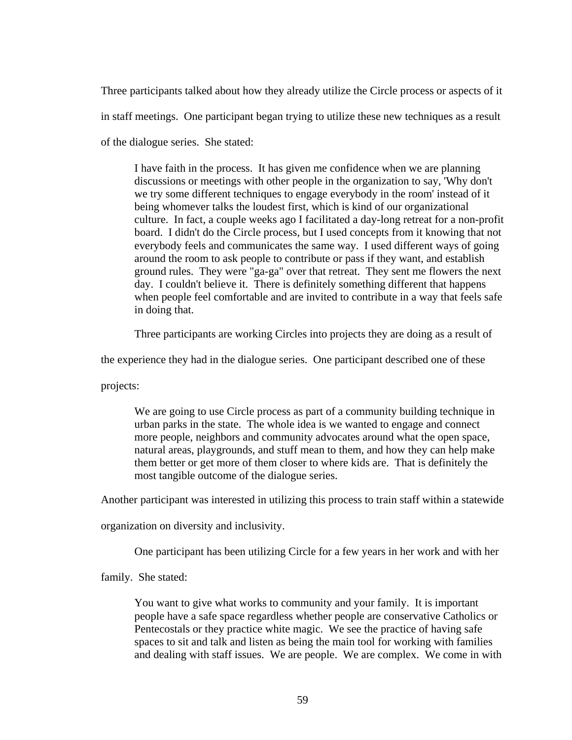Three participants talked about how they already utilize the Circle process or aspects of it in staff meetings. One participant began trying to utilize these new techniques as a result of the dialogue series. She stated:

I have faith in the process. It has given me confidence when we are planning discussions or meetings with other people in the organization to say, 'Why don't we try some different techniques to engage everybody in the room' instead of it being whomever talks the loudest first, which is kind of our organizational culture. In fact, a couple weeks ago I facilitated a day-long retreat for a non-profit board. I didn't do the Circle process, but I used concepts from it knowing that not everybody feels and communicates the same way. I used different ways of going around the room to ask people to contribute or pass if they want, and establish ground rules. They were "ga-ga" over that retreat. They sent me flowers the next day. I couldn't believe it. There is definitely something different that happens when people feel comfortable and are invited to contribute in a way that feels safe in doing that.

Three participants are working Circles into projects they are doing as a result of

the experience they had in the dialogue series. One participant described one of these

projects:

We are going to use Circle process as part of a community building technique in urban parks in the state. The whole idea is we wanted to engage and connect more people, neighbors and community advocates around what the open space, natural areas, playgrounds, and stuff mean to them, and how they can help make them better or get more of them closer to where kids are. That is definitely the most tangible outcome of the dialogue series.

Another participant was interested in utilizing this process to train staff within a statewide

organization on diversity and inclusivity.

One participant has been utilizing Circle for a few years in her work and with her

family. She stated:

You want to give what works to community and your family. It is important people have a safe space regardless whether people are conservative Catholics or Pentecostals or they practice white magic. We see the practice of having safe spaces to sit and talk and listen as being the main tool for working with families and dealing with staff issues. We are people. We are complex. We come in with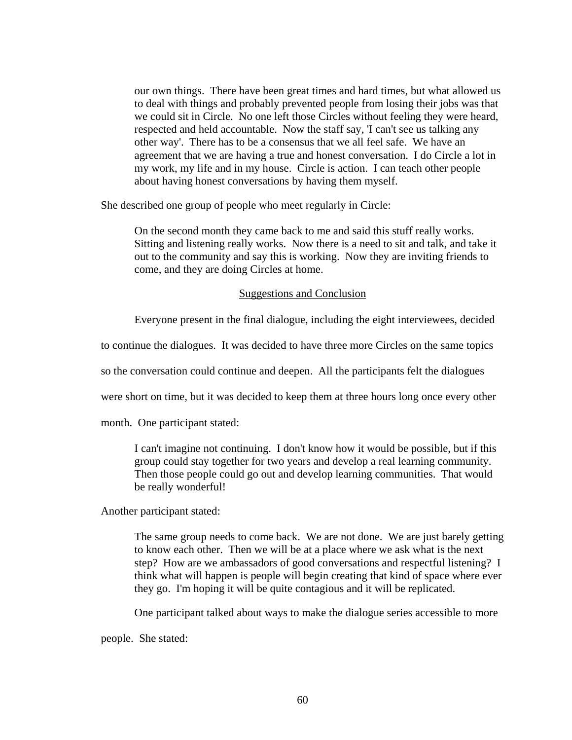our own things. There have been great times and hard times, but what allowed us to deal with things and probably prevented people from losing their jobs was that we could sit in Circle. No one left those Circles without feeling they were heard, respected and held accountable. Now the staff say, 'I can't see us talking any other way'. There has to be a consensus that we all feel safe. We have an agreement that we are having a true and honest conversation. I do Circle a lot in my work, my life and in my house. Circle is action. I can teach other people about having honest conversations by having them myself.

She described one group of people who meet regularly in Circle:

On the second month they came back to me and said this stuff really works. Sitting and listening really works. Now there is a need to sit and talk, and take it out to the community and say this is working. Now they are inviting friends to come, and they are doing Circles at home.

## Suggestions and Conclusion

Everyone present in the final dialogue, including the eight interviewees, decided

to continue the dialogues. It was decided to have three more Circles on the same topics

so the conversation could continue and deepen. All the participants felt the dialogues

were short on time, but it was decided to keep them at three hours long once every other

month. One participant stated:

I can't imagine not continuing. I don't know how it would be possible, but if this group could stay together for two years and develop a real learning community. Then those people could go out and develop learning communities. That would be really wonderful!

Another participant stated:

The same group needs to come back. We are not done. We are just barely getting to know each other. Then we will be at a place where we ask what is the next step? How are we ambassadors of good conversations and respectful listening? I think what will happen is people will begin creating that kind of space where ever they go. I'm hoping it will be quite contagious and it will be replicated.

One participant talked about ways to make the dialogue series accessible to more

people. She stated: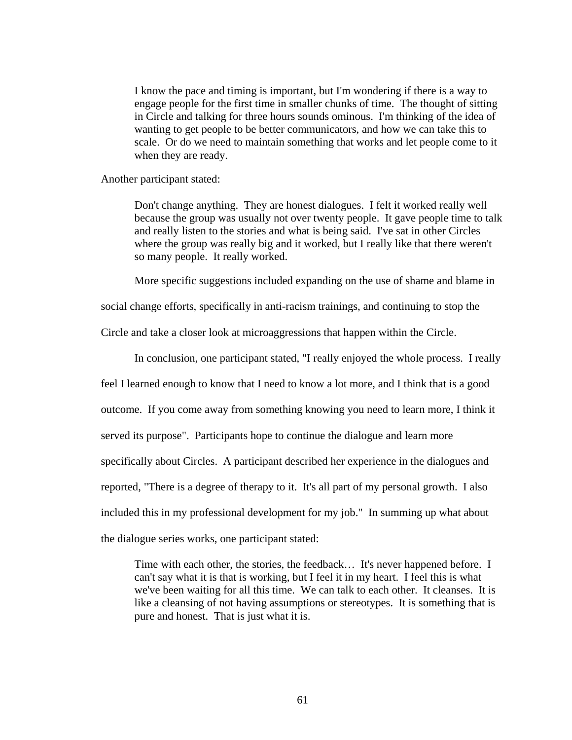I know the pace and timing is important, but I'm wondering if there is a way to engage people for the first time in smaller chunks of time. The thought of sitting in Circle and talking for three hours sounds ominous. I'm thinking of the idea of wanting to get people to be better communicators, and how we can take this to scale. Or do we need to maintain something that works and let people come to it when they are ready.

Another participant stated:

Don't change anything. They are honest dialogues. I felt it worked really well because the group was usually not over twenty people. It gave people time to talk and really listen to the stories and what is being said. I've sat in other Circles where the group was really big and it worked, but I really like that there weren't so many people. It really worked.

More specific suggestions included expanding on the use of shame and blame in

social change efforts, specifically in anti-racism trainings, and continuing to stop the

Circle and take a closer look at microaggressions that happen within the Circle.

In conclusion, one participant stated, "I really enjoyed the whole process. I really

feel I learned enough to know that I need to know a lot more, and I think that is a good

outcome. If you come away from something knowing you need to learn more, I think it

served its purpose". Participants hope to continue the dialogue and learn more

specifically about Circles. A participant described her experience in the dialogues and

reported, "There is a degree of therapy to it. It's all part of my personal growth. I also

included this in my professional development for my job." In summing up what about

the dialogue series works, one participant stated:

Time with each other, the stories, the feedback… It's never happened before. I can't say what it is that is working, but I feel it in my heart. I feel this is what we've been waiting for all this time. We can talk to each other. It cleanses. It is like a cleansing of not having assumptions or stereotypes. It is something that is pure and honest. That is just what it is.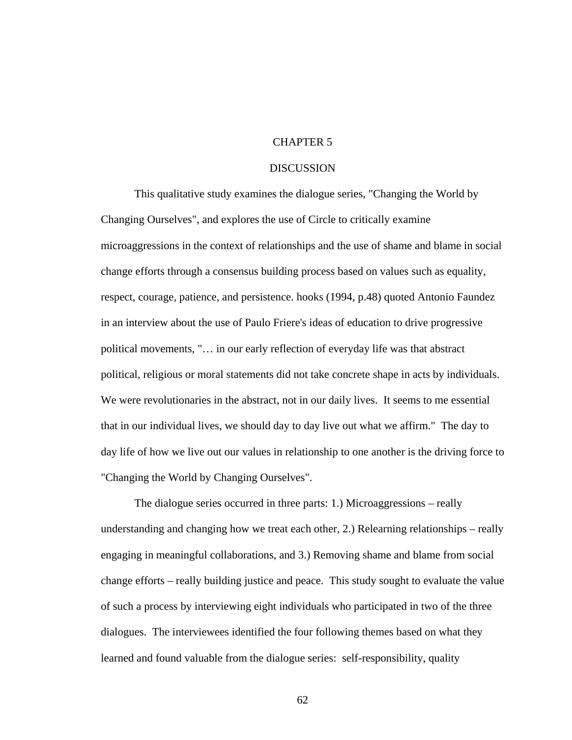# CHAPTER 5

#### DISCUSSION

This qualitative study examines the dialogue series, "Changing the World by Changing Ourselves", and explores the use of Circle to critically examine microaggressions in the context of relationships and the use of shame and blame in social change efforts through a consensus building process based on values such as equality, respect, courage, patience, and persistence. hooks (1994, p.48) quoted Antonio Faundez in an interview about the use of Paulo Friere's ideas of education to drive progressive political movements, "… in our early reflection of everyday life was that abstract political, religious or moral statements did not take concrete shape in acts by individuals. We were revolutionaries in the abstract, not in our daily lives. It seems to me essential that in our individual lives, we should day to day live out what we affirm." The day to day life of how we live out our values in relationship to one another is the driving force to "Changing the World by Changing Ourselves".

The dialogue series occurred in three parts: 1.) Microaggressions – really understanding and changing how we treat each other, 2.) Relearning relationships – really engaging in meaningful collaborations, and 3.) Removing shame and blame from social change efforts – really building justice and peace. This study sought to evaluate the value of such a process by interviewing eight individuals who participated in two of the three dialogues. The interviewees identified the four following themes based on what they learned and found valuable from the dialogue series: self-responsibility, quality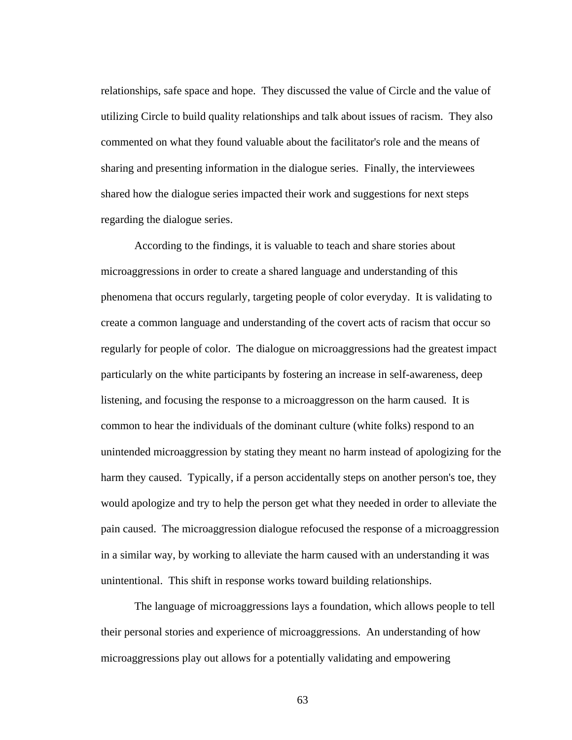relationships, safe space and hope. They discussed the value of Circle and the value of utilizing Circle to build quality relationships and talk about issues of racism. They also commented on what they found valuable about the facilitator's role and the means of sharing and presenting information in the dialogue series. Finally, the interviewees shared how the dialogue series impacted their work and suggestions for next steps regarding the dialogue series.

According to the findings, it is valuable to teach and share stories about microaggressions in order to create a shared language and understanding of this phenomena that occurs regularly, targeting people of color everyday. It is validating to create a common language and understanding of the covert acts of racism that occur so regularly for people of color. The dialogue on microaggressions had the greatest impact particularly on the white participants by fostering an increase in self-awareness, deep listening, and focusing the response to a microaggresson on the harm caused. It is common to hear the individuals of the dominant culture (white folks) respond to an unintended microaggression by stating they meant no harm instead of apologizing for the harm they caused. Typically, if a person accidentally steps on another person's toe, they would apologize and try to help the person get what they needed in order to alleviate the pain caused. The microaggression dialogue refocused the response of a microaggression in a similar way, by working to alleviate the harm caused with an understanding it was unintentional. This shift in response works toward building relationships.

The language of microaggressions lays a foundation, which allows people to tell their personal stories and experience of microaggressions. An understanding of how microaggressions play out allows for a potentially validating and empowering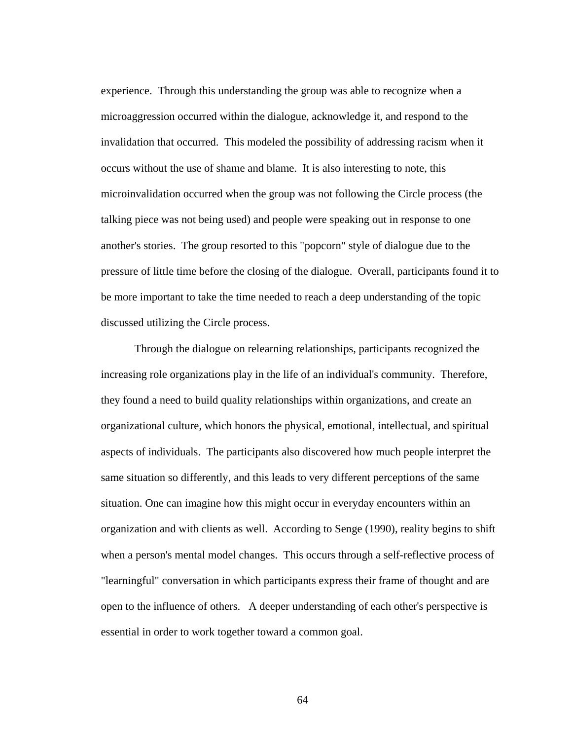experience. Through this understanding the group was able to recognize when a microaggression occurred within the dialogue, acknowledge it, and respond to the invalidation that occurred. This modeled the possibility of addressing racism when it occurs without the use of shame and blame. It is also interesting to note, this microinvalidation occurred when the group was not following the Circle process (the talking piece was not being used) and people were speaking out in response to one another's stories. The group resorted to this "popcorn" style of dialogue due to the pressure of little time before the closing of the dialogue. Overall, participants found it to be more important to take the time needed to reach a deep understanding of the topic discussed utilizing the Circle process.

Through the dialogue on relearning relationships, participants recognized the increasing role organizations play in the life of an individual's community. Therefore, they found a need to build quality relationships within organizations, and create an organizational culture, which honors the physical, emotional, intellectual, and spiritual aspects of individuals. The participants also discovered how much people interpret the same situation so differently, and this leads to very different perceptions of the same situation. One can imagine how this might occur in everyday encounters within an organization and with clients as well. According to Senge (1990), reality begins to shift when a person's mental model changes. This occurs through a self-reflective process of "learningful" conversation in which participants express their frame of thought and are open to the influence of others. A deeper understanding of each other's perspective is essential in order to work together toward a common goal.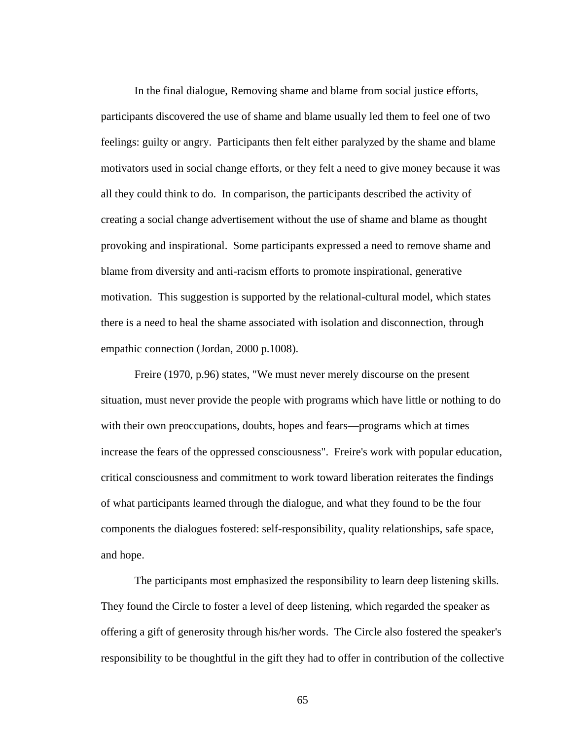In the final dialogue, Removing shame and blame from social justice efforts, participants discovered the use of shame and blame usually led them to feel one of two feelings: guilty or angry. Participants then felt either paralyzed by the shame and blame motivators used in social change efforts, or they felt a need to give money because it was all they could think to do. In comparison, the participants described the activity of creating a social change advertisement without the use of shame and blame as thought provoking and inspirational. Some participants expressed a need to remove shame and blame from diversity and anti-racism efforts to promote inspirational, generative motivation. This suggestion is supported by the relational-cultural model, which states there is a need to heal the shame associated with isolation and disconnection, through empathic connection (Jordan, 2000 p.1008).

Freire (1970, p.96) states, "We must never merely discourse on the present situation, must never provide the people with programs which have little or nothing to do with their own preoccupations, doubts, hopes and fears—programs which at times increase the fears of the oppressed consciousness". Freire's work with popular education, critical consciousness and commitment to work toward liberation reiterates the findings of what participants learned through the dialogue, and what they found to be the four components the dialogues fostered: self-responsibility, quality relationships, safe space, and hope.

The participants most emphasized the responsibility to learn deep listening skills. They found the Circle to foster a level of deep listening, which regarded the speaker as offering a gift of generosity through his/her words. The Circle also fostered the speaker's responsibility to be thoughtful in the gift they had to offer in contribution of the collective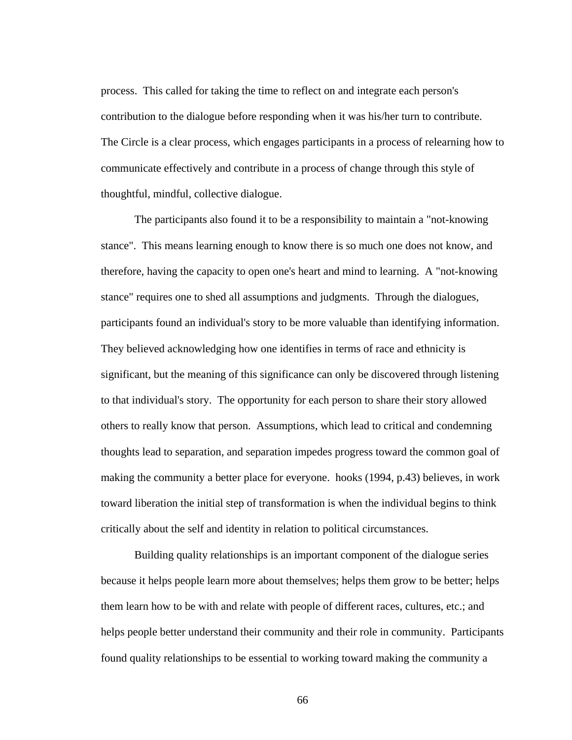process. This called for taking the time to reflect on and integrate each person's contribution to the dialogue before responding when it was his/her turn to contribute. The Circle is a clear process, which engages participants in a process of relearning how to communicate effectively and contribute in a process of change through this style of thoughtful, mindful, collective dialogue.

The participants also found it to be a responsibility to maintain a "not-knowing stance". This means learning enough to know there is so much one does not know, and therefore, having the capacity to open one's heart and mind to learning. A "not-knowing stance" requires one to shed all assumptions and judgments. Through the dialogues, participants found an individual's story to be more valuable than identifying information. They believed acknowledging how one identifies in terms of race and ethnicity is significant, but the meaning of this significance can only be discovered through listening to that individual's story. The opportunity for each person to share their story allowed others to really know that person. Assumptions, which lead to critical and condemning thoughts lead to separation, and separation impedes progress toward the common goal of making the community a better place for everyone. hooks (1994, p.43) believes, in work toward liberation the initial step of transformation is when the individual begins to think critically about the self and identity in relation to political circumstances.

Building quality relationships is an important component of the dialogue series because it helps people learn more about themselves; helps them grow to be better; helps them learn how to be with and relate with people of different races, cultures, etc.; and helps people better understand their community and their role in community. Participants found quality relationships to be essential to working toward making the community a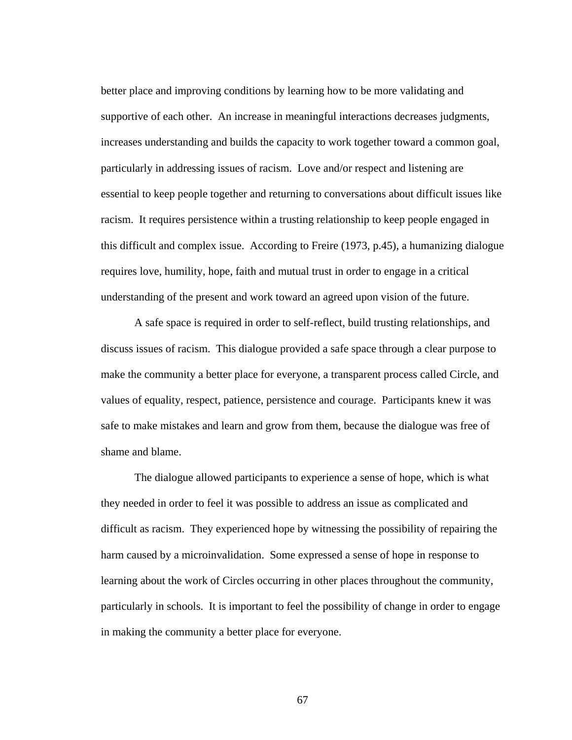better place and improving conditions by learning how to be more validating and supportive of each other. An increase in meaningful interactions decreases judgments, increases understanding and builds the capacity to work together toward a common goal, particularly in addressing issues of racism. Love and/or respect and listening are essential to keep people together and returning to conversations about difficult issues like racism. It requires persistence within a trusting relationship to keep people engaged in this difficult and complex issue. According to Freire (1973, p.45), a humanizing dialogue requires love, humility, hope, faith and mutual trust in order to engage in a critical understanding of the present and work toward an agreed upon vision of the future.

A safe space is required in order to self-reflect, build trusting relationships, and discuss issues of racism. This dialogue provided a safe space through a clear purpose to make the community a better place for everyone, a transparent process called Circle, and values of equality, respect, patience, persistence and courage. Participants knew it was safe to make mistakes and learn and grow from them, because the dialogue was free of shame and blame.

The dialogue allowed participants to experience a sense of hope, which is what they needed in order to feel it was possible to address an issue as complicated and difficult as racism. They experienced hope by witnessing the possibility of repairing the harm caused by a microinvalidation. Some expressed a sense of hope in response to learning about the work of Circles occurring in other places throughout the community, particularly in schools. It is important to feel the possibility of change in order to engage in making the community a better place for everyone.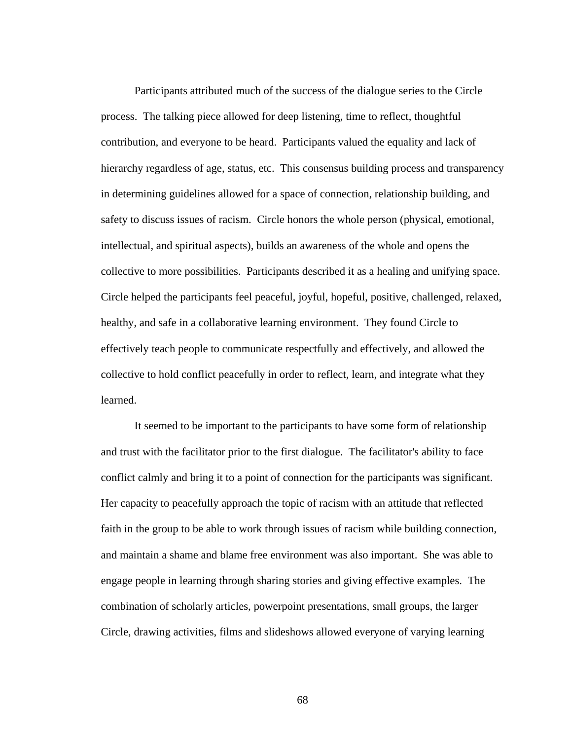Participants attributed much of the success of the dialogue series to the Circle process. The talking piece allowed for deep listening, time to reflect, thoughtful contribution, and everyone to be heard. Participants valued the equality and lack of hierarchy regardless of age, status, etc. This consensus building process and transparency in determining guidelines allowed for a space of connection, relationship building, and safety to discuss issues of racism. Circle honors the whole person (physical, emotional, intellectual, and spiritual aspects), builds an awareness of the whole and opens the collective to more possibilities. Participants described it as a healing and unifying space. Circle helped the participants feel peaceful, joyful, hopeful, positive, challenged, relaxed, healthy, and safe in a collaborative learning environment. They found Circle to effectively teach people to communicate respectfully and effectively, and allowed the collective to hold conflict peacefully in order to reflect, learn, and integrate what they learned.

It seemed to be important to the participants to have some form of relationship and trust with the facilitator prior to the first dialogue. The facilitator's ability to face conflict calmly and bring it to a point of connection for the participants was significant. Her capacity to peacefully approach the topic of racism with an attitude that reflected faith in the group to be able to work through issues of racism while building connection, and maintain a shame and blame free environment was also important. She was able to engage people in learning through sharing stories and giving effective examples. The combination of scholarly articles, powerpoint presentations, small groups, the larger Circle, drawing activities, films and slideshows allowed everyone of varying learning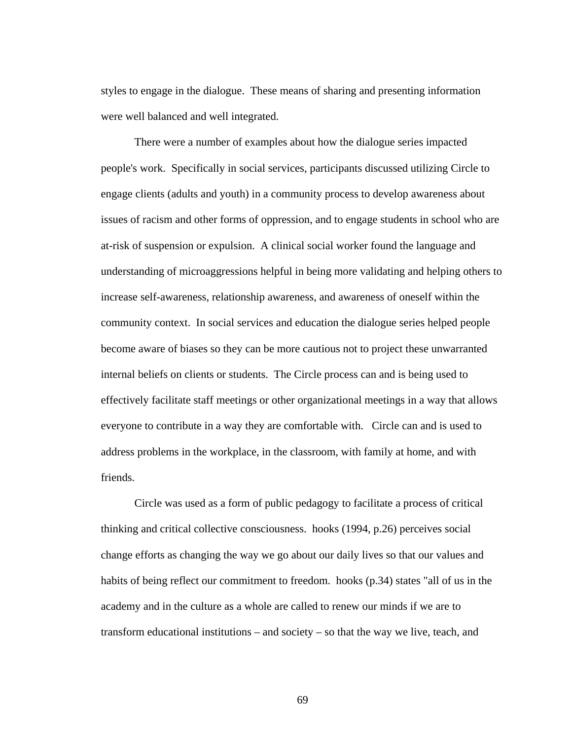styles to engage in the dialogue. These means of sharing and presenting information were well balanced and well integrated.

There were a number of examples about how the dialogue series impacted people's work. Specifically in social services, participants discussed utilizing Circle to engage clients (adults and youth) in a community process to develop awareness about issues of racism and other forms of oppression, and to engage students in school who are at-risk of suspension or expulsion. A clinical social worker found the language and understanding of microaggressions helpful in being more validating and helping others to increase self-awareness, relationship awareness, and awareness of oneself within the community context. In social services and education the dialogue series helped people become aware of biases so they can be more cautious not to project these unwarranted internal beliefs on clients or students. The Circle process can and is being used to effectively facilitate staff meetings or other organizational meetings in a way that allows everyone to contribute in a way they are comfortable with. Circle can and is used to address problems in the workplace, in the classroom, with family at home, and with friends.

Circle was used as a form of public pedagogy to facilitate a process of critical thinking and critical collective consciousness. hooks (1994, p.26) perceives social change efforts as changing the way we go about our daily lives so that our values and habits of being reflect our commitment to freedom. hooks (p.34) states "all of us in the academy and in the culture as a whole are called to renew our minds if we are to transform educational institutions – and society – so that the way we live, teach, and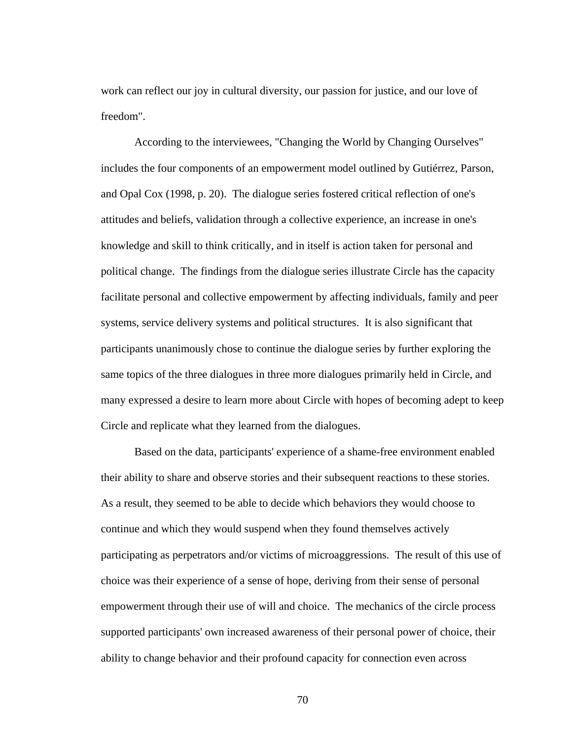work can reflect our joy in cultural diversity, our passion for justice, and our love of freedom".

According to the interviewees, "Changing the World by Changing Ourselves" includes the four components of an empowerment model outlined by Gutiérrez, Parson, and Opal Cox (1998, p. 20). The dialogue series fostered critical reflection of one's attitudes and beliefs, validation through a collective experience, an increase in one's knowledge and skill to think critically, and in itself is action taken for personal and political change. The findings from the dialogue series illustrate Circle has the capacity facilitate personal and collective empowerment by affecting individuals, family and peer systems, service delivery systems and political structures. It is also significant that participants unanimously chose to continue the dialogue series by further exploring the same topics of the three dialogues in three more dialogues primarily held in Circle, and many expressed a desire to learn more about Circle with hopes of becoming adept to keep Circle and replicate what they learned from the dialogues.

Based on the data, participants' experience of a shame-free environment enabled their ability to share and observe stories and their subsequent reactions to these stories. As a result, they seemed to be able to decide which behaviors they would choose to continue and which they would suspend when they found themselves actively participating as perpetrators and/or victims of microaggressions. The result of this use of choice was their experience of a sense of hope, deriving from their sense of personal empowerment through their use of will and choice. The mechanics of the circle process supported participants' own increased awareness of their personal power of choice, their ability to change behavior and their profound capacity for connection even across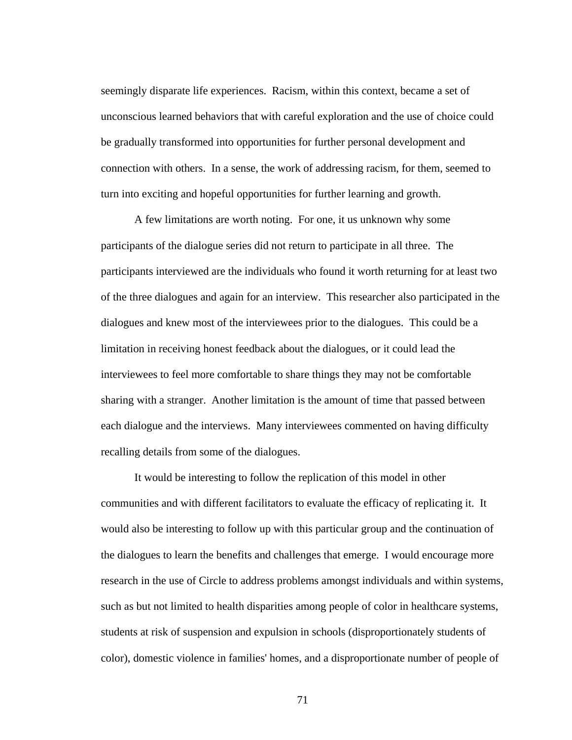seemingly disparate life experiences. Racism, within this context, became a set of unconscious learned behaviors that with careful exploration and the use of choice could be gradually transformed into opportunities for further personal development and connection with others. In a sense, the work of addressing racism, for them, seemed to turn into exciting and hopeful opportunities for further learning and growth.

A few limitations are worth noting. For one, it us unknown why some participants of the dialogue series did not return to participate in all three. The participants interviewed are the individuals who found it worth returning for at least two of the three dialogues and again for an interview. This researcher also participated in the dialogues and knew most of the interviewees prior to the dialogues. This could be a limitation in receiving honest feedback about the dialogues, or it could lead the interviewees to feel more comfortable to share things they may not be comfortable sharing with a stranger. Another limitation is the amount of time that passed between each dialogue and the interviews. Many interviewees commented on having difficulty recalling details from some of the dialogues.

It would be interesting to follow the replication of this model in other communities and with different facilitators to evaluate the efficacy of replicating it. It would also be interesting to follow up with this particular group and the continuation of the dialogues to learn the benefits and challenges that emerge. I would encourage more research in the use of Circle to address problems amongst individuals and within systems, such as but not limited to health disparities among people of color in healthcare systems, students at risk of suspension and expulsion in schools (disproportionately students of color), domestic violence in families' homes, and a disproportionate number of people of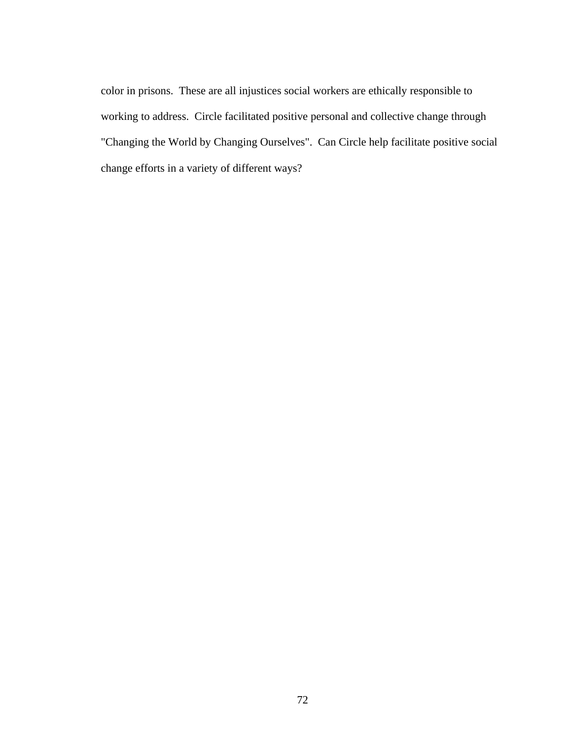color in prisons. These are all injustices social workers are ethically responsible to working to address. Circle facilitated positive personal and collective change through "Changing the World by Changing Ourselves". Can Circle help facilitate positive social change efforts in a variety of different ways?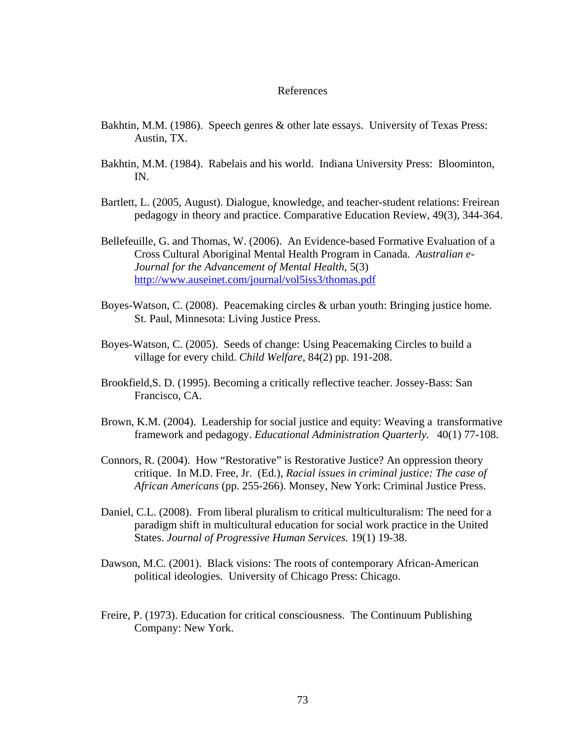#### References

- Bakhtin, M.M. (1986). Speech genres & other late essays. University of Texas Press: Austin, TX.
- Bakhtin, M.M. (1984). Rabelais and his world. Indiana University Press: Bloominton, IN.
- Bartlett, L. (2005, August). Dialogue, knowledge, and teacher-student relations: Freirean pedagogy in theory and practice. Comparative Education Review, 49(3), 344-364.
- Bellefeuille, G. and Thomas, W. (2006). An Evidence-based Formative Evaluation of a Cross Cultural Aboriginal Mental Health Program in Canada. *Australian e-Journal for the Advancement of Mental Health,* 5(3) <http://www.auseinet.com/journal/vol5iss3/thomas.pdf>
- Boyes-Watson, C. (2008). Peacemaking circles & urban youth: Bringing justice home. St. Paul, Minnesota: Living Justice Press.
- Boyes-Watson, C. (2005). Seeds of change: Using Peacemaking Circles to build a village for every child. *Child Welfare*, 84(2) pp. 191-208.
- Brookfield,S. D. (1995). Becoming a critically reflective teacher. Jossey-Bass: San Francisco, CA.
- Brown, K.M. (2004). Leadership for social justice and equity: Weaving a transformative framework and pedagogy. *Educational Administration Quarterly.* 40(1) 77-108.
- Connors, R. (2004). How "Restorative" is Restorative Justice? An oppression theory critique. In M.D. Free, Jr. (Ed.), *Racial issues in criminal justice: The case of African Americans* (pp. 255-266). Monsey, New York: Criminal Justice Press.
- Daniel, C.L. (2008). From liberal pluralism to critical multiculturalism: The need for a paradigm shift in multicultural education for social work practice in the United States. *Journal of Progressive Human Services.* 19(1) 19-38.
- Dawson, M.C. (2001). Black visions: The roots of contemporary African-American political ideologies. University of Chicago Press: Chicago.
- Freire, P. (1973). Education for critical consciousness. The Continuum Publishing Company: New York.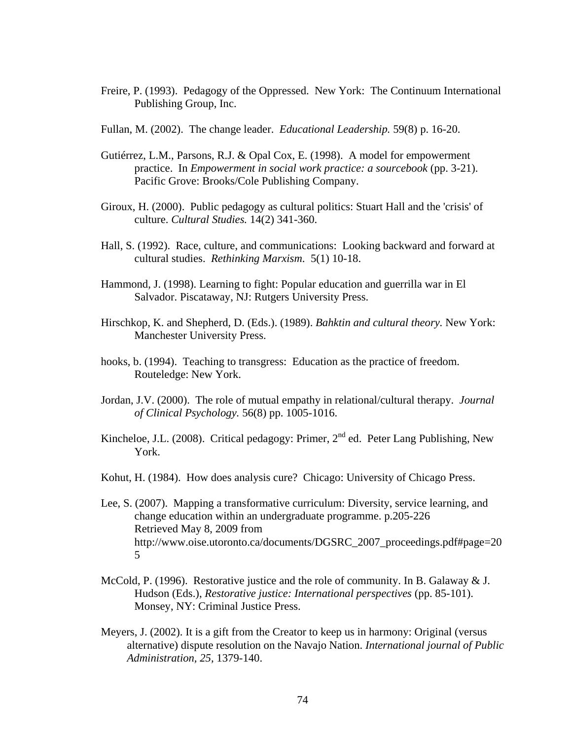- Freire, P. (1993). Pedagogy of the Oppressed. New York: The Continuum International Publishing Group, Inc.
- Fullan, M. (2002). The change leader. *Educational Leadership.* 59(8) p. 16-20.
- Gutiérrez, L.M., Parsons, R.J. & Opal Cox, E. (1998). A model for empowerment practice. In *Empowerment in social work practice: a sourcebook* (pp. 3-21). Pacific Grove: Brooks/Cole Publishing Company.
- Giroux, H. (2000). Public pedagogy as cultural politics: Stuart Hall and the 'crisis' of culture. *Cultural Studies.* 14(2) 341-360.
- Hall, S. (1992). Race, culture, and communications: Looking backward and forward at cultural studies. *Rethinking Marxism*. 5(1) 10-18.
- Hammond, J. (1998). Learning to fight: Popular education and guerrilla war in El Salvador. Piscataway, NJ: Rutgers University Press.
- Hirschkop, K. and Shepherd, D. (Eds.). (1989). *Bahktin and cultural theory.* New York: Manchester University Press.
- hooks, b. (1994). Teaching to transgress: Education as the practice of freedom. Routeledge: New York.
- Jordan, J.V. (2000). The role of mutual empathy in relational/cultural therapy. *Journal of Clinical Psychology.* 56(8) pp. 1005-1016.
- Kincheloe, J.L. (2008). Critical pedagogy: Primer,  $2<sup>nd</sup>$  ed. Peter Lang Publishing, New York.
- Kohut, H. (1984). How does analysis cure? Chicago: University of Chicago Press.
- Lee, S. (2007). Mapping a transformative curriculum: Diversity, service learning, and change education within an undergraduate programme. p.205-226 Retrieved May 8, 2009 from http://www.oise.utoronto.ca/documents/DGSRC\_2007\_proceedings.pdf#page=20 5
- McCold, P. (1996). Restorative justice and the role of community. In B. Galaway & J. Hudson (Eds.), *Restorative justice: International perspectives* (pp. 85-101). Monsey, NY: Criminal Justice Press.
- Meyers, J. (2002). It is a gift from the Creator to keep us in harmony: Original (versus alternative) dispute resolution on the Navajo Nation. *International journal of Public Administration, 25,* 1379-140.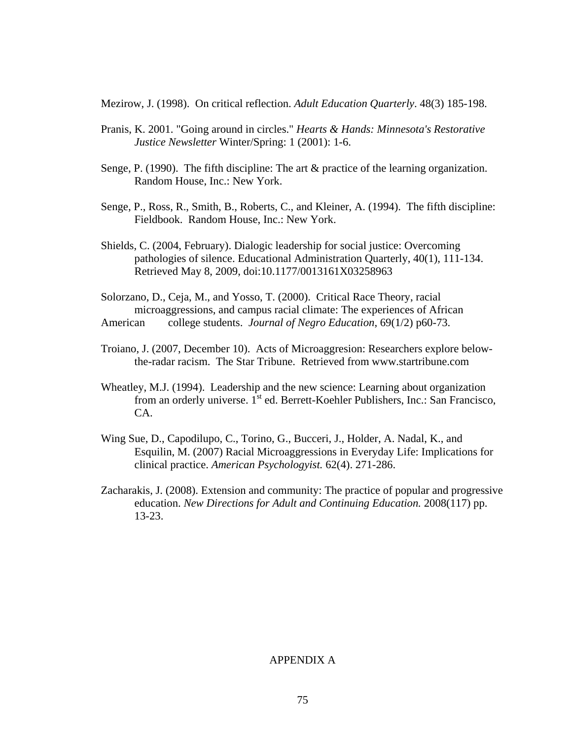Mezirow, J. (1998). On critical reflection. *Adult Education Quarterly*. 48(3) 185-198.

- Pranis, K. 2001. "Going around in circles." *Hearts & Hands: Minnesota's Restorative Justice Newsletter* Winter/Spring: 1 (2001): 1-6.
- Senge, P. (1990). The fifth discipline: The art & practice of the learning organization. Random House, Inc.: New York.
- Senge, P., Ross, R., Smith, B., Roberts, C., and Kleiner, A. (1994). The fifth discipline: Fieldbook. Random House, Inc.: New York.
- Shields, C. (2004, February). Dialogic leadership for social justice: Overcoming pathologies of silence. Educational Administration Quarterly, 40(1), 111-134. Retrieved May 8, 2009, doi:10.1177/0013161X03258963

Solorzano, D., Ceja, M., and Yosso, T. (2000). Critical Race Theory, racial microaggressions, and campus racial climate: The experiences of African American college students. *Journal of Negro Education*, 69(1/2) p60-73.

- Troiano, J. (2007, December 10). Acts of Microaggresion: Researchers explore belowthe-radar racism. The Star Tribune. Retrieved from www.startribune.com
- Wheatley, M.J. (1994). Leadership and the new science: Learning about organization from an orderly universe. 1<sup>st</sup> ed. Berrett-Koehler Publishers, Inc.: San Francisco, CA.
- Wing Sue, D., Capodilupo, C., Torino, G., Bucceri, J., Holder, A. Nadal, K., and Esquilin, M. (2007) Racial Microaggressions in Everyday Life: Implications for clinical practice. *American Psychologyist.* 62(4). 271-286.
- Zacharakis, J. (2008). Extension and community: The practice of popular and progressive education. *New Directions for Adult and Continuing Education.* 2008(117) pp. 13-23.

### APPENDIX A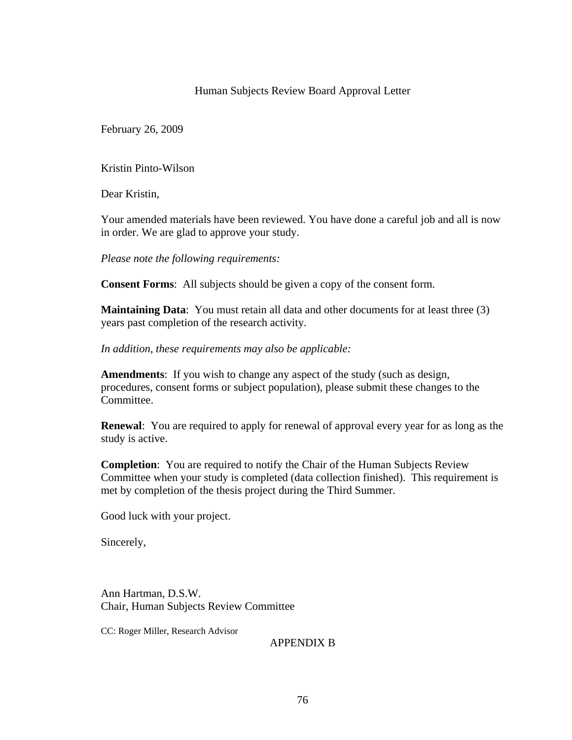# Human Subjects Review Board Approval Letter

February 26, 2009

Kristin Pinto-Wilson

Dear Kristin,

Your amended materials have been reviewed. You have done a careful job and all is now in order. We are glad to approve your study.

*Please note the following requirements:*

**Consent Forms**: All subjects should be given a copy of the consent form.

**Maintaining Data**: You must retain all data and other documents for at least three (3) years past completion of the research activity.

*In addition, these requirements may also be applicable:*

**Amendments**: If you wish to change any aspect of the study (such as design, procedures, consent forms or subject population), please submit these changes to the Committee.

**Renewal**: You are required to apply for renewal of approval every year for as long as the study is active.

**Completion**: You are required to notify the Chair of the Human Subjects Review Committee when your study is completed (data collection finished). This requirement is met by completion of the thesis project during the Third Summer.

Good luck with your project.

Sincerely,

Ann Hartman, D.S.W. Chair, Human Subjects Review Committee

CC: Roger Miller, Research Advisor

APPENDIX B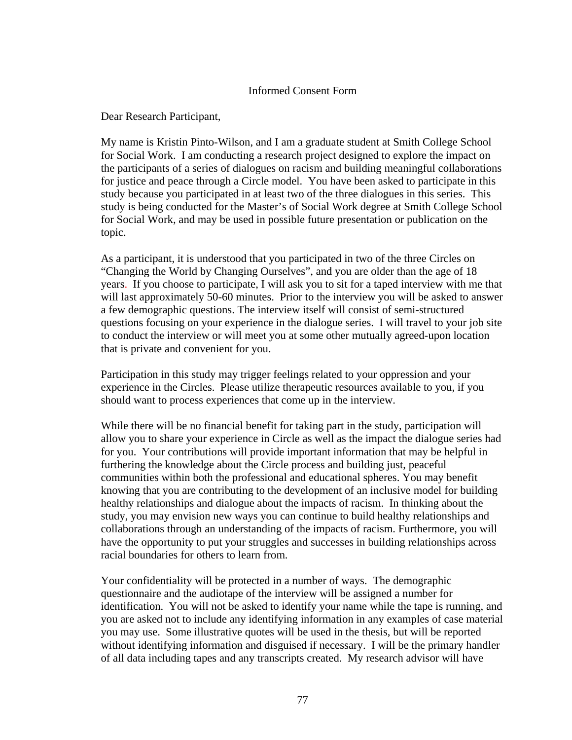# Informed Consent Form

Dear Research Participant,

My name is Kristin Pinto-Wilson, and I am a graduate student at Smith College School for Social Work. I am conducting a research project designed to explore the impact on the participants of a series of dialogues on racism and building meaningful collaborations for justice and peace through a Circle model. You have been asked to participate in this study because you participated in at least two of the three dialogues in this series. This study is being conducted for the Master's of Social Work degree at Smith College School for Social Work, and may be used in possible future presentation or publication on the topic.

As a participant, it is understood that you participated in two of the three Circles on "Changing the World by Changing Ourselves", and you are older than the age of 18 years. If you choose to participate, I will ask you to sit for a taped interview with me that will last approximately 50-60 minutes. Prior to the interview you will be asked to answer a few demographic questions. The interview itself will consist of semi-structured questions focusing on your experience in the dialogue series. I will travel to your job site to conduct the interview or will meet you at some other mutually agreed-upon location that is private and convenient for you.

Participation in this study may trigger feelings related to your oppression and your experience in the Circles. Please utilize therapeutic resources available to you, if you should want to process experiences that come up in the interview.

While there will be no financial benefit for taking part in the study, participation will allow you to share your experience in Circle as well as the impact the dialogue series had for you. Your contributions will provide important information that may be helpful in furthering the knowledge about the Circle process and building just, peaceful communities within both the professional and educational spheres. You may benefit knowing that you are contributing to the development of an inclusive model for building healthy relationships and dialogue about the impacts of racism. In thinking about the study, you may envision new ways you can continue to build healthy relationships and collaborations through an understanding of the impacts of racism. Furthermore, you will have the opportunity to put your struggles and successes in building relationships across racial boundaries for others to learn from.

Your confidentiality will be protected in a number of ways. The demographic questionnaire and the audiotape of the interview will be assigned a number for identification. You will not be asked to identify your name while the tape is running, and you are asked not to include any identifying information in any examples of case material you may use. Some illustrative quotes will be used in the thesis, but will be reported without identifying information and disguised if necessary. I will be the primary handler of all data including tapes and any transcripts created. My research advisor will have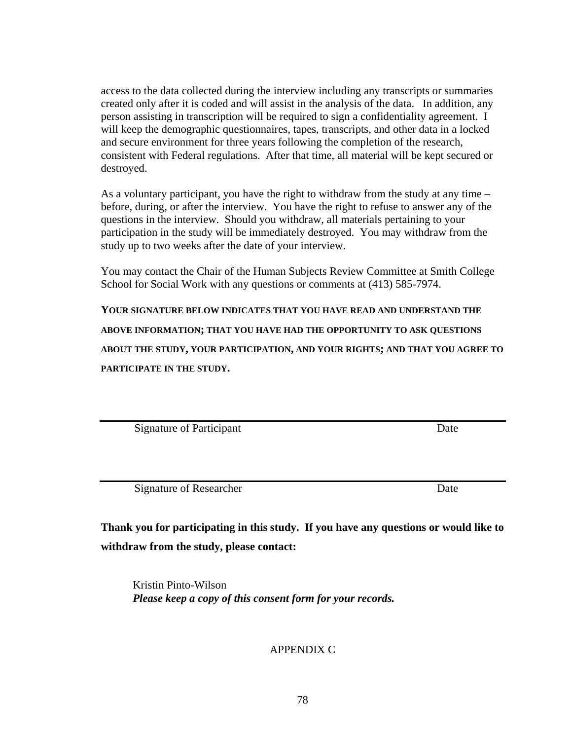access to the data collected during the interview including any transcripts or summaries created only after it is coded and will assist in the analysis of the data. In addition, any person assisting in transcription will be required to sign a confidentiality agreement. I will keep the demographic questionnaires, tapes, transcripts, and other data in a locked and secure environment for three years following the completion of the research, consistent with Federal regulations. After that time, all material will be kept secured or destroyed.

As a voluntary participant, you have the right to withdraw from the study at any time – before, during, or after the interview. You have the right to refuse to answer any of the questions in the interview. Should you withdraw, all materials pertaining to your participation in the study will be immediately destroyed. You may withdraw from the study up to two weeks after the date of your interview.

You may contact the Chair of the Human Subjects Review Committee at Smith College School for Social Work with any questions or comments at (413) 585-7974.

**YOUR SIGNATURE BELOW INDICATES THAT YOU HAVE READ AND UNDERSTAND THE ABOVE INFORMATION; THAT YOU HAVE HAD THE OPPORTUNITY TO ASK QUESTIONS ABOUT THE STUDY, YOUR PARTICIPATION, AND YOUR RIGHTS; AND THAT YOU AGREE TO PARTICIPATE IN THE STUDY.**

Signature of Participant Date

Signature of Researcher Date

**Thank you for participating in this study. If you have any questions or would like to withdraw from the study, please contact:**

Kristin Pinto-Wilson *Please keep a copy of this consent form for your records.*

APPENDIX C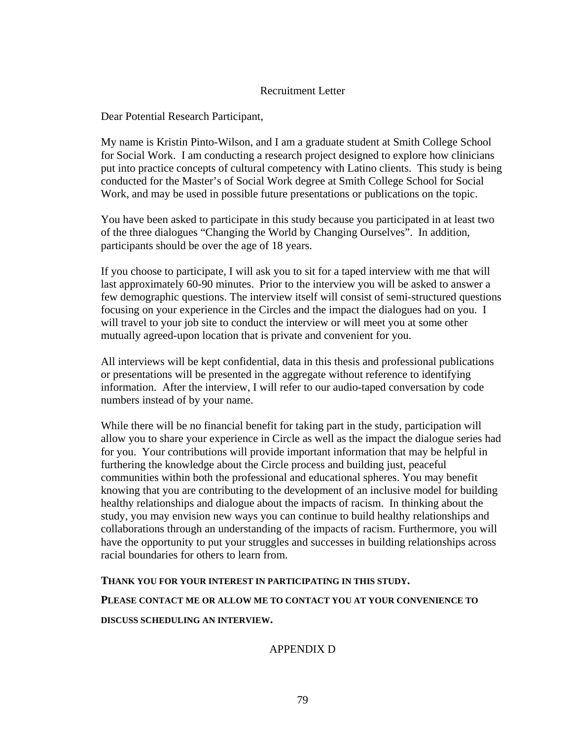# Recruitment Letter

Dear Potential Research Participant,

My name is Kristin Pinto-Wilson, and I am a graduate student at Smith College School for Social Work. I am conducting a research project designed to explore how clinicians put into practice concepts of cultural competency with Latino clients. This study is being conducted for the Master's of Social Work degree at Smith College School for Social Work, and may be used in possible future presentations or publications on the topic.

You have been asked to participate in this study because you participated in at least two of the three dialogues "Changing the World by Changing Ourselves". In addition, participants should be over the age of 18 years.

If you choose to participate, I will ask you to sit for a taped interview with me that will last approximately 60-90 minutes. Prior to the interview you will be asked to answer a few demographic questions. The interview itself will consist of semi-structured questions focusing on your experience in the Circles and the impact the dialogues had on you. I will travel to your job site to conduct the interview or will meet you at some other mutually agreed-upon location that is private and convenient for you.

All interviews will be kept confidential, data in this thesis and professional publications or presentations will be presented in the aggregate without reference to identifying information. After the interview, I will refer to our audio-taped conversation by code numbers instead of by your name.

While there will be no financial benefit for taking part in the study, participation will allow you to share your experience in Circle as well as the impact the dialogue series had for you. Your contributions will provide important information that may be helpful in furthering the knowledge about the Circle process and building just, peaceful communities within both the professional and educational spheres. You may benefit knowing that you are contributing to the development of an inclusive model for building healthy relationships and dialogue about the impacts of racism. In thinking about the study, you may envision new ways you can continue to build healthy relationships and collaborations through an understanding of the impacts of racism. Furthermore, you will have the opportunity to put your struggles and successes in building relationships across racial boundaries for others to learn from.

#### **THANK YOU FOR YOUR INTEREST IN PARTICIPATING IN THIS STUDY.**

### **PLEASE CONTACT ME OR ALLOW ME TO CONTACT YOU AT YOUR CONVENIENCE TO**

**DISCUSS SCHEDULING AN INTERVIEW.** 

# APPENDIX D